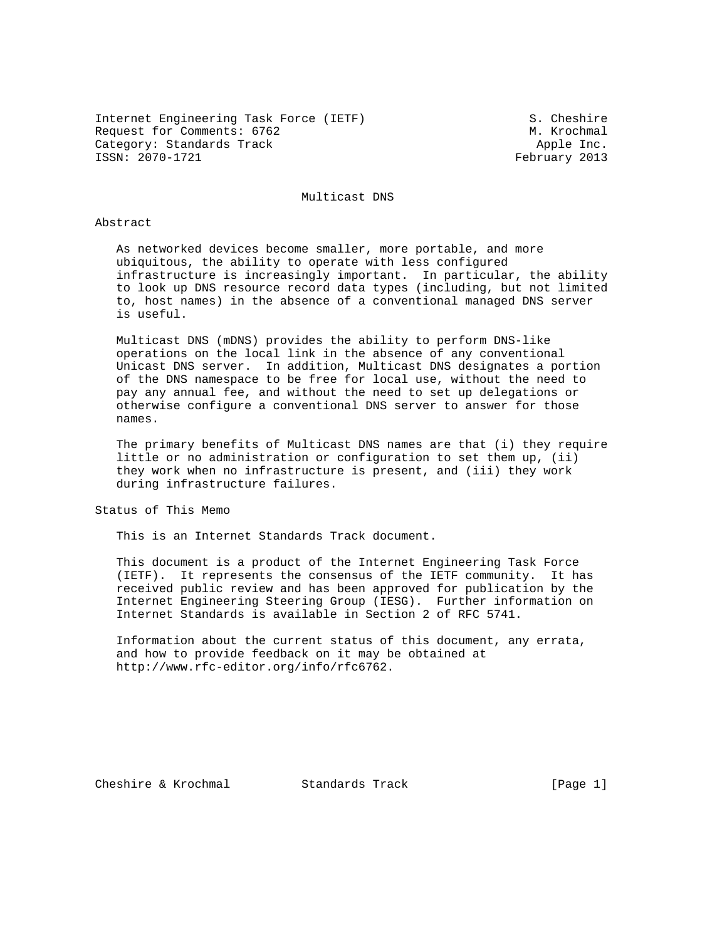Internet Engineering Task Force (IETF) S. Cheshire Request for Comments: 6762 M. Krochmal Category: Standards Track and the Category: Standards Track Apple Inc.<br>
ISSN: 2070-1721 Category: Apple Inc.

February 2013

Multicast DNS

### Abstract

 As networked devices become smaller, more portable, and more ubiquitous, the ability to operate with less configured infrastructure is increasingly important. In particular, the ability to look up DNS resource record data types (including, but not limited to, host names) in the absence of a conventional managed DNS server is useful.

 Multicast DNS (mDNS) provides the ability to perform DNS-like operations on the local link in the absence of any conventional Unicast DNS server. In addition, Multicast DNS designates a portion of the DNS namespace to be free for local use, without the need to pay any annual fee, and without the need to set up delegations or otherwise configure a conventional DNS server to answer for those names.

 The primary benefits of Multicast DNS names are that (i) they require little or no administration or configuration to set them up, (ii) they work when no infrastructure is present, and (iii) they work during infrastructure failures.

Status of This Memo

This is an Internet Standards Track document.

 This document is a product of the Internet Engineering Task Force (IETF). It represents the consensus of the IETF community. It has received public review and has been approved for publication by the Internet Engineering Steering Group (IESG). Further information on Internet Standards is available in Section 2 of RFC 5741.

 Information about the current status of this document, any errata, and how to provide feedback on it may be obtained at http://www.rfc-editor.org/info/rfc6762.

Cheshire & Krochmal Standards Track [Page 1]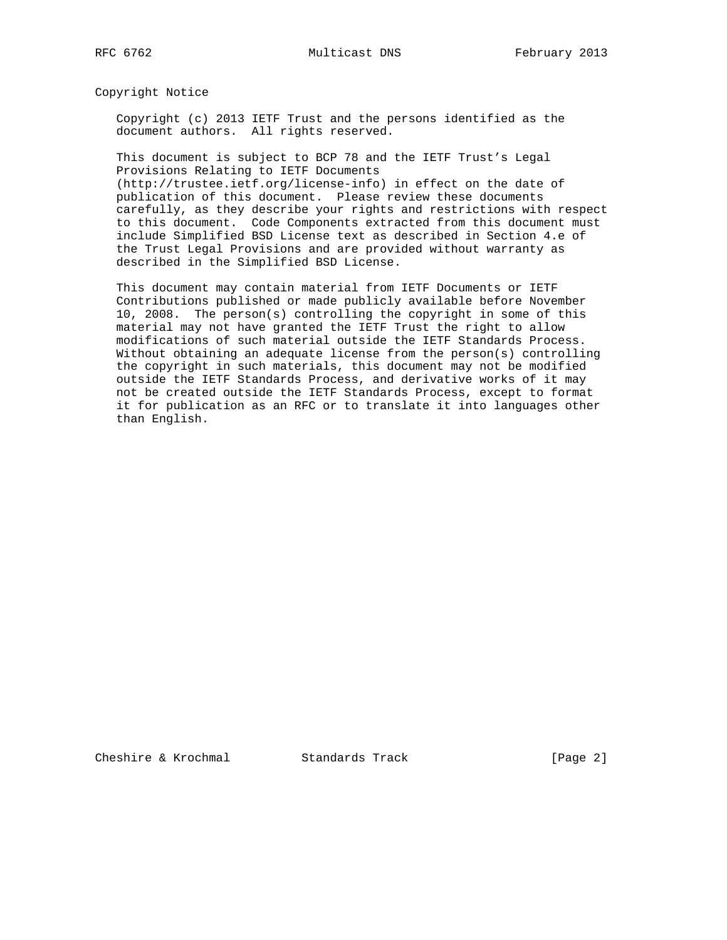Copyright Notice

 Copyright (c) 2013 IETF Trust and the persons identified as the document authors. All rights reserved.

 This document is subject to BCP 78 and the IETF Trust's Legal Provisions Relating to IETF Documents (http://trustee.ietf.org/license-info) in effect on the date of

 publication of this document. Please review these documents carefully, as they describe your rights and restrictions with respect to this document. Code Components extracted from this document must include Simplified BSD License text as described in Section 4.e of the Trust Legal Provisions and are provided without warranty as described in the Simplified BSD License.

 This document may contain material from IETF Documents or IETF Contributions published or made publicly available before November 10, 2008. The person(s) controlling the copyright in some of this material may not have granted the IETF Trust the right to allow modifications of such material outside the IETF Standards Process. Without obtaining an adequate license from the person(s) controlling the copyright in such materials, this document may not be modified outside the IETF Standards Process, and derivative works of it may not be created outside the IETF Standards Process, except to format it for publication as an RFC or to translate it into languages other than English.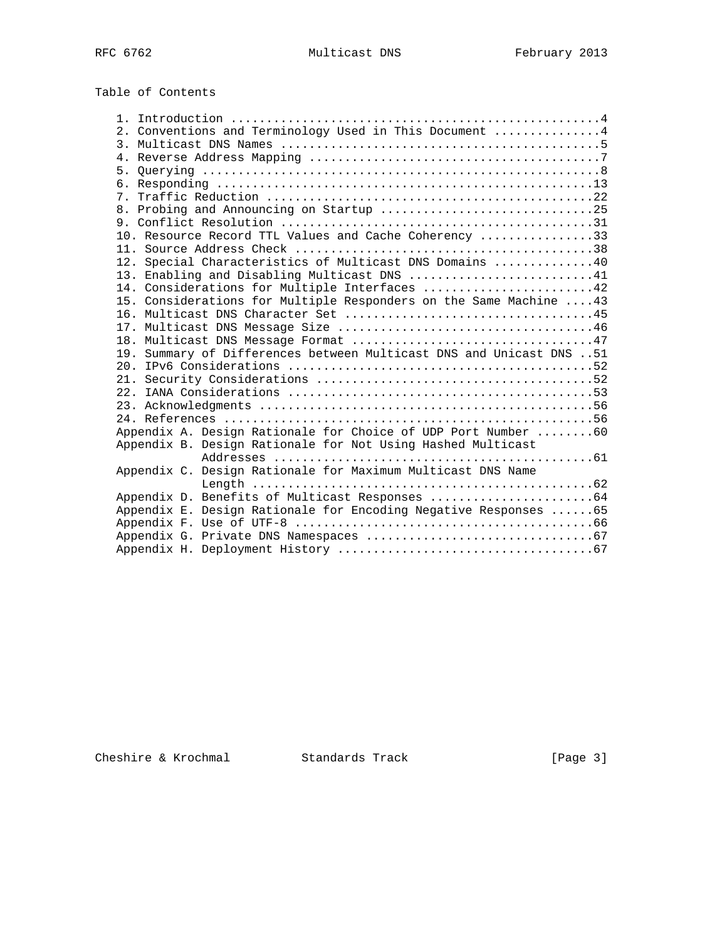Table of Contents

|                                                                     | 2. Conventions and Terminology Used in This Document 4          |  |
|---------------------------------------------------------------------|-----------------------------------------------------------------|--|
|                                                                     |                                                                 |  |
|                                                                     |                                                                 |  |
|                                                                     |                                                                 |  |
|                                                                     |                                                                 |  |
|                                                                     |                                                                 |  |
|                                                                     | 8. Probing and Announcing on Startup 25                         |  |
|                                                                     |                                                                 |  |
|                                                                     | 10. Resource Record TTL Values and Cache Coherency 33           |  |
|                                                                     |                                                                 |  |
|                                                                     | 12. Special Characteristics of Multicast DNS Domains 40         |  |
|                                                                     | 13. Enabling and Disabling Multicast DNS 41                     |  |
|                                                                     | 14. Considerations for Multiple Interfaces 42                   |  |
| 15. Considerations for Multiple Responders on the Same Machine  43  |                                                                 |  |
|                                                                     |                                                                 |  |
|                                                                     |                                                                 |  |
|                                                                     |                                                                 |  |
| 19. Summary of Differences between Multicast DNS and Unicast DNS 51 |                                                                 |  |
|                                                                     |                                                                 |  |
|                                                                     |                                                                 |  |
|                                                                     |                                                                 |  |
|                                                                     |                                                                 |  |
|                                                                     | Appendix A. Design Rationale for Choice of UDP Port Number 60   |  |
|                                                                     | Appendix B. Design Rationale for Not Using Hashed Multicast     |  |
|                                                                     |                                                                 |  |
|                                                                     | Appendix C. Design Rationale for Maximum Multicast DNS Name     |  |
|                                                                     |                                                                 |  |
|                                                                     |                                                                 |  |
|                                                                     | Appendix E. Design Rationale for Encoding Negative Responses 65 |  |
|                                                                     |                                                                 |  |
|                                                                     |                                                                 |  |
|                                                                     |                                                                 |  |
|                                                                     |                                                                 |  |

Cheshire & Krochmal Standards Track [Page 3]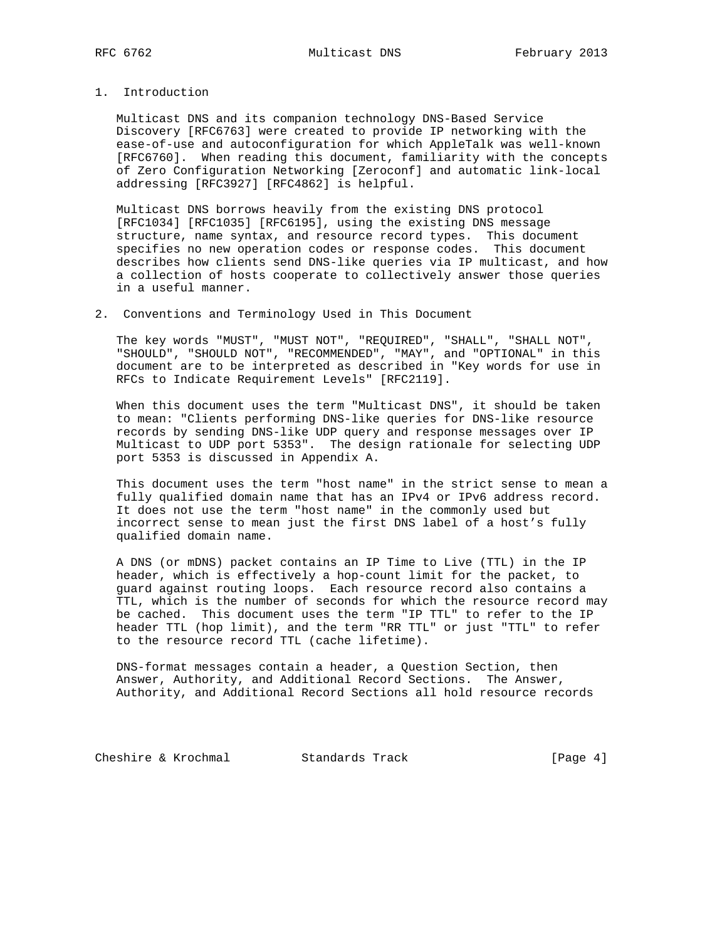# 1. Introduction

 Multicast DNS and its companion technology DNS-Based Service Discovery [RFC6763] were created to provide IP networking with the ease-of-use and autoconfiguration for which AppleTalk was well-known [RFC6760]. When reading this document, familiarity with the concepts of Zero Configuration Networking [Zeroconf] and automatic link-local addressing [RFC3927] [RFC4862] is helpful.

 Multicast DNS borrows heavily from the existing DNS protocol [RFC1034] [RFC1035] [RFC6195], using the existing DNS message structure, name syntax, and resource record types. This document specifies no new operation codes or response codes. This document describes how clients send DNS-like queries via IP multicast, and how a collection of hosts cooperate to collectively answer those queries in a useful manner.

2. Conventions and Terminology Used in This Document

 The key words "MUST", "MUST NOT", "REQUIRED", "SHALL", "SHALL NOT", "SHOULD", "SHOULD NOT", "RECOMMENDED", "MAY", and "OPTIONAL" in this document are to be interpreted as described in "Key words for use in RFCs to Indicate Requirement Levels" [RFC2119].

 When this document uses the term "Multicast DNS", it should be taken to mean: "Clients performing DNS-like queries for DNS-like resource records by sending DNS-like UDP query and response messages over IP Multicast to UDP port 5353". The design rationale for selecting UDP port 5353 is discussed in Appendix A.

 This document uses the term "host name" in the strict sense to mean a fully qualified domain name that has an IPv4 or IPv6 address record. It does not use the term "host name" in the commonly used but incorrect sense to mean just the first DNS label of a host's fully qualified domain name.

 A DNS (or mDNS) packet contains an IP Time to Live (TTL) in the IP header, which is effectively a hop-count limit for the packet, to guard against routing loops. Each resource record also contains a TTL, which is the number of seconds for which the resource record may be cached. This document uses the term "IP TTL" to refer to the IP header TTL (hop limit), and the term "RR TTL" or just "TTL" to refer to the resource record TTL (cache lifetime).

 DNS-format messages contain a header, a Question Section, then Answer, Authority, and Additional Record Sections. The Answer, Authority, and Additional Record Sections all hold resource records

Cheshire & Krochmal Standards Track [Page 4]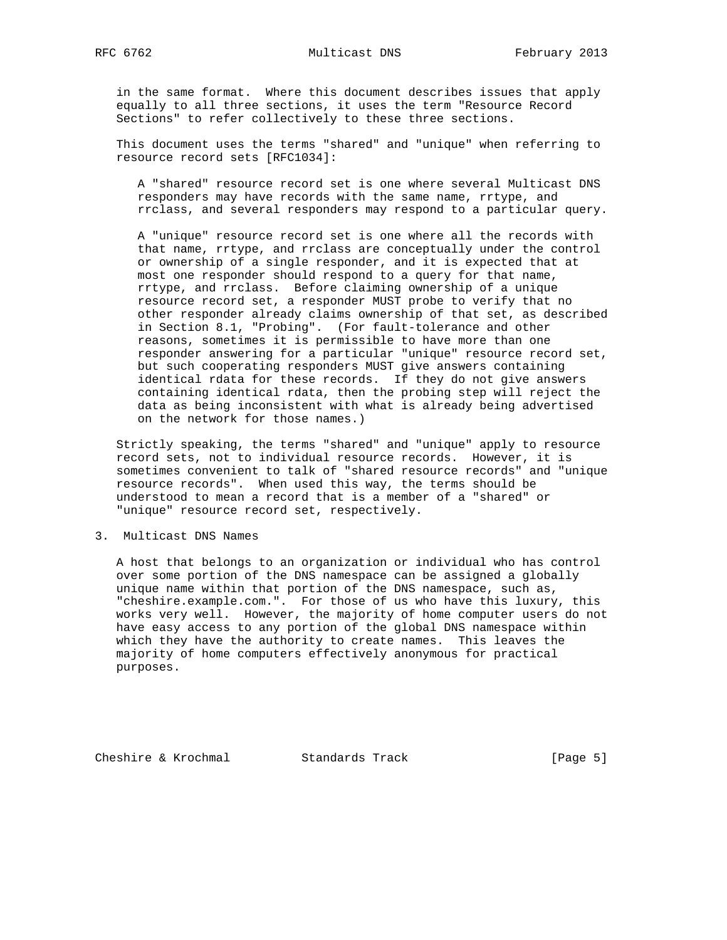in the same format. Where this document describes issues that apply equally to all three sections, it uses the term "Resource Record Sections" to refer collectively to these three sections.

 This document uses the terms "shared" and "unique" when referring to resource record sets [RFC1034]:

 A "shared" resource record set is one where several Multicast DNS responders may have records with the same name, rrtype, and rrclass, and several responders may respond to a particular query.

 A "unique" resource record set is one where all the records with that name, rrtype, and rrclass are conceptually under the control or ownership of a single responder, and it is expected that at most one responder should respond to a query for that name, rrtype, and rrclass. Before claiming ownership of a unique resource record set, a responder MUST probe to verify that no other responder already claims ownership of that set, as described in Section 8.1, "Probing". (For fault-tolerance and other reasons, sometimes it is permissible to have more than one responder answering for a particular "unique" resource record set, but such cooperating responders MUST give answers containing identical rdata for these records. If they do not give answers containing identical rdata, then the probing step will reject the data as being inconsistent with what is already being advertised on the network for those names.)

 Strictly speaking, the terms "shared" and "unique" apply to resource record sets, not to individual resource records. However, it is sometimes convenient to talk of "shared resource records" and "unique resource records". When used this way, the terms should be understood to mean a record that is a member of a "shared" or "unique" resource record set, respectively.

3. Multicast DNS Names

 A host that belongs to an organization or individual who has control over some portion of the DNS namespace can be assigned a globally unique name within that portion of the DNS namespace, such as, "cheshire.example.com.". For those of us who have this luxury, this works very well. However, the majority of home computer users do not have easy access to any portion of the global DNS namespace within which they have the authority to create names. This leaves the majority of home computers effectively anonymous for practical purposes.

Cheshire & Krochmal Standards Track [Page 5]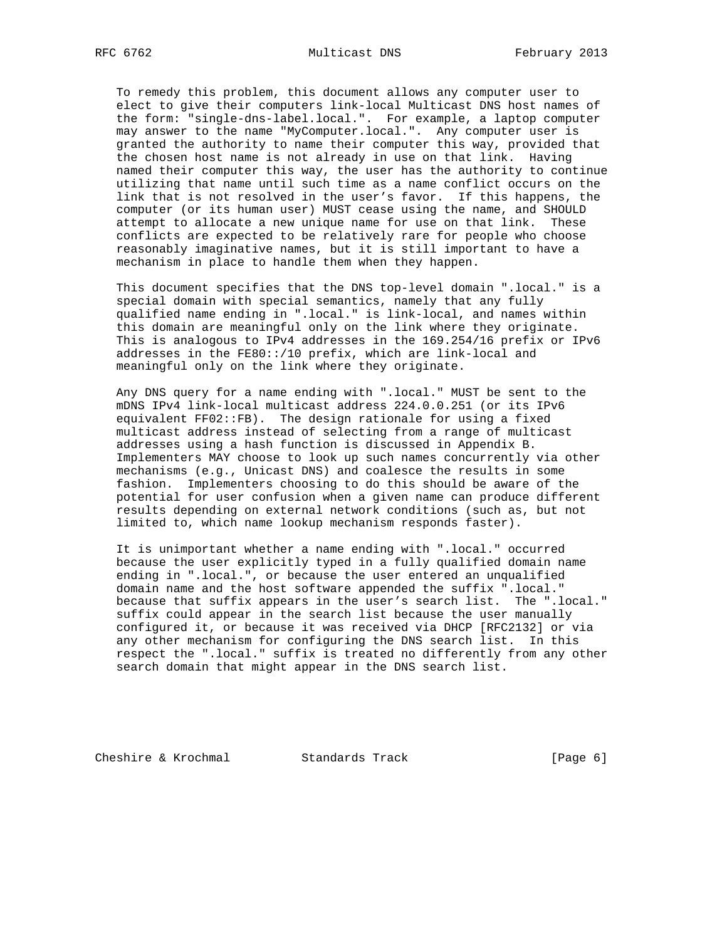To remedy this problem, this document allows any computer user to elect to give their computers link-local Multicast DNS host names of the form: "single-dns-label.local.". For example, a laptop computer may answer to the name "MyComputer.local.". Any computer user is granted the authority to name their computer this way, provided that the chosen host name is not already in use on that link. Having named their computer this way, the user has the authority to continue utilizing that name until such time as a name conflict occurs on the link that is not resolved in the user's favor. If this happens, the computer (or its human user) MUST cease using the name, and SHOULD attempt to allocate a new unique name for use on that link. These conflicts are expected to be relatively rare for people who choose reasonably imaginative names, but it is still important to have a mechanism in place to handle them when they happen.

 This document specifies that the DNS top-level domain ".local." is a special domain with special semantics, namely that any fully qualified name ending in ".local." is link-local, and names within this domain are meaningful only on the link where they originate. This is analogous to IPv4 addresses in the 169.254/16 prefix or IPv6 addresses in the FE80::/10 prefix, which are link-local and meaningful only on the link where they originate.

 Any DNS query for a name ending with ".local." MUST be sent to the mDNS IPv4 link-local multicast address 224.0.0.251 (or its IPv6 equivalent FF02::FB). The design rationale for using a fixed multicast address instead of selecting from a range of multicast addresses using a hash function is discussed in Appendix B. Implementers MAY choose to look up such names concurrently via other mechanisms (e.g., Unicast DNS) and coalesce the results in some fashion. Implementers choosing to do this should be aware of the potential for user confusion when a given name can produce different results depending on external network conditions (such as, but not limited to, which name lookup mechanism responds faster).

 It is unimportant whether a name ending with ".local." occurred because the user explicitly typed in a fully qualified domain name ending in ".local.", or because the user entered an unqualified domain name and the host software appended the suffix ".local." because that suffix appears in the user's search list. The ".local." suffix could appear in the search list because the user manually configured it, or because it was received via DHCP [RFC2132] or via any other mechanism for configuring the DNS search list. In this respect the ".local." suffix is treated no differently from any other search domain that might appear in the DNS search list.

Cheshire & Krochmal Standards Track [Page 6]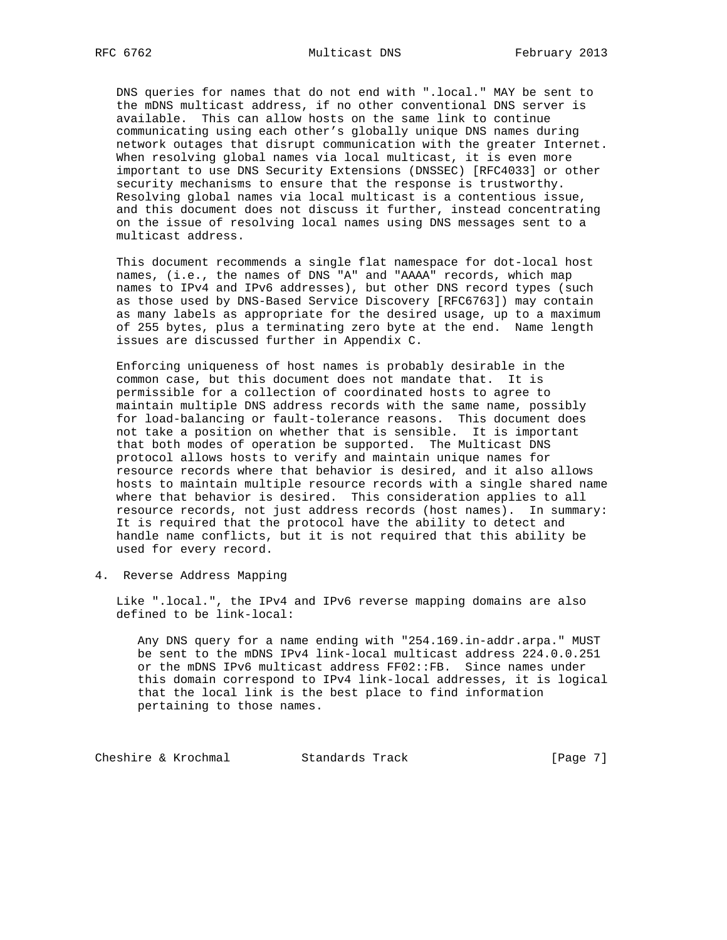DNS queries for names that do not end with ".local." MAY be sent to the mDNS multicast address, if no other conventional DNS server is available. This can allow hosts on the same link to continue communicating using each other's globally unique DNS names during network outages that disrupt communication with the greater Internet. When resolving global names via local multicast, it is even more important to use DNS Security Extensions (DNSSEC) [RFC4033] or other security mechanisms to ensure that the response is trustworthy. Resolving global names via local multicast is a contentious issue, and this document does not discuss it further, instead concentrating on the issue of resolving local names using DNS messages sent to a multicast address.

 This document recommends a single flat namespace for dot-local host names, (i.e., the names of DNS "A" and "AAAA" records, which map names to IPv4 and IPv6 addresses), but other DNS record types (such as those used by DNS-Based Service Discovery [RFC6763]) may contain as many labels as appropriate for the desired usage, up to a maximum of 255 bytes, plus a terminating zero byte at the end. Name length issues are discussed further in Appendix C.

 Enforcing uniqueness of host names is probably desirable in the common case, but this document does not mandate that. It is permissible for a collection of coordinated hosts to agree to maintain multiple DNS address records with the same name, possibly for load-balancing or fault-tolerance reasons. This document does not take a position on whether that is sensible. It is important that both modes of operation be supported. The Multicast DNS protocol allows hosts to verify and maintain unique names for resource records where that behavior is desired, and it also allows hosts to maintain multiple resource records with a single shared name where that behavior is desired. This consideration applies to all resource records, not just address records (host names). In summary: It is required that the protocol have the ability to detect and handle name conflicts, but it is not required that this ability be used for every record.

4. Reverse Address Mapping

 Like ".local.", the IPv4 and IPv6 reverse mapping domains are also defined to be link-local:

 Any DNS query for a name ending with "254.169.in-addr.arpa." MUST be sent to the mDNS IPv4 link-local multicast address 224.0.0.251 or the mDNS IPv6 multicast address FF02::FB. Since names under this domain correspond to IPv4 link-local addresses, it is logical that the local link is the best place to find information pertaining to those names.

Cheshire & Krochmal Standards Track [Page 7]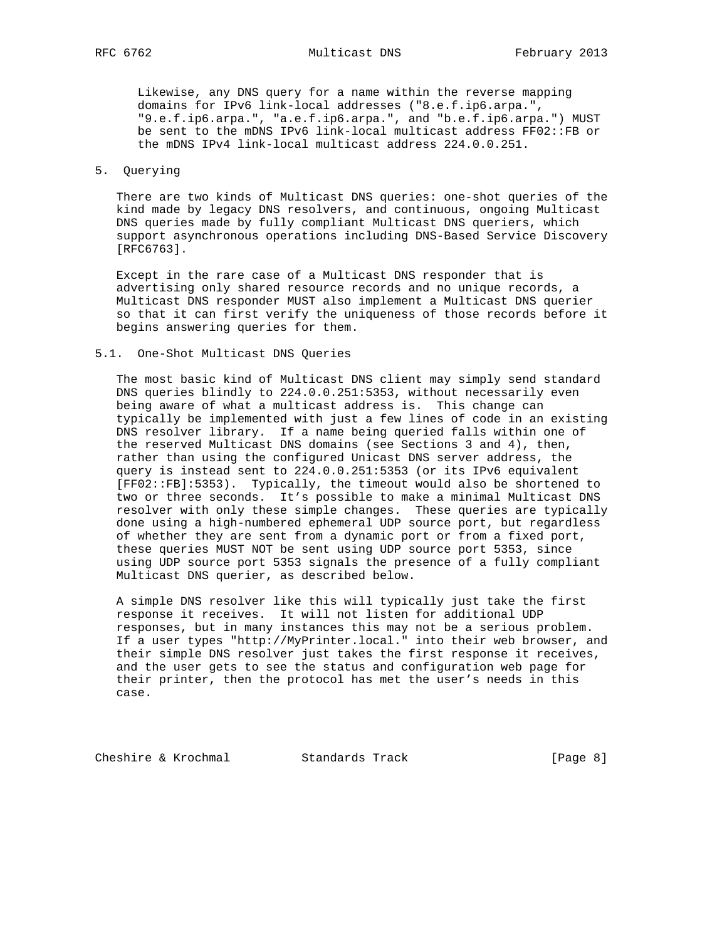Likewise, any DNS query for a name within the reverse mapping domains for IPv6 link-local addresses ("8.e.f.ip6.arpa.", "9.e.f.ip6.arpa.", "a.e.f.ip6.arpa.", and "b.e.f.ip6.arpa.") MUST be sent to the mDNS IPv6 link-local multicast address FF02::FB or the mDNS IPv4 link-local multicast address 224.0.0.251.

## 5. Querying

 There are two kinds of Multicast DNS queries: one-shot queries of the kind made by legacy DNS resolvers, and continuous, ongoing Multicast DNS queries made by fully compliant Multicast DNS queriers, which support asynchronous operations including DNS-Based Service Discovery [RFC6763].

 Except in the rare case of a Multicast DNS responder that is advertising only shared resource records and no unique records, a Multicast DNS responder MUST also implement a Multicast DNS querier so that it can first verify the uniqueness of those records before it begins answering queries for them.

#### 5.1. One-Shot Multicast DNS Queries

 The most basic kind of Multicast DNS client may simply send standard DNS queries blindly to 224.0.0.251:5353, without necessarily even being aware of what a multicast address is. This change can typically be implemented with just a few lines of code in an existing DNS resolver library. If a name being queried falls within one of the reserved Multicast DNS domains (see Sections 3 and 4), then, rather than using the configured Unicast DNS server address, the query is instead sent to 224.0.0.251:5353 (or its IPv6 equivalent [FF02::FB]:5353). Typically, the timeout would also be shortened to two or three seconds. It's possible to make a minimal Multicast DNS resolver with only these simple changes. These queries are typically done using a high-numbered ephemeral UDP source port, but regardless of whether they are sent from a dynamic port or from a fixed port, these queries MUST NOT be sent using UDP source port 5353, since using UDP source port 5353 signals the presence of a fully compliant Multicast DNS querier, as described below.

 A simple DNS resolver like this will typically just take the first response it receives. It will not listen for additional UDP responses, but in many instances this may not be a serious problem. If a user types "http://MyPrinter.local." into their web browser, and their simple DNS resolver just takes the first response it receives, and the user gets to see the status and configuration web page for their printer, then the protocol has met the user's needs in this case.

Cheshire & Krochmal Standards Track [Page 8]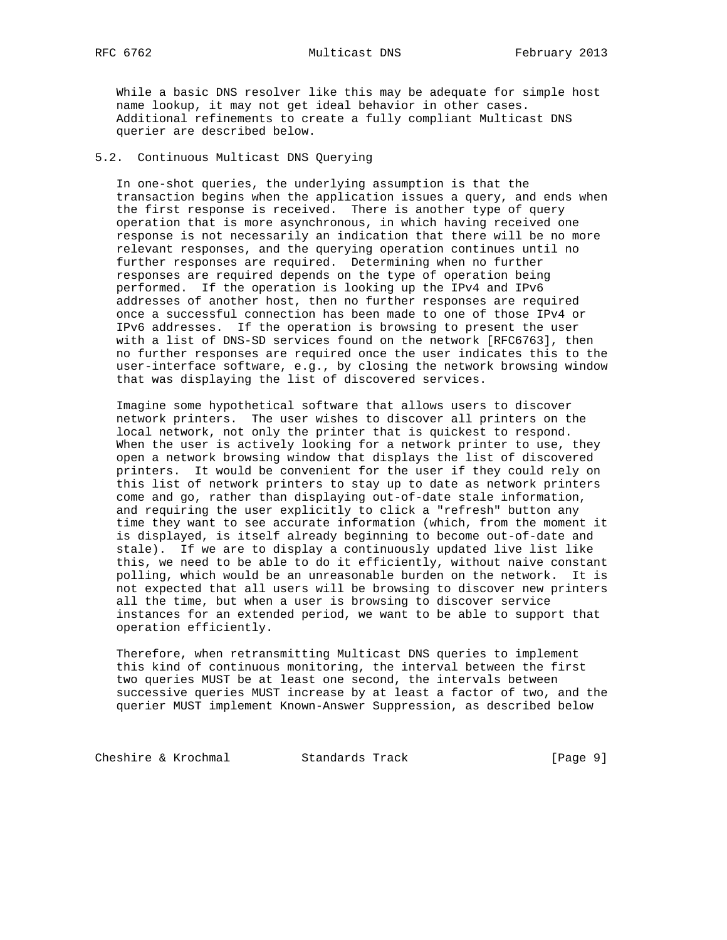While a basic DNS resolver like this may be adequate for simple host name lookup, it may not get ideal behavior in other cases. Additional refinements to create a fully compliant Multicast DNS querier are described below.

# 5.2. Continuous Multicast DNS Querying

 In one-shot queries, the underlying assumption is that the transaction begins when the application issues a query, and ends when the first response is received. There is another type of query operation that is more asynchronous, in which having received one response is not necessarily an indication that there will be no more relevant responses, and the querying operation continues until no further responses are required. Determining when no further responses are required depends on the type of operation being performed. If the operation is looking up the IPv4 and IPv6 addresses of another host, then no further responses are required once a successful connection has been made to one of those IPv4 or IPv6 addresses. If the operation is browsing to present the user with a list of DNS-SD services found on the network [RFC6763], then no further responses are required once the user indicates this to the user-interface software, e.g., by closing the network browsing window that was displaying the list of discovered services.

 Imagine some hypothetical software that allows users to discover network printers. The user wishes to discover all printers on the local network, not only the printer that is quickest to respond. When the user is actively looking for a network printer to use, they open a network browsing window that displays the list of discovered printers. It would be convenient for the user if they could rely on this list of network printers to stay up to date as network printers come and go, rather than displaying out-of-date stale information, and requiring the user explicitly to click a "refresh" button any time they want to see accurate information (which, from the moment it is displayed, is itself already beginning to become out-of-date and stale). If we are to display a continuously updated live list like this, we need to be able to do it efficiently, without naive constant polling, which would be an unreasonable burden on the network. It is not expected that all users will be browsing to discover new printers all the time, but when a user is browsing to discover service instances for an extended period, we want to be able to support that operation efficiently.

 Therefore, when retransmitting Multicast DNS queries to implement this kind of continuous monitoring, the interval between the first two queries MUST be at least one second, the intervals between successive queries MUST increase by at least a factor of two, and the querier MUST implement Known-Answer Suppression, as described below

Cheshire & Krochmal Standards Track [Page 9]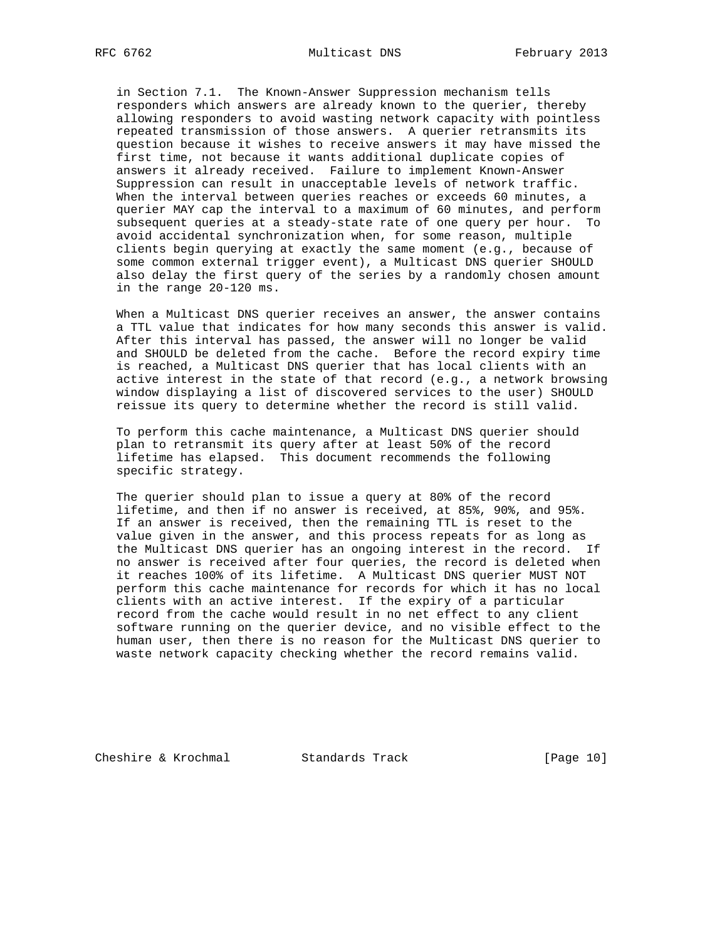in Section 7.1. The Known-Answer Suppression mechanism tells responders which answers are already known to the querier, thereby allowing responders to avoid wasting network capacity with pointless repeated transmission of those answers. A querier retransmits its question because it wishes to receive answers it may have missed the first time, not because it wants additional duplicate copies of answers it already received. Failure to implement Known-Answer Suppression can result in unacceptable levels of network traffic. When the interval between queries reaches or exceeds 60 minutes, a querier MAY cap the interval to a maximum of 60 minutes, and perform subsequent queries at a steady-state rate of one query per hour. To avoid accidental synchronization when, for some reason, multiple clients begin querying at exactly the same moment (e.g., because of some common external trigger event), a Multicast DNS querier SHOULD also delay the first query of the series by a randomly chosen amount in the range 20-120 ms.

 When a Multicast DNS querier receives an answer, the answer contains a TTL value that indicates for how many seconds this answer is valid. After this interval has passed, the answer will no longer be valid and SHOULD be deleted from the cache. Before the record expiry time is reached, a Multicast DNS querier that has local clients with an active interest in the state of that record (e.g., a network browsing window displaying a list of discovered services to the user) SHOULD reissue its query to determine whether the record is still valid.

 To perform this cache maintenance, a Multicast DNS querier should plan to retransmit its query after at least 50% of the record lifetime has elapsed. This document recommends the following specific strategy.

 The querier should plan to issue a query at 80% of the record lifetime, and then if no answer is received, at 85%, 90%, and 95%. If an answer is received, then the remaining TTL is reset to the value given in the answer, and this process repeats for as long as the Multicast DNS querier has an ongoing interest in the record. If no answer is received after four queries, the record is deleted when it reaches 100% of its lifetime. A Multicast DNS querier MUST NOT perform this cache maintenance for records for which it has no local clients with an active interest. If the expiry of a particular record from the cache would result in no net effect to any client software running on the querier device, and no visible effect to the human user, then there is no reason for the Multicast DNS querier to waste network capacity checking whether the record remains valid.

Cheshire & Krochmal Standards Track [Page 10]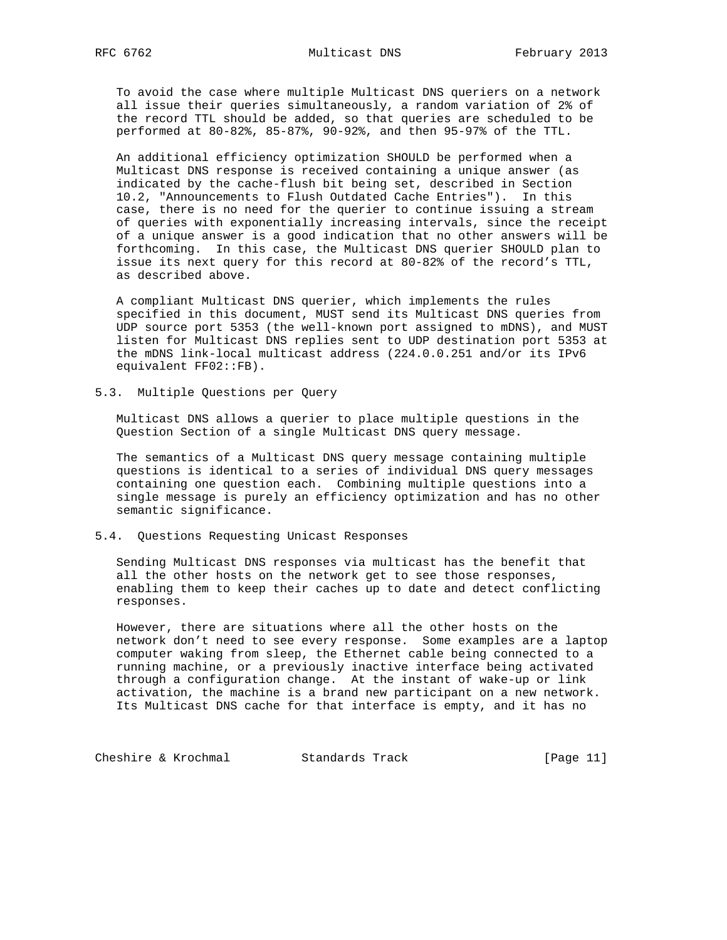To avoid the case where multiple Multicast DNS queriers on a network all issue their queries simultaneously, a random variation of 2% of the record TTL should be added, so that queries are scheduled to be performed at 80-82%, 85-87%, 90-92%, and then 95-97% of the TTL.

 An additional efficiency optimization SHOULD be performed when a Multicast DNS response is received containing a unique answer (as indicated by the cache-flush bit being set, described in Section 10.2, "Announcements to Flush Outdated Cache Entries"). In this case, there is no need for the querier to continue issuing a stream of queries with exponentially increasing intervals, since the receipt of a unique answer is a good indication that no other answers will be forthcoming. In this case, the Multicast DNS querier SHOULD plan to issue its next query for this record at 80-82% of the record's TTL, as described above.

 A compliant Multicast DNS querier, which implements the rules specified in this document, MUST send its Multicast DNS queries from UDP source port 5353 (the well-known port assigned to mDNS), and MUST listen for Multicast DNS replies sent to UDP destination port 5353 at the mDNS link-local multicast address (224.0.0.251 and/or its IPv6 equivalent FF02::FB).

5.3. Multiple Questions per Query

 Multicast DNS allows a querier to place multiple questions in the Question Section of a single Multicast DNS query message.

 The semantics of a Multicast DNS query message containing multiple questions is identical to a series of individual DNS query messages containing one question each. Combining multiple questions into a single message is purely an efficiency optimization and has no other semantic significance.

## 5.4. Questions Requesting Unicast Responses

 Sending Multicast DNS responses via multicast has the benefit that all the other hosts on the network get to see those responses, enabling them to keep their caches up to date and detect conflicting responses.

 However, there are situations where all the other hosts on the network don't need to see every response. Some examples are a laptop computer waking from sleep, the Ethernet cable being connected to a running machine, or a previously inactive interface being activated through a configuration change. At the instant of wake-up or link activation, the machine is a brand new participant on a new network. Its Multicast DNS cache for that interface is empty, and it has no

Cheshire & Krochmal Standards Track [Page 11]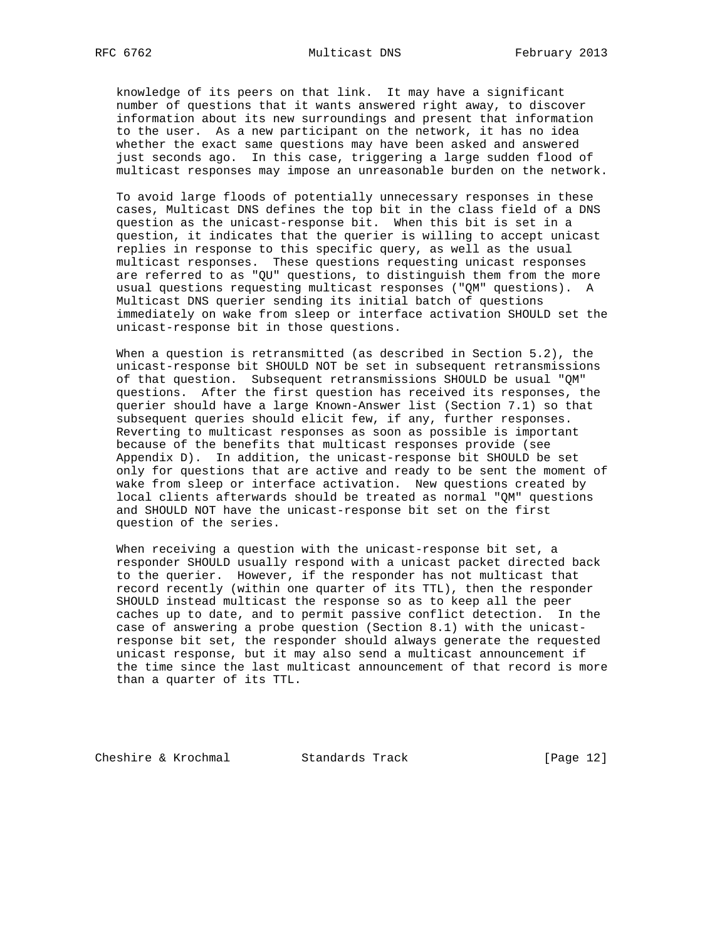knowledge of its peers on that link. It may have a significant number of questions that it wants answered right away, to discover information about its new surroundings and present that information to the user. As a new participant on the network, it has no idea whether the exact same questions may have been asked and answered just seconds ago. In this case, triggering a large sudden flood of multicast responses may impose an unreasonable burden on the network.

 To avoid large floods of potentially unnecessary responses in these cases, Multicast DNS defines the top bit in the class field of a DNS question as the unicast-response bit. When this bit is set in a question, it indicates that the querier is willing to accept unicast replies in response to this specific query, as well as the usual multicast responses. These questions requesting unicast responses are referred to as "QU" questions, to distinguish them from the more usual questions requesting multicast responses ("QM" questions). A Multicast DNS querier sending its initial batch of questions immediately on wake from sleep or interface activation SHOULD set the unicast-response bit in those questions.

 When a question is retransmitted (as described in Section 5.2), the unicast-response bit SHOULD NOT be set in subsequent retransmissions of that question. Subsequent retransmissions SHOULD be usual "QM" questions. After the first question has received its responses, the querier should have a large Known-Answer list (Section 7.1) so that subsequent queries should elicit few, if any, further responses. Reverting to multicast responses as soon as possible is important because of the benefits that multicast responses provide (see Appendix D). In addition, the unicast-response bit SHOULD be set only for questions that are active and ready to be sent the moment of wake from sleep or interface activation. New questions created by local clients afterwards should be treated as normal "QM" questions and SHOULD NOT have the unicast-response bit set on the first question of the series.

 When receiving a question with the unicast-response bit set, a responder SHOULD usually respond with a unicast packet directed back to the querier. However, if the responder has not multicast that record recently (within one quarter of its TTL), then the responder SHOULD instead multicast the response so as to keep all the peer caches up to date, and to permit passive conflict detection. In the case of answering a probe question (Section 8.1) with the unicast response bit set, the responder should always generate the requested unicast response, but it may also send a multicast announcement if the time since the last multicast announcement of that record is more than a quarter of its TTL.

Cheshire & Krochmal Standards Track [Page 12]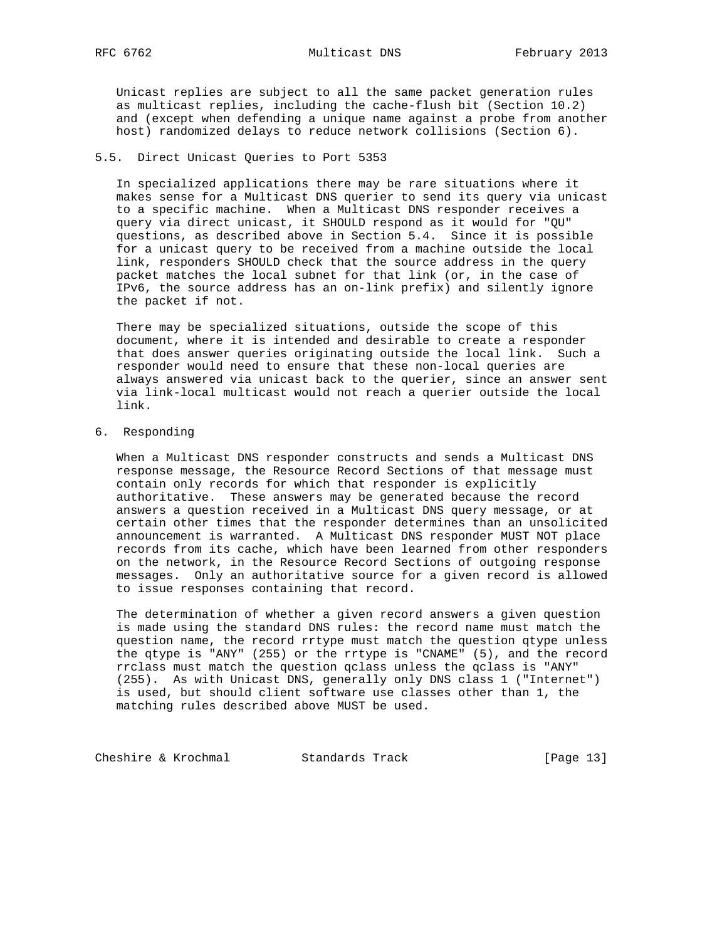Unicast replies are subject to all the same packet generation rules as multicast replies, including the cache-flush bit (Section 10.2) and (except when defending a unique name against a probe from another host) randomized delays to reduce network collisions (Section 6).

# 5.5. Direct Unicast Queries to Port 5353

 In specialized applications there may be rare situations where it makes sense for a Multicast DNS querier to send its query via unicast to a specific machine. When a Multicast DNS responder receives a query via direct unicast, it SHOULD respond as it would for "QU" questions, as described above in Section 5.4. Since it is possible for a unicast query to be received from a machine outside the local link, responders SHOULD check that the source address in the query packet matches the local subnet for that link (or, in the case of IPv6, the source address has an on-link prefix) and silently ignore the packet if not.

 There may be specialized situations, outside the scope of this document, where it is intended and desirable to create a responder that does answer queries originating outside the local link. Such a responder would need to ensure that these non-local queries are always answered via unicast back to the querier, since an answer sent via link-local multicast would not reach a querier outside the local link.

6. Responding

 When a Multicast DNS responder constructs and sends a Multicast DNS response message, the Resource Record Sections of that message must contain only records for which that responder is explicitly authoritative. These answers may be generated because the record answers a question received in a Multicast DNS query message, or at certain other times that the responder determines than an unsolicited announcement is warranted. A Multicast DNS responder MUST NOT place records from its cache, which have been learned from other responders on the network, in the Resource Record Sections of outgoing response messages. Only an authoritative source for a given record is allowed to issue responses containing that record.

 The determination of whether a given record answers a given question is made using the standard DNS rules: the record name must match the question name, the record rrtype must match the question qtype unless the qtype is "ANY" (255) or the rrtype is "CNAME" (5), and the record rrclass must match the question qclass unless the qclass is "ANY" (255). As with Unicast DNS, generally only DNS class 1 ("Internet") is used, but should client software use classes other than 1, the matching rules described above MUST be used.

Cheshire & Krochmal Standards Track [Page 13]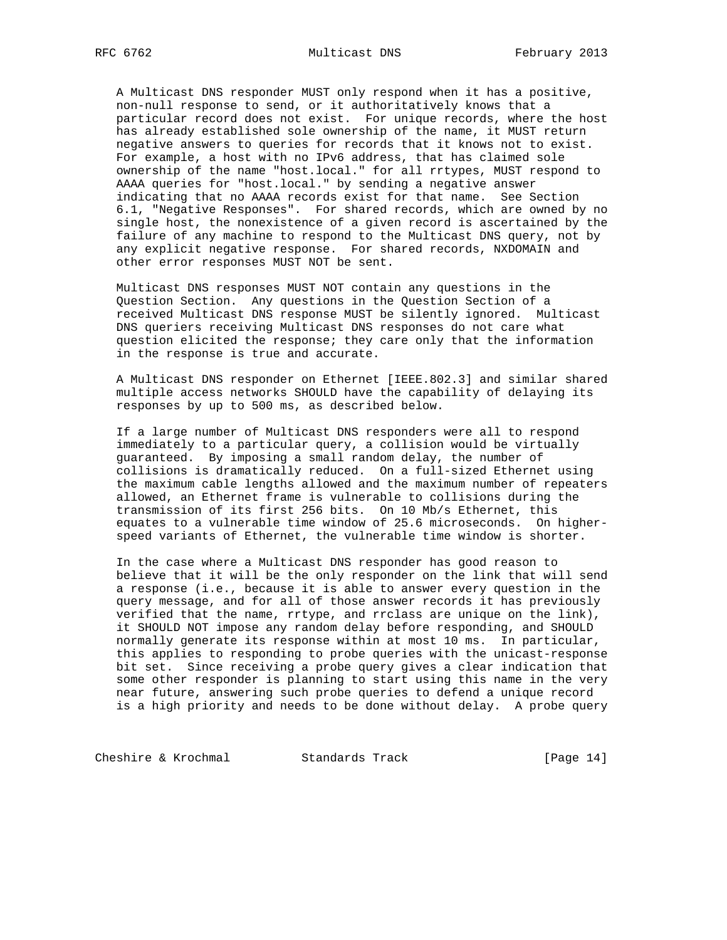A Multicast DNS responder MUST only respond when it has a positive, non-null response to send, or it authoritatively knows that a particular record does not exist. For unique records, where the host has already established sole ownership of the name, it MUST return negative answers to queries for records that it knows not to exist. For example, a host with no IPv6 address, that has claimed sole ownership of the name "host.local." for all rrtypes, MUST respond to AAAA queries for "host.local." by sending a negative answer indicating that no AAAA records exist for that name. See Section 6.1, "Negative Responses". For shared records, which are owned by no single host, the nonexistence of a given record is ascertained by the failure of any machine to respond to the Multicast DNS query, not by any explicit negative response. For shared records, NXDOMAIN and other error responses MUST NOT be sent.

 Multicast DNS responses MUST NOT contain any questions in the Question Section. Any questions in the Question Section of a received Multicast DNS response MUST be silently ignored. Multicast DNS queriers receiving Multicast DNS responses do not care what question elicited the response; they care only that the information in the response is true and accurate.

 A Multicast DNS responder on Ethernet [IEEE.802.3] and similar shared multiple access networks SHOULD have the capability of delaying its responses by up to 500 ms, as described below.

 If a large number of Multicast DNS responders were all to respond immediately to a particular query, a collision would be virtually guaranteed. By imposing a small random delay, the number of collisions is dramatically reduced. On a full-sized Ethernet using the maximum cable lengths allowed and the maximum number of repeaters allowed, an Ethernet frame is vulnerable to collisions during the transmission of its first 256 bits. On 10 Mb/s Ethernet, this equates to a vulnerable time window of 25.6 microseconds. On higher speed variants of Ethernet, the vulnerable time window is shorter.

 In the case where a Multicast DNS responder has good reason to believe that it will be the only responder on the link that will send a response (i.e., because it is able to answer every question in the query message, and for all of those answer records it has previously verified that the name, rrtype, and rrclass are unique on the link), it SHOULD NOT impose any random delay before responding, and SHOULD normally generate its response within at most 10 ms. In particular, this applies to responding to probe queries with the unicast-response bit set. Since receiving a probe query gives a clear indication that some other responder is planning to start using this name in the very near future, answering such probe queries to defend a unique record is a high priority and needs to be done without delay. A probe query

Cheshire & Krochmal Standards Track [Page 14]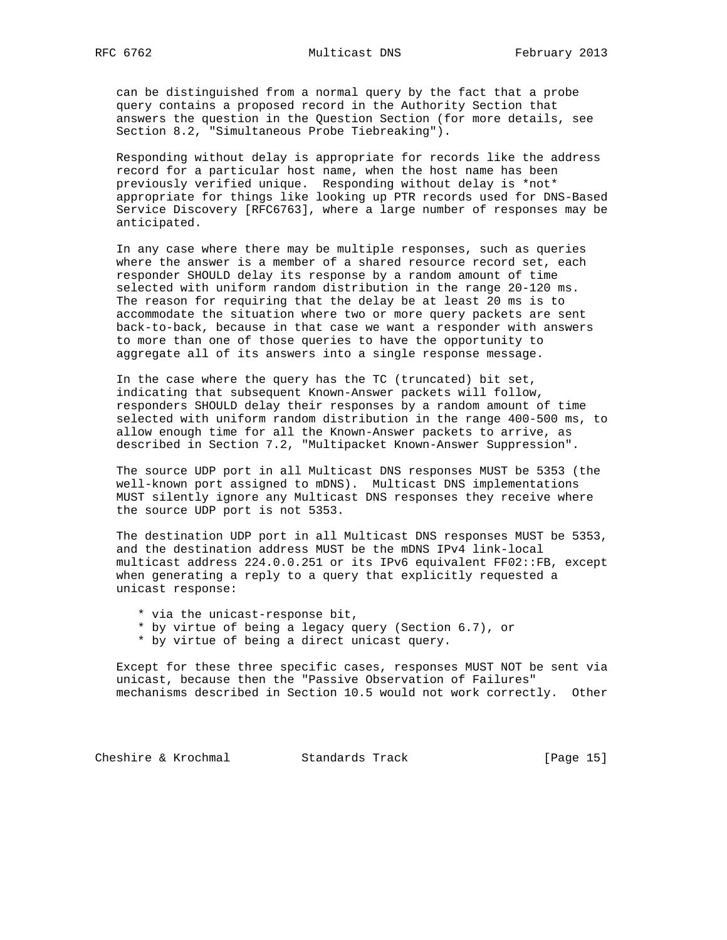can be distinguished from a normal query by the fact that a probe query contains a proposed record in the Authority Section that answers the question in the Question Section (for more details, see Section 8.2, "Simultaneous Probe Tiebreaking").

 Responding without delay is appropriate for records like the address record for a particular host name, when the host name has been previously verified unique. Responding without delay is \*not\* appropriate for things like looking up PTR records used for DNS-Based Service Discovery [RFC6763], where a large number of responses may be anticipated.

 In any case where there may be multiple responses, such as queries where the answer is a member of a shared resource record set, each responder SHOULD delay its response by a random amount of time selected with uniform random distribution in the range 20-120 ms. The reason for requiring that the delay be at least 20 ms is to accommodate the situation where two or more query packets are sent back-to-back, because in that case we want a responder with answers to more than one of those queries to have the opportunity to aggregate all of its answers into a single response message.

 In the case where the query has the TC (truncated) bit set, indicating that subsequent Known-Answer packets will follow, responders SHOULD delay their responses by a random amount of time selected with uniform random distribution in the range 400-500 ms, to allow enough time for all the Known-Answer packets to arrive, as described in Section 7.2, "Multipacket Known-Answer Suppression".

 The source UDP port in all Multicast DNS responses MUST be 5353 (the well-known port assigned to mDNS). Multicast DNS implementations MUST silently ignore any Multicast DNS responses they receive where the source UDP port is not 5353.

 The destination UDP port in all Multicast DNS responses MUST be 5353, and the destination address MUST be the mDNS IPv4 link-local multicast address 224.0.0.251 or its IPv6 equivalent FF02::FB, except when generating a reply to a query that explicitly requested a unicast response:

- \* via the unicast-response bit,
- \* by virtue of being a legacy query (Section 6.7), or
- \* by virtue of being a direct unicast query.

 Except for these three specific cases, responses MUST NOT be sent via unicast, because then the "Passive Observation of Failures" mechanisms described in Section 10.5 would not work correctly. Other

Cheshire & Krochmal Standards Track [Page 15]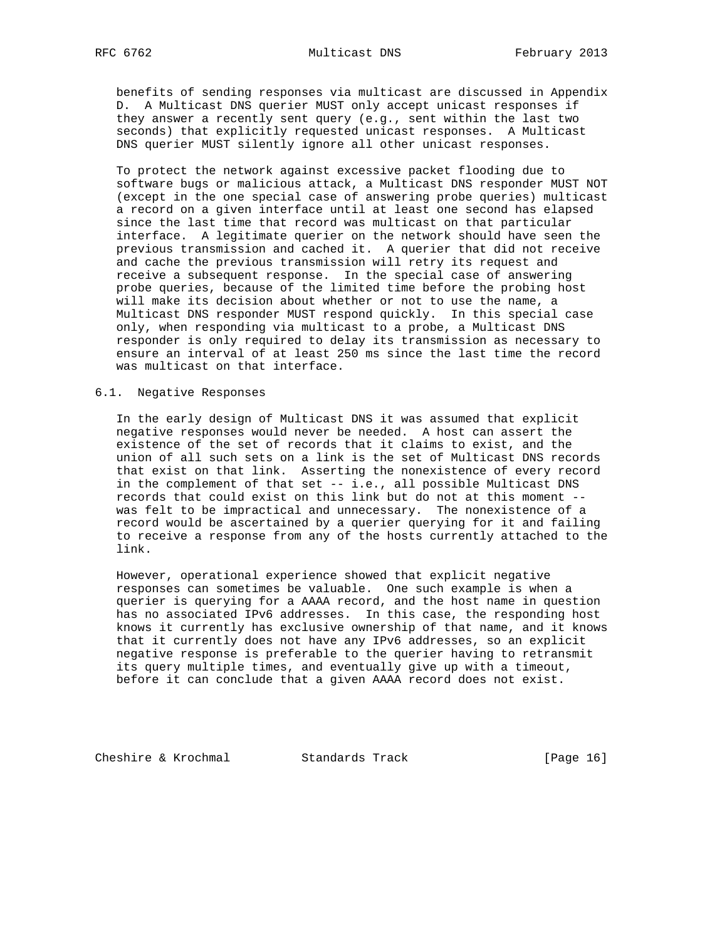benefits of sending responses via multicast are discussed in Appendix D. A Multicast DNS querier MUST only accept unicast responses if they answer a recently sent query (e.g., sent within the last two seconds) that explicitly requested unicast responses. A Multicast DNS querier MUST silently ignore all other unicast responses.

 To protect the network against excessive packet flooding due to software bugs or malicious attack, a Multicast DNS responder MUST NOT (except in the one special case of answering probe queries) multicast a record on a given interface until at least one second has elapsed since the last time that record was multicast on that particular interface. A legitimate querier on the network should have seen the previous transmission and cached it. A querier that did not receive and cache the previous transmission will retry its request and receive a subsequent response. In the special case of answering probe queries, because of the limited time before the probing host will make its decision about whether or not to use the name, a Multicast DNS responder MUST respond quickly. In this special case only, when responding via multicast to a probe, a Multicast DNS responder is only required to delay its transmission as necessary to ensure an interval of at least 250 ms since the last time the record was multicast on that interface.

## 6.1. Negative Responses

 In the early design of Multicast DNS it was assumed that explicit negative responses would never be needed. A host can assert the existence of the set of records that it claims to exist, and the union of all such sets on a link is the set of Multicast DNS records that exist on that link. Asserting the nonexistence of every record in the complement of that set -- i.e., all possible Multicast DNS records that could exist on this link but do not at this moment - was felt to be impractical and unnecessary. The nonexistence of a record would be ascertained by a querier querying for it and failing to receive a response from any of the hosts currently attached to the link.

 However, operational experience showed that explicit negative responses can sometimes be valuable. One such example is when a querier is querying for a AAAA record, and the host name in question has no associated IPv6 addresses. In this case, the responding host knows it currently has exclusive ownership of that name, and it knows that it currently does not have any IPv6 addresses, so an explicit negative response is preferable to the querier having to retransmit its query multiple times, and eventually give up with a timeout, before it can conclude that a given AAAA record does not exist.

Cheshire & Krochmal Standards Track [Page 16]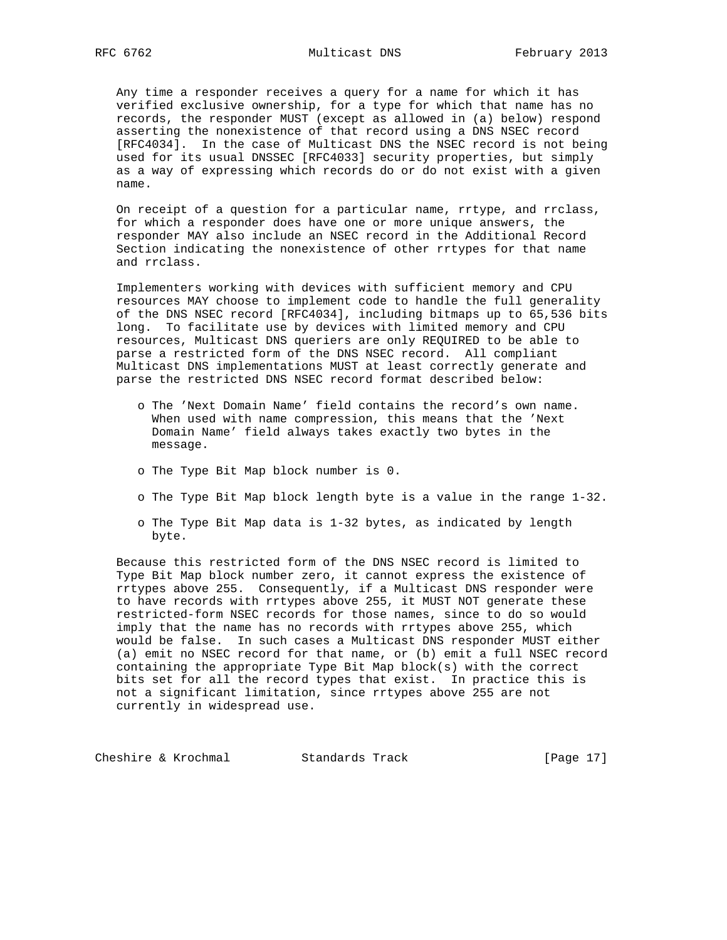Any time a responder receives a query for a name for which it has verified exclusive ownership, for a type for which that name has no records, the responder MUST (except as allowed in (a) below) respond asserting the nonexistence of that record using a DNS NSEC record [RFC4034]. In the case of Multicast DNS the NSEC record is not being used for its usual DNSSEC [RFC4033] security properties, but simply as a way of expressing which records do or do not exist with a given name.

 On receipt of a question for a particular name, rrtype, and rrclass, for which a responder does have one or more unique answers, the responder MAY also include an NSEC record in the Additional Record Section indicating the nonexistence of other rrtypes for that name and rrclass.

 Implementers working with devices with sufficient memory and CPU resources MAY choose to implement code to handle the full generality of the DNS NSEC record [RFC4034], including bitmaps up to 65,536 bits long. To facilitate use by devices with limited memory and CPU resources, Multicast DNS queriers are only REQUIRED to be able to parse a restricted form of the DNS NSEC record. All compliant Multicast DNS implementations MUST at least correctly generate and parse the restricted DNS NSEC record format described below:

- o The 'Next Domain Name' field contains the record's own name. When used with name compression, this means that the 'Next Domain Name' field always takes exactly two bytes in the message.
- o The Type Bit Map block number is 0.
- o The Type Bit Map block length byte is a value in the range 1-32.
- o The Type Bit Map data is 1-32 bytes, as indicated by length byte.

 Because this restricted form of the DNS NSEC record is limited to Type Bit Map block number zero, it cannot express the existence of rrtypes above 255. Consequently, if a Multicast DNS responder were to have records with rrtypes above 255, it MUST NOT generate these restricted-form NSEC records for those names, since to do so would imply that the name has no records with rrtypes above 255, which would be false. In such cases a Multicast DNS responder MUST either (a) emit no NSEC record for that name, or (b) emit a full NSEC record containing the appropriate Type Bit Map block(s) with the correct bits set for all the record types that exist. In practice this is not a significant limitation, since rrtypes above 255 are not currently in widespread use.

Cheshire & Krochmal Standards Track [Page 17]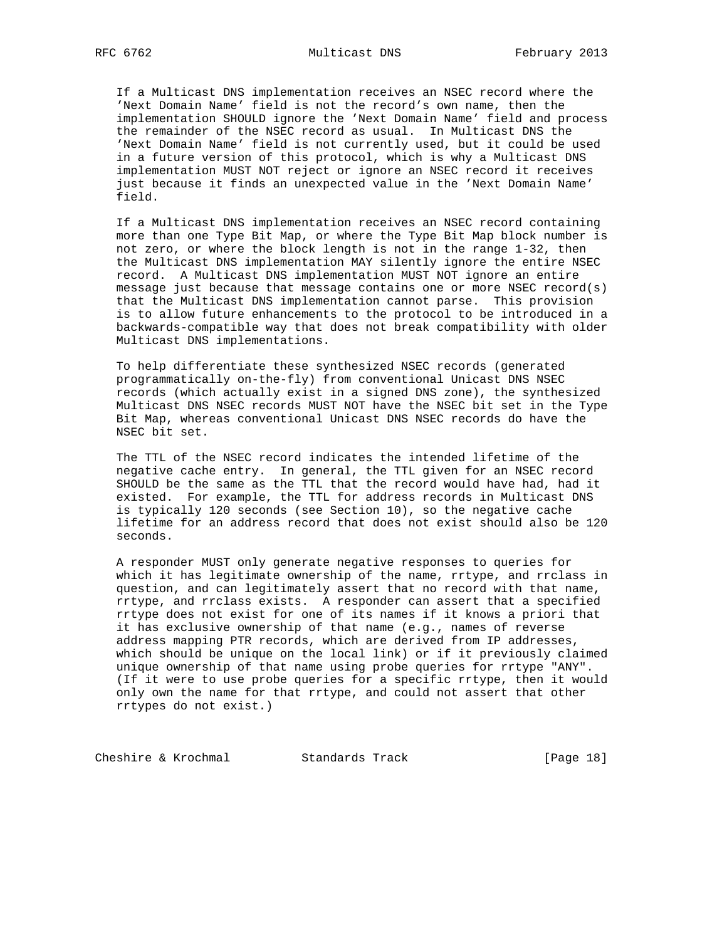If a Multicast DNS implementation receives an NSEC record where the 'Next Domain Name' field is not the record's own name, then the implementation SHOULD ignore the 'Next Domain Name' field and process the remainder of the NSEC record as usual. In Multicast DNS the 'Next Domain Name' field is not currently used, but it could be used in a future version of this protocol, which is why a Multicast DNS implementation MUST NOT reject or ignore an NSEC record it receives just because it finds an unexpected value in the 'Next Domain Name' field.

 If a Multicast DNS implementation receives an NSEC record containing more than one Type Bit Map, or where the Type Bit Map block number is not zero, or where the block length is not in the range 1-32, then the Multicast DNS implementation MAY silently ignore the entire NSEC record. A Multicast DNS implementation MUST NOT ignore an entire message just because that message contains one or more NSEC record(s) that the Multicast DNS implementation cannot parse. This provision is to allow future enhancements to the protocol to be introduced in a backwards-compatible way that does not break compatibility with older Multicast DNS implementations.

 To help differentiate these synthesized NSEC records (generated programmatically on-the-fly) from conventional Unicast DNS NSEC records (which actually exist in a signed DNS zone), the synthesized Multicast DNS NSEC records MUST NOT have the NSEC bit set in the Type Bit Map, whereas conventional Unicast DNS NSEC records do have the NSEC bit set.

 The TTL of the NSEC record indicates the intended lifetime of the negative cache entry. In general, the TTL given for an NSEC record SHOULD be the same as the TTL that the record would have had, had it existed. For example, the TTL for address records in Multicast DNS is typically 120 seconds (see Section 10), so the negative cache lifetime for an address record that does not exist should also be 120 seconds.

 A responder MUST only generate negative responses to queries for which it has legitimate ownership of the name, rrtype, and rrclass in question, and can legitimately assert that no record with that name, rrtype, and rrclass exists. A responder can assert that a specified rrtype does not exist for one of its names if it knows a priori that it has exclusive ownership of that name (e.g., names of reverse address mapping PTR records, which are derived from IP addresses, which should be unique on the local link) or if it previously claimed unique ownership of that name using probe queries for rrtype "ANY". (If it were to use probe queries for a specific rrtype, then it would only own the name for that rrtype, and could not assert that other rrtypes do not exist.)

Cheshire & Krochmal Standards Track [Page 18]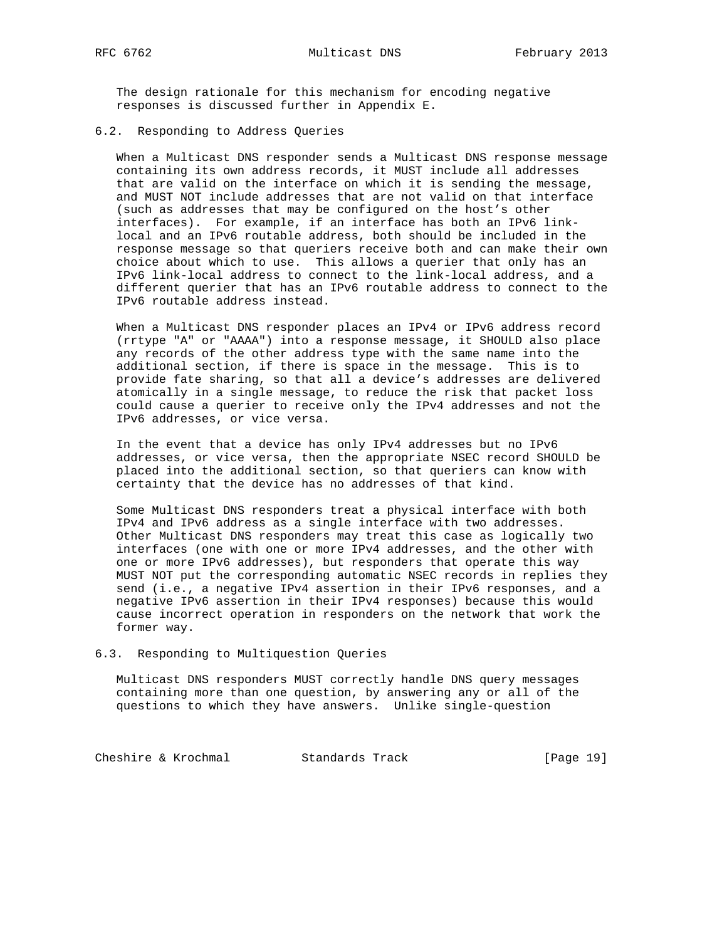The design rationale for this mechanism for encoding negative responses is discussed further in Appendix E.

## 6.2. Responding to Address Queries

 When a Multicast DNS responder sends a Multicast DNS response message containing its own address records, it MUST include all addresses that are valid on the interface on which it is sending the message, and MUST NOT include addresses that are not valid on that interface (such as addresses that may be configured on the host's other interfaces). For example, if an interface has both an IPv6 link local and an IPv6 routable address, both should be included in the response message so that queriers receive both and can make their own choice about which to use. This allows a querier that only has an IPv6 link-local address to connect to the link-local address, and a different querier that has an IPv6 routable address to connect to the IPv6 routable address instead.

 When a Multicast DNS responder places an IPv4 or IPv6 address record (rrtype "A" or "AAAA") into a response message, it SHOULD also place any records of the other address type with the same name into the additional section, if there is space in the message. This is to provide fate sharing, so that all a device's addresses are delivered atomically in a single message, to reduce the risk that packet loss could cause a querier to receive only the IPv4 addresses and not the IPv6 addresses, or vice versa.

 In the event that a device has only IPv4 addresses but no IPv6 addresses, or vice versa, then the appropriate NSEC record SHOULD be placed into the additional section, so that queriers can know with certainty that the device has no addresses of that kind.

 Some Multicast DNS responders treat a physical interface with both IPv4 and IPv6 address as a single interface with two addresses. Other Multicast DNS responders may treat this case as logically two interfaces (one with one or more IPv4 addresses, and the other with one or more IPv6 addresses), but responders that operate this way MUST NOT put the corresponding automatic NSEC records in replies they send (i.e., a negative IPv4 assertion in their IPv6 responses, and a negative IPv6 assertion in their IPv4 responses) because this would cause incorrect operation in responders on the network that work the former way.

### 6.3. Responding to Multiquestion Queries

 Multicast DNS responders MUST correctly handle DNS query messages containing more than one question, by answering any or all of the questions to which they have answers. Unlike single-question

Cheshire & Krochmal Standards Track [Page 19]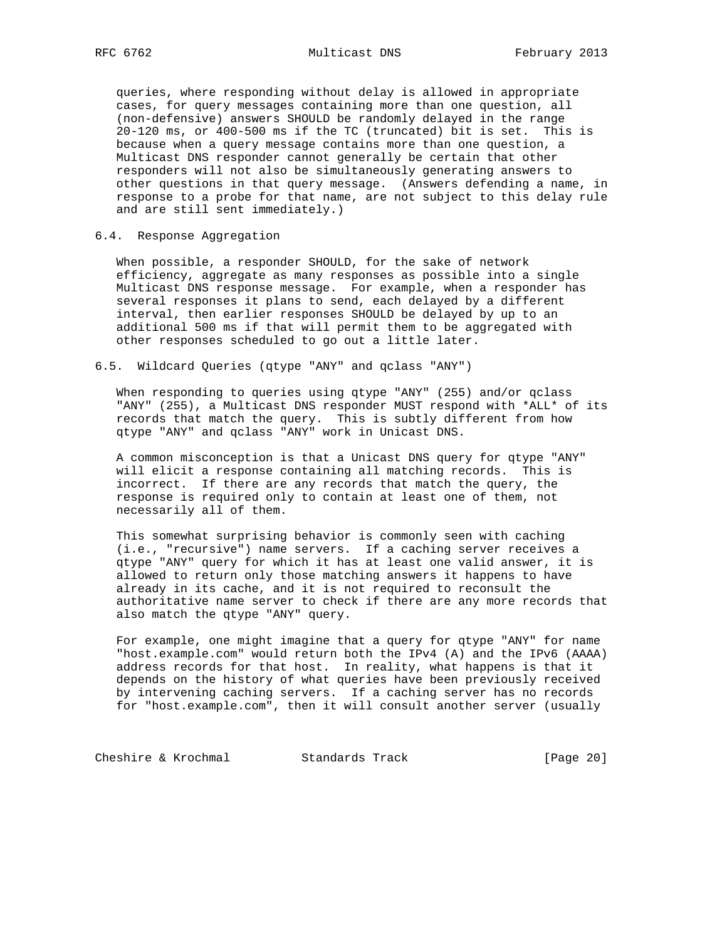queries, where responding without delay is allowed in appropriate cases, for query messages containing more than one question, all (non-defensive) answers SHOULD be randomly delayed in the range 20-120 ms, or 400-500 ms if the TC (truncated) bit is set. This is because when a query message contains more than one question, a Multicast DNS responder cannot generally be certain that other responders will not also be simultaneously generating answers to other questions in that query message. (Answers defending a name, in response to a probe for that name, are not subject to this delay rule and are still sent immediately.)

## 6.4. Response Aggregation

 When possible, a responder SHOULD, for the sake of network efficiency, aggregate as many responses as possible into a single Multicast DNS response message. For example, when a responder has several responses it plans to send, each delayed by a different interval, then earlier responses SHOULD be delayed by up to an additional 500 ms if that will permit them to be aggregated with other responses scheduled to go out a little later.

## 6.5. Wildcard Queries (qtype "ANY" and qclass "ANY")

 When responding to queries using qtype "ANY" (255) and/or qclass "ANY" (255), a Multicast DNS responder MUST respond with \*ALL\* of its records that match the query. This is subtly different from how qtype "ANY" and qclass "ANY" work in Unicast DNS.

 A common misconception is that a Unicast DNS query for qtype "ANY" will elicit a response containing all matching records. This is incorrect. If there are any records that match the query, the response is required only to contain at least one of them, not necessarily all of them.

 This somewhat surprising behavior is commonly seen with caching (i.e., "recursive") name servers. If a caching server receives a qtype "ANY" query for which it has at least one valid answer, it is allowed to return only those matching answers it happens to have already in its cache, and it is not required to reconsult the authoritative name server to check if there are any more records that also match the qtype "ANY" query.

 For example, one might imagine that a query for qtype "ANY" for name "host.example.com" would return both the IPv4 (A) and the IPv6 (AAAA) address records for that host. In reality, what happens is that it depends on the history of what queries have been previously received by intervening caching servers. If a caching server has no records for "host.example.com", then it will consult another server (usually

Cheshire & Krochmal Standards Track [Page 20]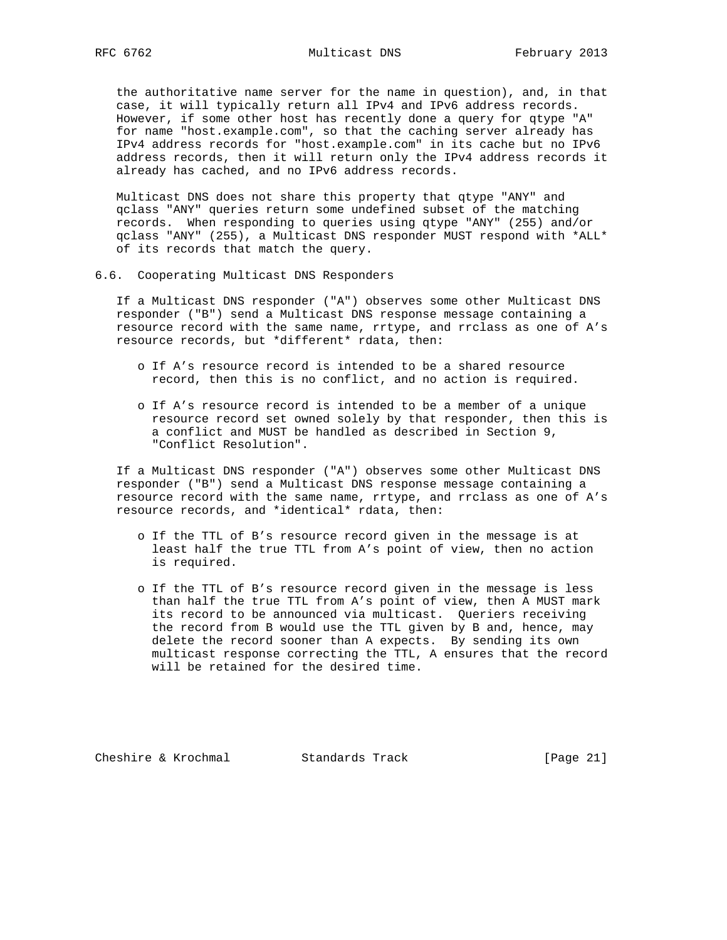the authoritative name server for the name in question), and, in that case, it will typically return all IPv4 and IPv6 address records. However, if some other host has recently done a query for qtype "A" for name "host.example.com", so that the caching server already has IPv4 address records for "host.example.com" in its cache but no IPv6 address records, then it will return only the IPv4 address records it already has cached, and no IPv6 address records.

 Multicast DNS does not share this property that qtype "ANY" and qclass "ANY" queries return some undefined subset of the matching records. When responding to queries using qtype "ANY" (255) and/or qclass "ANY" (255), a Multicast DNS responder MUST respond with \*ALL\* of its records that match the query.

6.6. Cooperating Multicast DNS Responders

 If a Multicast DNS responder ("A") observes some other Multicast DNS responder ("B") send a Multicast DNS response message containing a resource record with the same name, rrtype, and rrclass as one of A's resource records, but \*different\* rdata, then:

- o If A's resource record is intended to be a shared resource record, then this is no conflict, and no action is required.
- o If A's resource record is intended to be a member of a unique resource record set owned solely by that responder, then this is a conflict and MUST be handled as described in Section 9, "Conflict Resolution".

 If a Multicast DNS responder ("A") observes some other Multicast DNS responder ("B") send a Multicast DNS response message containing a resource record with the same name, rrtype, and rrclass as one of A's resource records, and \*identical\* rdata, then:

- o If the TTL of B's resource record given in the message is at least half the true TTL from A's point of view, then no action is required.
- o If the TTL of B's resource record given in the message is less than half the true TTL from A's point of view, then A MUST mark its record to be announced via multicast. Queriers receiving the record from B would use the TTL given by B and, hence, may delete the record sooner than A expects. By sending its own multicast response correcting the TTL, A ensures that the record will be retained for the desired time.

Cheshire & Krochmal Standards Track [Page 21]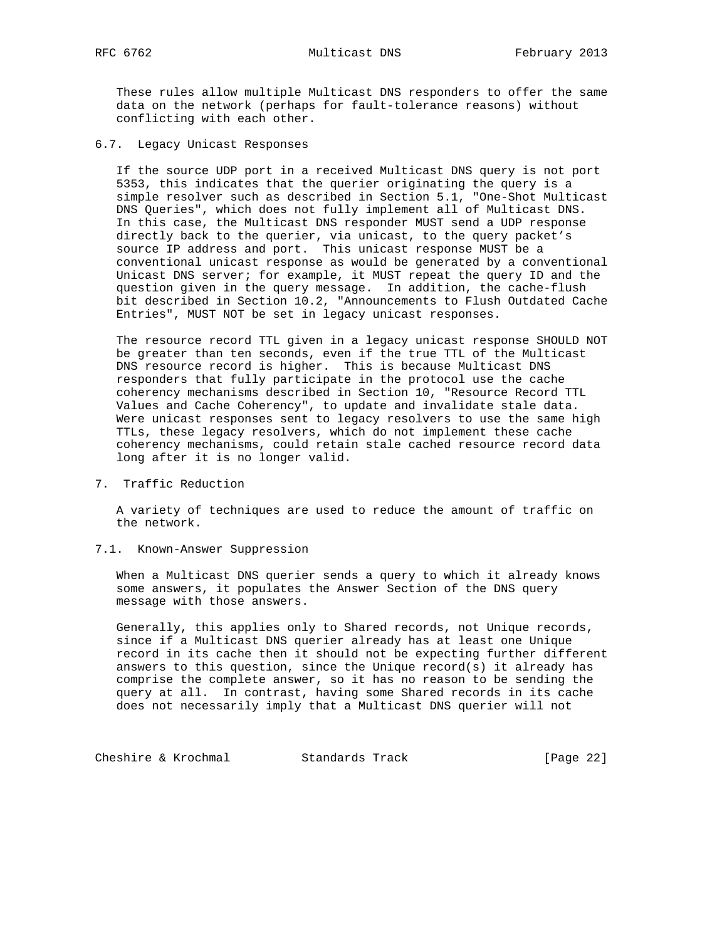These rules allow multiple Multicast DNS responders to offer the same data on the network (perhaps for fault-tolerance reasons) without conflicting with each other.

6.7. Legacy Unicast Responses

 If the source UDP port in a received Multicast DNS query is not port 5353, this indicates that the querier originating the query is a simple resolver such as described in Section 5.1, "One-Shot Multicast DNS Queries", which does not fully implement all of Multicast DNS. In this case, the Multicast DNS responder MUST send a UDP response directly back to the querier, via unicast, to the query packet's source IP address and port. This unicast response MUST be a conventional unicast response as would be generated by a conventional Unicast DNS server; for example, it MUST repeat the query ID and the question given in the query message. In addition, the cache-flush bit described in Section 10.2, "Announcements to Flush Outdated Cache Entries", MUST NOT be set in legacy unicast responses.

 The resource record TTL given in a legacy unicast response SHOULD NOT be greater than ten seconds, even if the true TTL of the Multicast DNS resource record is higher. This is because Multicast DNS responders that fully participate in the protocol use the cache coherency mechanisms described in Section 10, "Resource Record TTL Values and Cache Coherency", to update and invalidate stale data. Were unicast responses sent to legacy resolvers to use the same high TTLs, these legacy resolvers, which do not implement these cache coherency mechanisms, could retain stale cached resource record data long after it is no longer valid.

7. Traffic Reduction

 A variety of techniques are used to reduce the amount of traffic on the network.

7.1. Known-Answer Suppression

 When a Multicast DNS querier sends a query to which it already knows some answers, it populates the Answer Section of the DNS query message with those answers.

 Generally, this applies only to Shared records, not Unique records, since if a Multicast DNS querier already has at least one Unique record in its cache then it should not be expecting further different answers to this question, since the Unique record(s) it already has comprise the complete answer, so it has no reason to be sending the query at all. In contrast, having some Shared records in its cache does not necessarily imply that a Multicast DNS querier will not

Cheshire & Krochmal Standards Track [Page 22]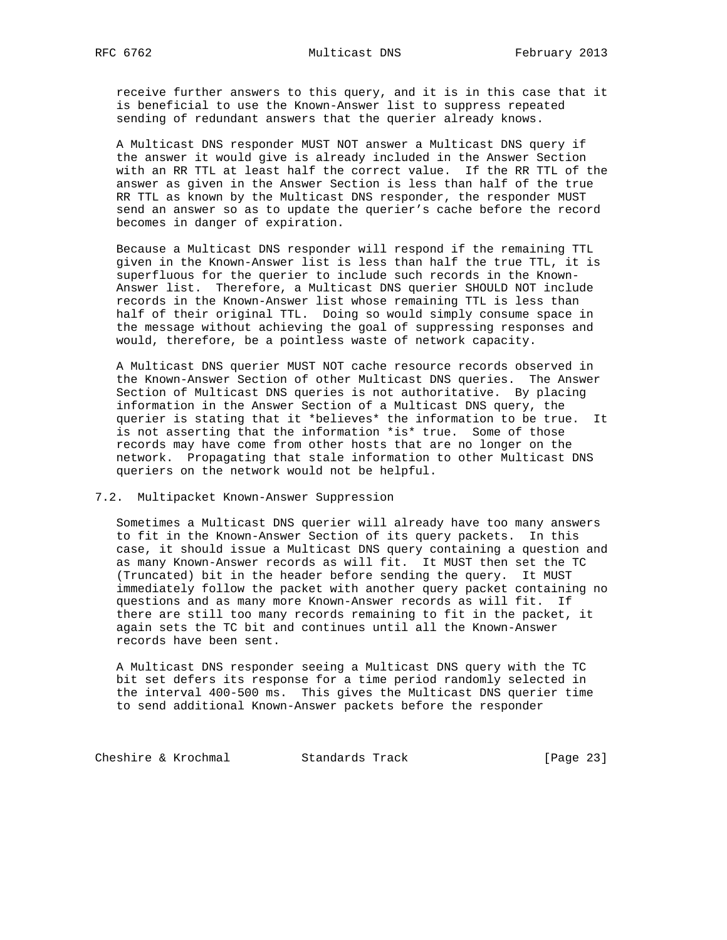receive further answers to this query, and it is in this case that it is beneficial to use the Known-Answer list to suppress repeated sending of redundant answers that the querier already knows.

 A Multicast DNS responder MUST NOT answer a Multicast DNS query if the answer it would give is already included in the Answer Section with an RR TTL at least half the correct value. If the RR TTL of the answer as given in the Answer Section is less than half of the true RR TTL as known by the Multicast DNS responder, the responder MUST send an answer so as to update the querier's cache before the record becomes in danger of expiration.

 Because a Multicast DNS responder will respond if the remaining TTL given in the Known-Answer list is less than half the true TTL, it is superfluous for the querier to include such records in the Known- Answer list. Therefore, a Multicast DNS querier SHOULD NOT include records in the Known-Answer list whose remaining TTL is less than half of their original TTL. Doing so would simply consume space in the message without achieving the goal of suppressing responses and would, therefore, be a pointless waste of network capacity.

 A Multicast DNS querier MUST NOT cache resource records observed in the Known-Answer Section of other Multicast DNS queries. The Answer Section of Multicast DNS queries is not authoritative. By placing information in the Answer Section of a Multicast DNS query, the querier is stating that it \*believes\* the information to be true. It is not asserting that the information \*is\* true. Some of those records may have come from other hosts that are no longer on the network. Propagating that stale information to other Multicast DNS queriers on the network would not be helpful.

## 7.2. Multipacket Known-Answer Suppression

 Sometimes a Multicast DNS querier will already have too many answers to fit in the Known-Answer Section of its query packets. In this case, it should issue a Multicast DNS query containing a question and as many Known-Answer records as will fit. It MUST then set the TC (Truncated) bit in the header before sending the query. It MUST immediately follow the packet with another query packet containing no questions and as many more Known-Answer records as will fit. If there are still too many records remaining to fit in the packet, it again sets the TC bit and continues until all the Known-Answer records have been sent.

 A Multicast DNS responder seeing a Multicast DNS query with the TC bit set defers its response for a time period randomly selected in the interval 400-500 ms. This gives the Multicast DNS querier time to send additional Known-Answer packets before the responder

Cheshire & Krochmal Standards Track [Page 23]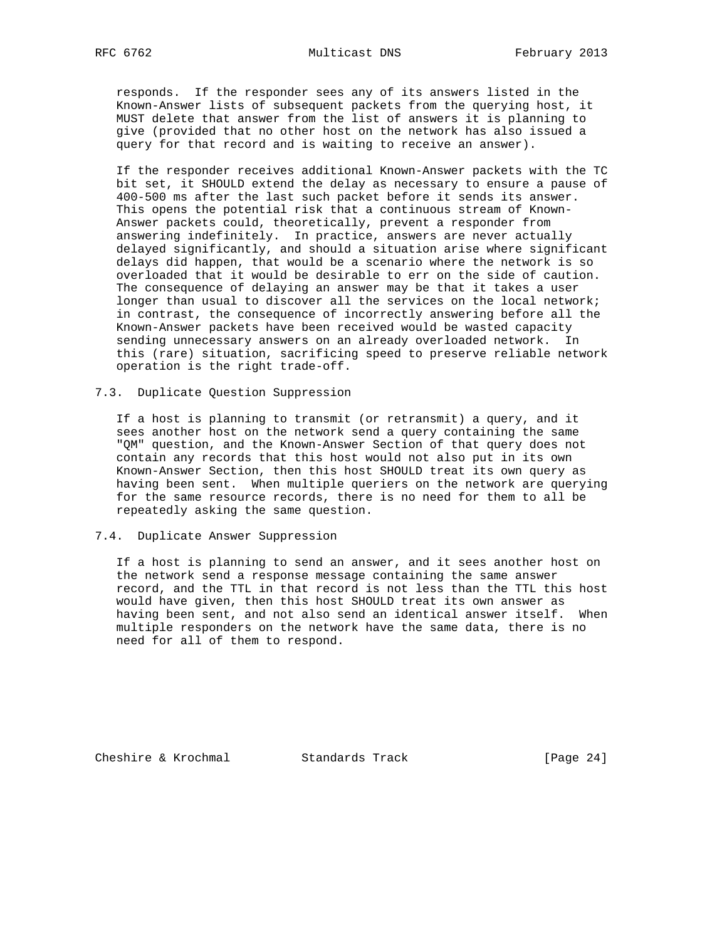responds. If the responder sees any of its answers listed in the Known-Answer lists of subsequent packets from the querying host, it MUST delete that answer from the list of answers it is planning to give (provided that no other host on the network has also issued a query for that record and is waiting to receive an answer).

 If the responder receives additional Known-Answer packets with the TC bit set, it SHOULD extend the delay as necessary to ensure a pause of 400-500 ms after the last such packet before it sends its answer. This opens the potential risk that a continuous stream of Known- Answer packets could, theoretically, prevent a responder from answering indefinitely. In practice, answers are never actually delayed significantly, and should a situation arise where significant delays did happen, that would be a scenario where the network is so overloaded that it would be desirable to err on the side of caution. The consequence of delaying an answer may be that it takes a user longer than usual to discover all the services on the local network; in contrast, the consequence of incorrectly answering before all the Known-Answer packets have been received would be wasted capacity sending unnecessary answers on an already overloaded network. In this (rare) situation, sacrificing speed to preserve reliable network operation is the right trade-off.

## 7.3. Duplicate Question Suppression

 If a host is planning to transmit (or retransmit) a query, and it sees another host on the network send a query containing the same "QM" question, and the Known-Answer Section of that query does not contain any records that this host would not also put in its own Known-Answer Section, then this host SHOULD treat its own query as having been sent. When multiple queriers on the network are querying for the same resource records, there is no need for them to all be repeatedly asking the same question.

### 7.4. Duplicate Answer Suppression

 If a host is planning to send an answer, and it sees another host on the network send a response message containing the same answer record, and the TTL in that record is not less than the TTL this host would have given, then this host SHOULD treat its own answer as having been sent, and not also send an identical answer itself. When multiple responders on the network have the same data, there is no need for all of them to respond.

Cheshire & Krochmal Standards Track [Page 24]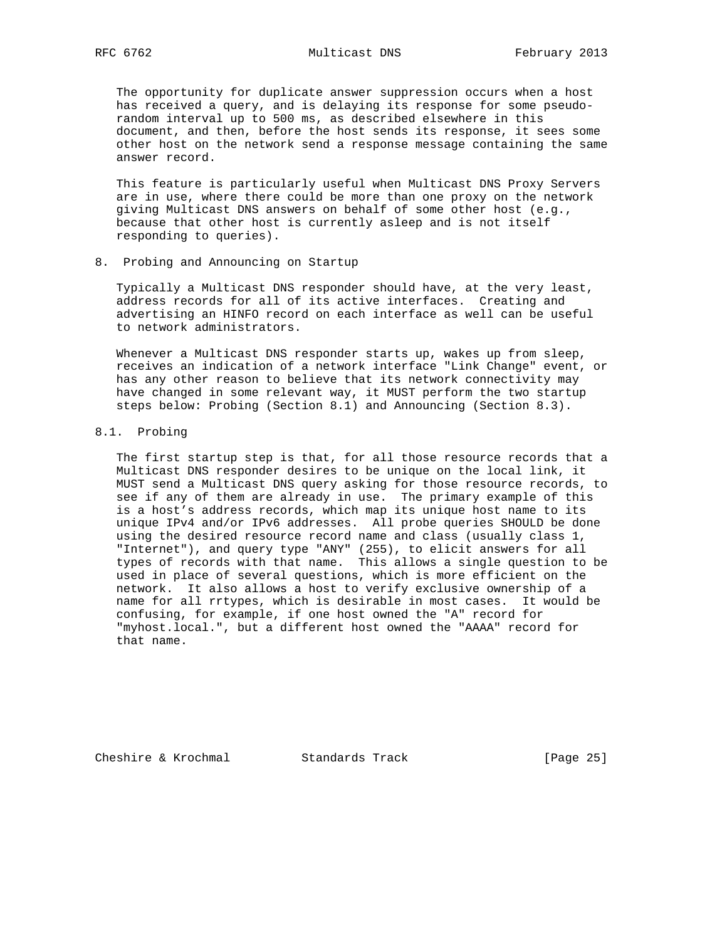The opportunity for duplicate answer suppression occurs when a host has received a query, and is delaying its response for some pseudo random interval up to 500 ms, as described elsewhere in this document, and then, before the host sends its response, it sees some other host on the network send a response message containing the same answer record.

 This feature is particularly useful when Multicast DNS Proxy Servers are in use, where there could be more than one proxy on the network giving Multicast DNS answers on behalf of some other host (e.g., because that other host is currently asleep and is not itself responding to queries).

8. Probing and Announcing on Startup

 Typically a Multicast DNS responder should have, at the very least, address records for all of its active interfaces. Creating and advertising an HINFO record on each interface as well can be useful to network administrators.

 Whenever a Multicast DNS responder starts up, wakes up from sleep, receives an indication of a network interface "Link Change" event, or has any other reason to believe that its network connectivity may have changed in some relevant way, it MUST perform the two startup steps below: Probing (Section 8.1) and Announcing (Section 8.3).

8.1. Probing

 The first startup step is that, for all those resource records that a Multicast DNS responder desires to be unique on the local link, it MUST send a Multicast DNS query asking for those resource records, to see if any of them are already in use. The primary example of this is a host's address records, which map its unique host name to its unique IPv4 and/or IPv6 addresses. All probe queries SHOULD be done using the desired resource record name and class (usually class 1, "Internet"), and query type "ANY" (255), to elicit answers for all types of records with that name. This allows a single question to be used in place of several questions, which is more efficient on the network. It also allows a host to verify exclusive ownership of a name for all rrtypes, which is desirable in most cases. It would be confusing, for example, if one host owned the "A" record for "myhost.local.", but a different host owned the "AAAA" record for that name.

Cheshire & Krochmal Standards Track [Page 25]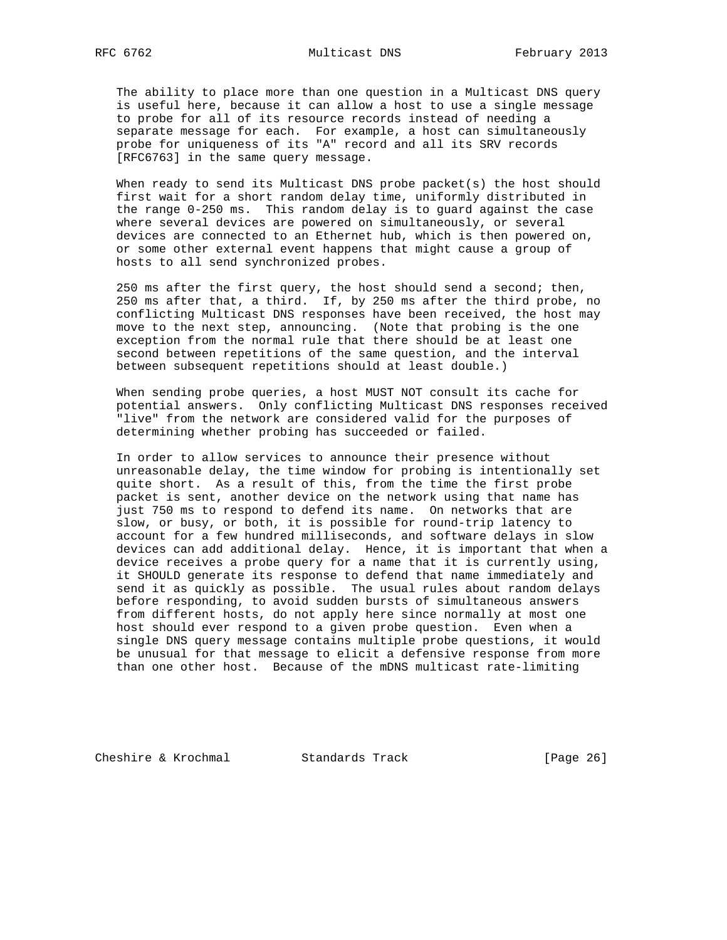The ability to place more than one question in a Multicast DNS query is useful here, because it can allow a host to use a single message to probe for all of its resource records instead of needing a separate message for each. For example, a host can simultaneously probe for uniqueness of its "A" record and all its SRV records [RFC6763] in the same query message.

 When ready to send its Multicast DNS probe packet(s) the host should first wait for a short random delay time, uniformly distributed in the range 0-250 ms. This random delay is to guard against the case where several devices are powered on simultaneously, or several devices are connected to an Ethernet hub, which is then powered on, or some other external event happens that might cause a group of hosts to all send synchronized probes.

 250 ms after the first query, the host should send a second; then, 250 ms after that, a third. If, by 250 ms after the third probe, no conflicting Multicast DNS responses have been received, the host may move to the next step, announcing. (Note that probing is the one exception from the normal rule that there should be at least one second between repetitions of the same question, and the interval between subsequent repetitions should at least double.)

 When sending probe queries, a host MUST NOT consult its cache for potential answers. Only conflicting Multicast DNS responses received "live" from the network are considered valid for the purposes of determining whether probing has succeeded or failed.

 In order to allow services to announce their presence without unreasonable delay, the time window for probing is intentionally set quite short. As a result of this, from the time the first probe packet is sent, another device on the network using that name has just 750 ms to respond to defend its name. On networks that are slow, or busy, or both, it is possible for round-trip latency to account for a few hundred milliseconds, and software delays in slow devices can add additional delay. Hence, it is important that when a device receives a probe query for a name that it is currently using, it SHOULD generate its response to defend that name immediately and send it as quickly as possible. The usual rules about random delays before responding, to avoid sudden bursts of simultaneous answers from different hosts, do not apply here since normally at most one host should ever respond to a given probe question. Even when a single DNS query message contains multiple probe questions, it would be unusual for that message to elicit a defensive response from more than one other host. Because of the mDNS multicast rate-limiting

Cheshire & Krochmal Standards Track [Page 26]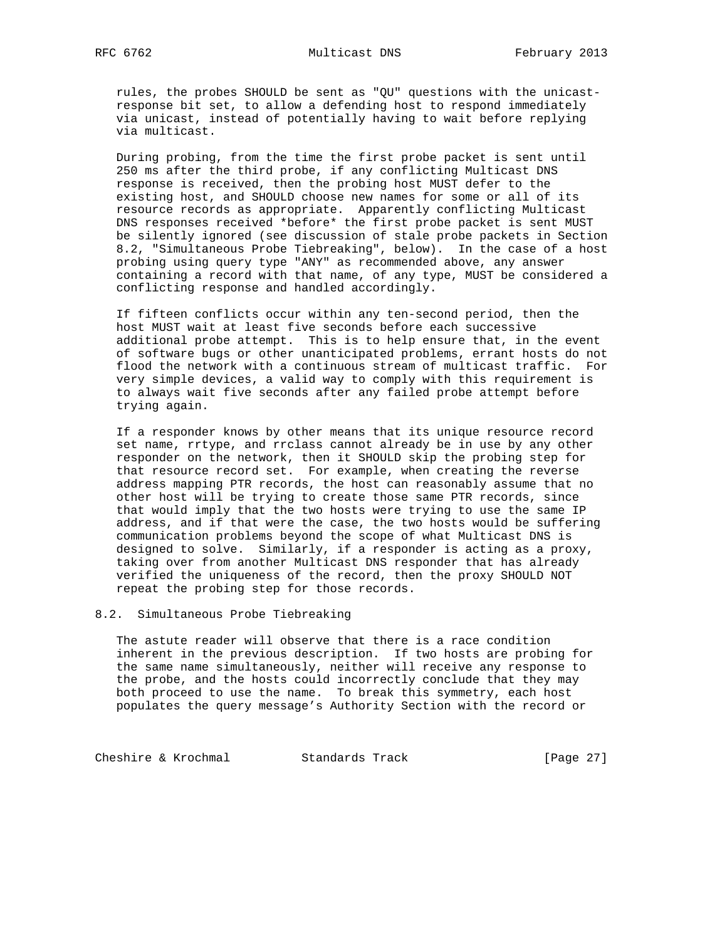rules, the probes SHOULD be sent as "QU" questions with the unicast response bit set, to allow a defending host to respond immediately via unicast, instead of potentially having to wait before replying via multicast.

 During probing, from the time the first probe packet is sent until 250 ms after the third probe, if any conflicting Multicast DNS response is received, then the probing host MUST defer to the existing host, and SHOULD choose new names for some or all of its resource records as appropriate. Apparently conflicting Multicast DNS responses received \*before\* the first probe packet is sent MUST be silently ignored (see discussion of stale probe packets in Section 8.2, "Simultaneous Probe Tiebreaking", below). In the case of a host probing using query type "ANY" as recommended above, any answer containing a record with that name, of any type, MUST be considered a conflicting response and handled accordingly.

 If fifteen conflicts occur within any ten-second period, then the host MUST wait at least five seconds before each successive additional probe attempt. This is to help ensure that, in the event of software bugs or other unanticipated problems, errant hosts do not flood the network with a continuous stream of multicast traffic. For very simple devices, a valid way to comply with this requirement is to always wait five seconds after any failed probe attempt before trying again.

 If a responder knows by other means that its unique resource record set name, rrtype, and rrclass cannot already be in use by any other responder on the network, then it SHOULD skip the probing step for that resource record set. For example, when creating the reverse address mapping PTR records, the host can reasonably assume that no other host will be trying to create those same PTR records, since that would imply that the two hosts were trying to use the same IP address, and if that were the case, the two hosts would be suffering communication problems beyond the scope of what Multicast DNS is designed to solve. Similarly, if a responder is acting as a proxy, taking over from another Multicast DNS responder that has already verified the uniqueness of the record, then the proxy SHOULD NOT repeat the probing step for those records.

#### 8.2. Simultaneous Probe Tiebreaking

 The astute reader will observe that there is a race condition inherent in the previous description. If two hosts are probing for the same name simultaneously, neither will receive any response to the probe, and the hosts could incorrectly conclude that they may both proceed to use the name. To break this symmetry, each host populates the query message's Authority Section with the record or

Cheshire & Krochmal Standards Track [Page 27]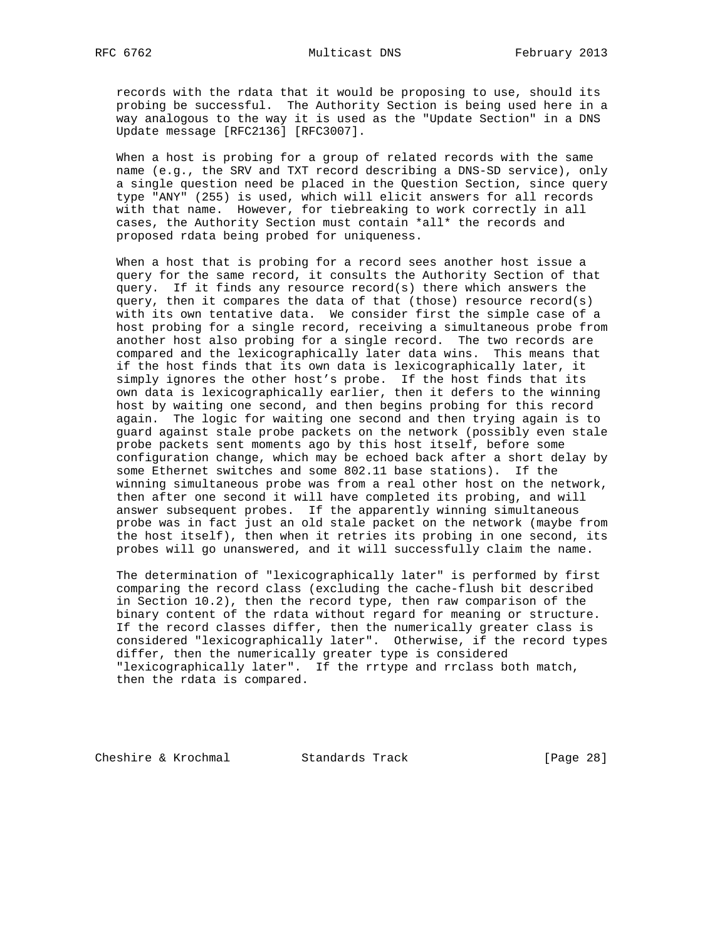records with the rdata that it would be proposing to use, should its probing be successful. The Authority Section is being used here in a way analogous to the way it is used as the "Update Section" in a DNS Update message [RFC2136] [RFC3007].

 When a host is probing for a group of related records with the same name (e.g., the SRV and TXT record describing a DNS-SD service), only a single question need be placed in the Question Section, since query type "ANY" (255) is used, which will elicit answers for all records with that name. However, for tiebreaking to work correctly in all cases, the Authority Section must contain \*all\* the records and proposed rdata being probed for uniqueness.

 When a host that is probing for a record sees another host issue a query for the same record, it consults the Authority Section of that query. If it finds any resource record(s) there which answers the query, then it compares the data of that (those) resource record(s) with its own tentative data. We consider first the simple case of a host probing for a single record, receiving a simultaneous probe from another host also probing for a single record. The two records are compared and the lexicographically later data wins. This means that if the host finds that its own data is lexicographically later, it simply ignores the other host's probe. If the host finds that its own data is lexicographically earlier, then it defers to the winning host by waiting one second, and then begins probing for this record again. The logic for waiting one second and then trying again is to guard against stale probe packets on the network (possibly even stale probe packets sent moments ago by this host itself, before some configuration change, which may be echoed back after a short delay by some Ethernet switches and some 802.11 base stations). If the winning simultaneous probe was from a real other host on the network, then after one second it will have completed its probing, and will answer subsequent probes. If the apparently winning simultaneous probe was in fact just an old stale packet on the network (maybe from the host itself), then when it retries its probing in one second, its probes will go unanswered, and it will successfully claim the name.

 The determination of "lexicographically later" is performed by first comparing the record class (excluding the cache-flush bit described in Section 10.2), then the record type, then raw comparison of the binary content of the rdata without regard for meaning or structure. If the record classes differ, then the numerically greater class is considered "lexicographically later". Otherwise, if the record types differ, then the numerically greater type is considered "lexicographically later". If the rrtype and rrclass both match, then the rdata is compared.

Cheshire & Krochmal Standards Track [Page 28]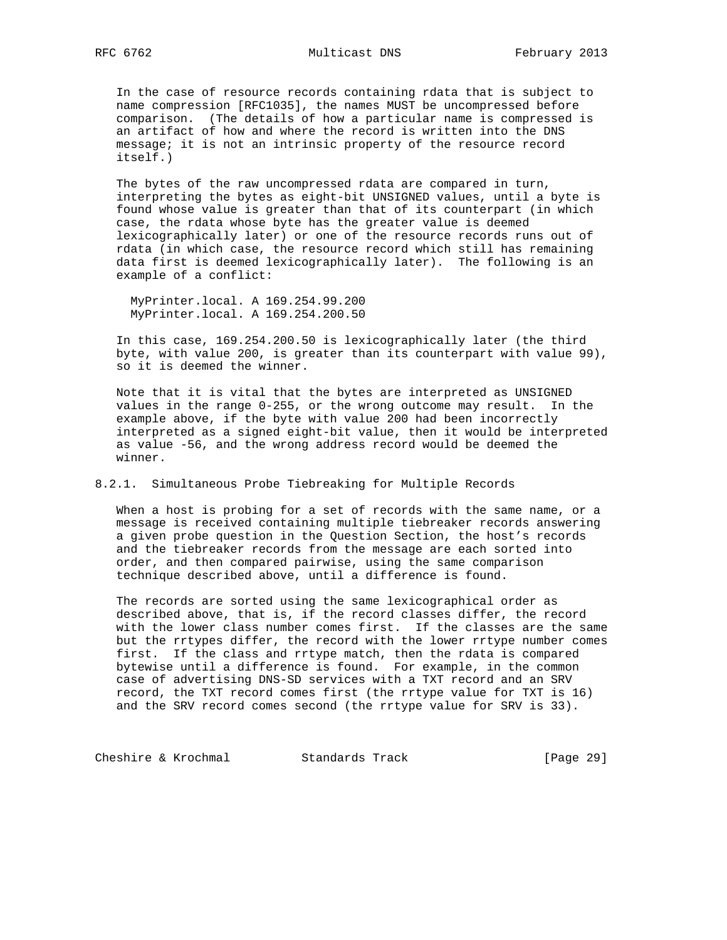In the case of resource records containing rdata that is subject to name compression [RFC1035], the names MUST be uncompressed before comparison. (The details of how a particular name is compressed is an artifact of how and where the record is written into the DNS message; it is not an intrinsic property of the resource record itself.)

 The bytes of the raw uncompressed rdata are compared in turn, interpreting the bytes as eight-bit UNSIGNED values, until a byte is found whose value is greater than that of its counterpart (in which case, the rdata whose byte has the greater value is deemed lexicographically later) or one of the resource records runs out of rdata (in which case, the resource record which still has remaining data first is deemed lexicographically later). The following is an example of a conflict:

 MyPrinter.local. A 169.254.99.200 MyPrinter.local. A 169.254.200.50

 In this case, 169.254.200.50 is lexicographically later (the third byte, with value 200, is greater than its counterpart with value 99), so it is deemed the winner.

 Note that it is vital that the bytes are interpreted as UNSIGNED values in the range 0-255, or the wrong outcome may result. In the example above, if the byte with value 200 had been incorrectly interpreted as a signed eight-bit value, then it would be interpreted as value -56, and the wrong address record would be deemed the winner.

8.2.1. Simultaneous Probe Tiebreaking for Multiple Records

 When a host is probing for a set of records with the same name, or a message is received containing multiple tiebreaker records answering a given probe question in the Question Section, the host's records and the tiebreaker records from the message are each sorted into order, and then compared pairwise, using the same comparison technique described above, until a difference is found.

 The records are sorted using the same lexicographical order as described above, that is, if the record classes differ, the record with the lower class number comes first. If the classes are the same but the rrtypes differ, the record with the lower rrtype number comes first. If the class and rrtype match, then the rdata is compared bytewise until a difference is found. For example, in the common case of advertising DNS-SD services with a TXT record and an SRV record, the TXT record comes first (the rrtype value for TXT is 16) and the SRV record comes second (the rrtype value for SRV is 33).

Cheshire & Krochmal Standards Track [Page 29]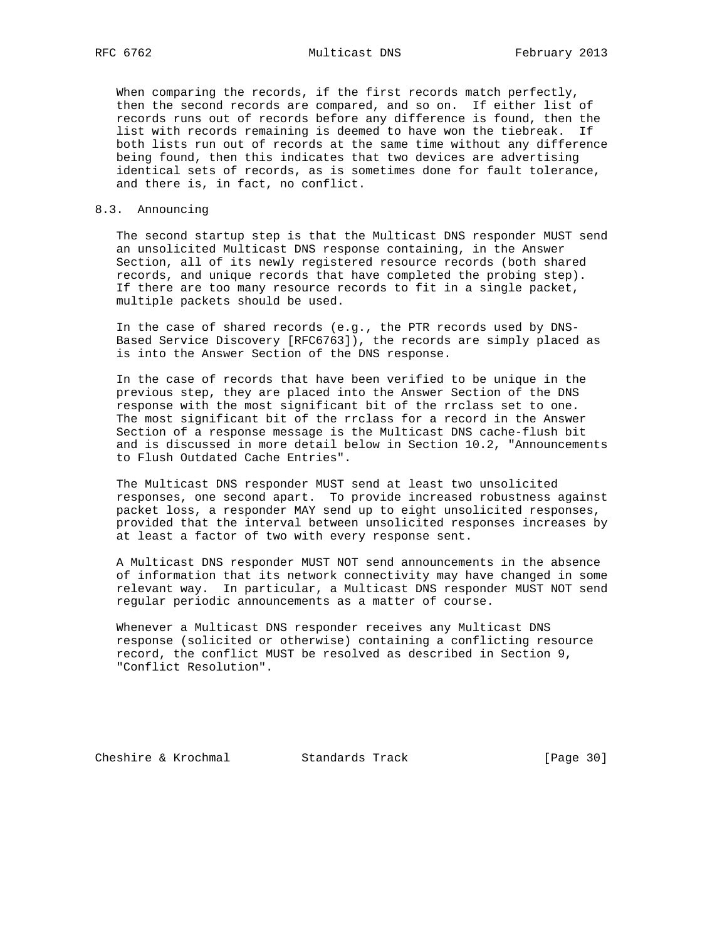When comparing the records, if the first records match perfectly, then the second records are compared, and so on. If either list of records runs out of records before any difference is found, then the list with records remaining is deemed to have won the tiebreak. If both lists run out of records at the same time without any difference being found, then this indicates that two devices are advertising identical sets of records, as is sometimes done for fault tolerance, and there is, in fact, no conflict.

### 8.3. Announcing

 The second startup step is that the Multicast DNS responder MUST send an unsolicited Multicast DNS response containing, in the Answer Section, all of its newly registered resource records (both shared records, and unique records that have completed the probing step). If there are too many resource records to fit in a single packet, multiple packets should be used.

 In the case of shared records (e.g., the PTR records used by DNS- Based Service Discovery [RFC6763]), the records are simply placed as is into the Answer Section of the DNS response.

 In the case of records that have been verified to be unique in the previous step, they are placed into the Answer Section of the DNS response with the most significant bit of the rrclass set to one. The most significant bit of the rrclass for a record in the Answer Section of a response message is the Multicast DNS cache-flush bit and is discussed in more detail below in Section 10.2, "Announcements to Flush Outdated Cache Entries".

 The Multicast DNS responder MUST send at least two unsolicited responses, one second apart. To provide increased robustness against packet loss, a responder MAY send up to eight unsolicited responses, provided that the interval between unsolicited responses increases by at least a factor of two with every response sent.

 A Multicast DNS responder MUST NOT send announcements in the absence of information that its network connectivity may have changed in some relevant way. In particular, a Multicast DNS responder MUST NOT send regular periodic announcements as a matter of course.

 Whenever a Multicast DNS responder receives any Multicast DNS response (solicited or otherwise) containing a conflicting resource record, the conflict MUST be resolved as described in Section 9, "Conflict Resolution".

Cheshire & Krochmal Standards Track [Page 30]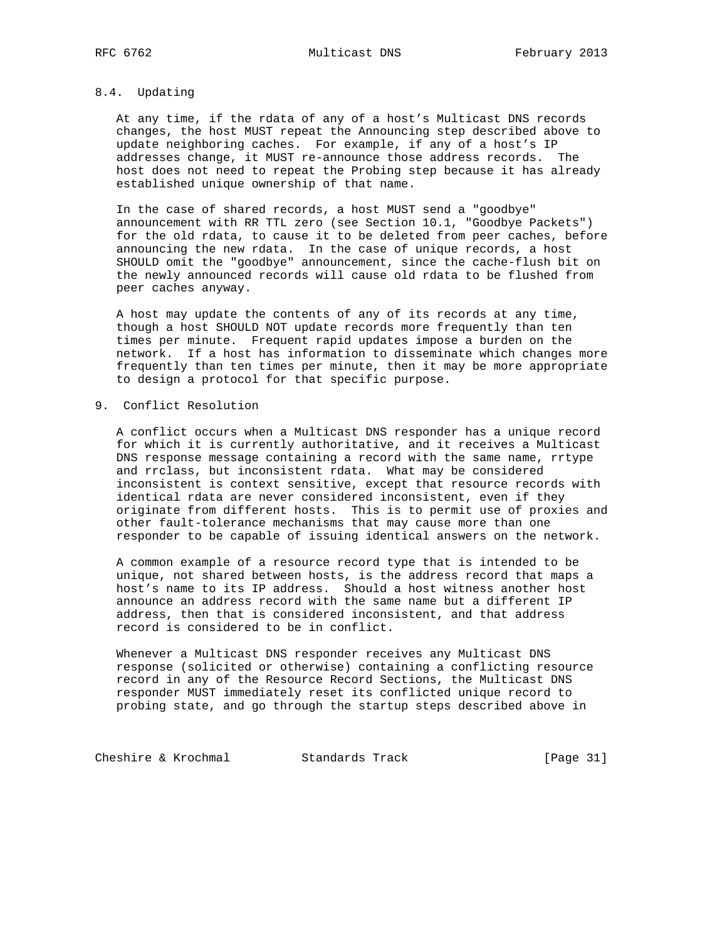# 8.4. Updating

 At any time, if the rdata of any of a host's Multicast DNS records changes, the host MUST repeat the Announcing step described above to update neighboring caches. For example, if any of a host's IP addresses change, it MUST re-announce those address records. The host does not need to repeat the Probing step because it has already established unique ownership of that name.

 In the case of shared records, a host MUST send a "goodbye" announcement with RR TTL zero (see Section 10.1, "Goodbye Packets") for the old rdata, to cause it to be deleted from peer caches, before announcing the new rdata. In the case of unique records, a host SHOULD omit the "goodbye" announcement, since the cache-flush bit on the newly announced records will cause old rdata to be flushed from peer caches anyway.

 A host may update the contents of any of its records at any time, though a host SHOULD NOT update records more frequently than ten times per minute. Frequent rapid updates impose a burden on the network. If a host has information to disseminate which changes more frequently than ten times per minute, then it may be more appropriate to design a protocol for that specific purpose.

# 9. Conflict Resolution

 A conflict occurs when a Multicast DNS responder has a unique record for which it is currently authoritative, and it receives a Multicast DNS response message containing a record with the same name, rrtype and rrclass, but inconsistent rdata. What may be considered inconsistent is context sensitive, except that resource records with identical rdata are never considered inconsistent, even if they originate from different hosts. This is to permit use of proxies and other fault-tolerance mechanisms that may cause more than one responder to be capable of issuing identical answers on the network.

 A common example of a resource record type that is intended to be unique, not shared between hosts, is the address record that maps a host's name to its IP address. Should a host witness another host announce an address record with the same name but a different IP address, then that is considered inconsistent, and that address record is considered to be in conflict.

 Whenever a Multicast DNS responder receives any Multicast DNS response (solicited or otherwise) containing a conflicting resource record in any of the Resource Record Sections, the Multicast DNS responder MUST immediately reset its conflicted unique record to probing state, and go through the startup steps described above in

Cheshire & Krochmal Standards Track [Page 31]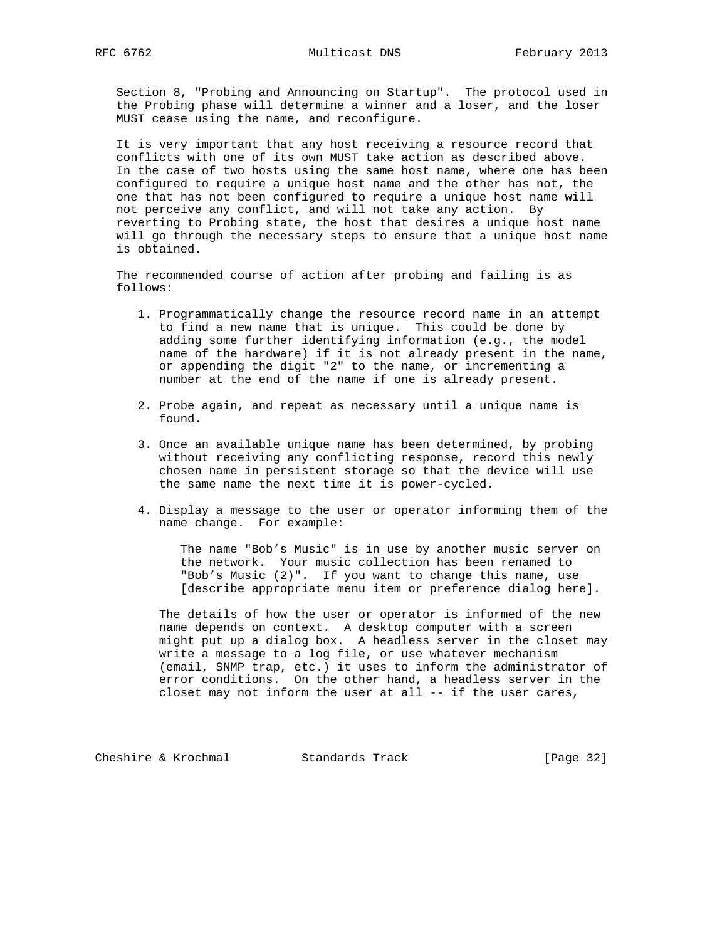Section 8, "Probing and Announcing on Startup". The protocol used in the Probing phase will determine a winner and a loser, and the loser MUST cease using the name, and reconfigure.

 It is very important that any host receiving a resource record that conflicts with one of its own MUST take action as described above. In the case of two hosts using the same host name, where one has been configured to require a unique host name and the other has not, the one that has not been configured to require a unique host name will not perceive any conflict, and will not take any action. By reverting to Probing state, the host that desires a unique host name will go through the necessary steps to ensure that a unique host name is obtained.

 The recommended course of action after probing and failing is as follows:

- 1. Programmatically change the resource record name in an attempt to find a new name that is unique. This could be done by adding some further identifying information (e.g., the model name of the hardware) if it is not already present in the name, or appending the digit "2" to the name, or incrementing a number at the end of the name if one is already present.
- 2. Probe again, and repeat as necessary until a unique name is found.
- 3. Once an available unique name has been determined, by probing without receiving any conflicting response, record this newly chosen name in persistent storage so that the device will use the same name the next time it is power-cycled.
- 4. Display a message to the user or operator informing them of the name change. For example:

 The name "Bob's Music" is in use by another music server on the network. Your music collection has been renamed to "Bob's Music (2)". If you want to change this name, use [describe appropriate menu item or preference dialog here].

 The details of how the user or operator is informed of the new name depends on context. A desktop computer with a screen might put up a dialog box. A headless server in the closet may write a message to a log file, or use whatever mechanism (email, SNMP trap, etc.) it uses to inform the administrator of error conditions. On the other hand, a headless server in the closet may not inform the user at all -- if the user cares,

Cheshire & Krochmal Standards Track [Page 32]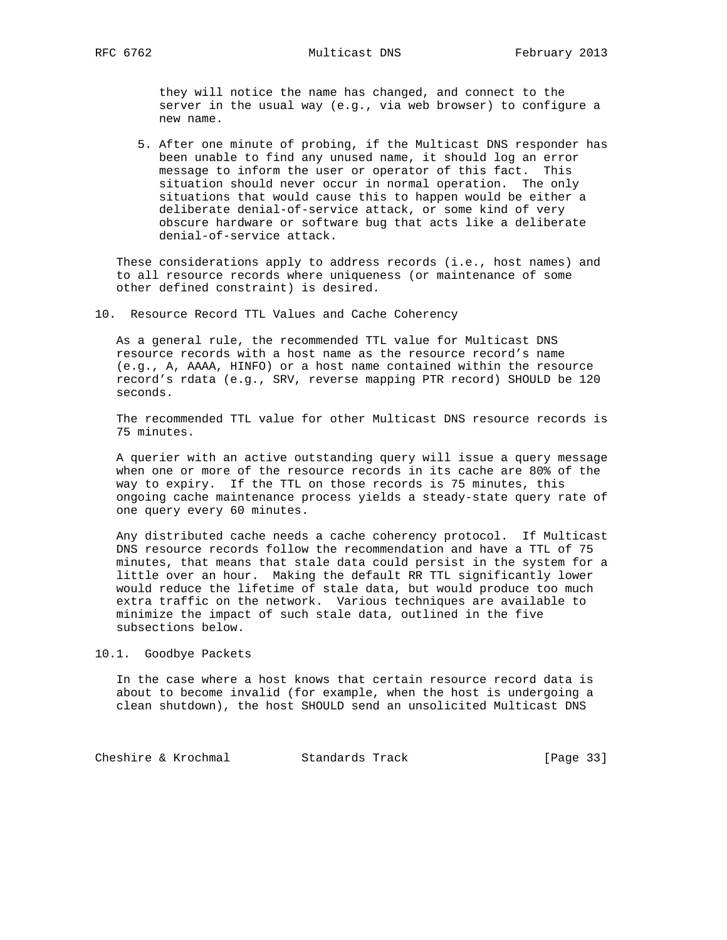they will notice the name has changed, and connect to the server in the usual way (e.g., via web browser) to configure a new name.

 5. After one minute of probing, if the Multicast DNS responder has been unable to find any unused name, it should log an error message to inform the user or operator of this fact. This situation should never occur in normal operation. The only situations that would cause this to happen would be either a deliberate denial-of-service attack, or some kind of very obscure hardware or software bug that acts like a deliberate denial-of-service attack.

 These considerations apply to address records (i.e., host names) and to all resource records where uniqueness (or maintenance of some other defined constraint) is desired.

10. Resource Record TTL Values and Cache Coherency

 As a general rule, the recommended TTL value for Multicast DNS resource records with a host name as the resource record's name (e.g., A, AAAA, HINFO) or a host name contained within the resource record's rdata (e.g., SRV, reverse mapping PTR record) SHOULD be 120 seconds.

 The recommended TTL value for other Multicast DNS resource records is 75 minutes.

 A querier with an active outstanding query will issue a query message when one or more of the resource records in its cache are 80% of the way to expiry. If the TTL on those records is 75 minutes, this ongoing cache maintenance process yields a steady-state query rate of one query every 60 minutes.

 Any distributed cache needs a cache coherency protocol. If Multicast DNS resource records follow the recommendation and have a TTL of 75 minutes, that means that stale data could persist in the system for a little over an hour. Making the default RR TTL significantly lower would reduce the lifetime of stale data, but would produce too much extra traffic on the network. Various techniques are available to minimize the impact of such stale data, outlined in the five subsections below.

10.1. Goodbye Packets

 In the case where a host knows that certain resource record data is about to become invalid (for example, when the host is undergoing a clean shutdown), the host SHOULD send an unsolicited Multicast DNS

Cheshire & Krochmal Standards Track [Page 33]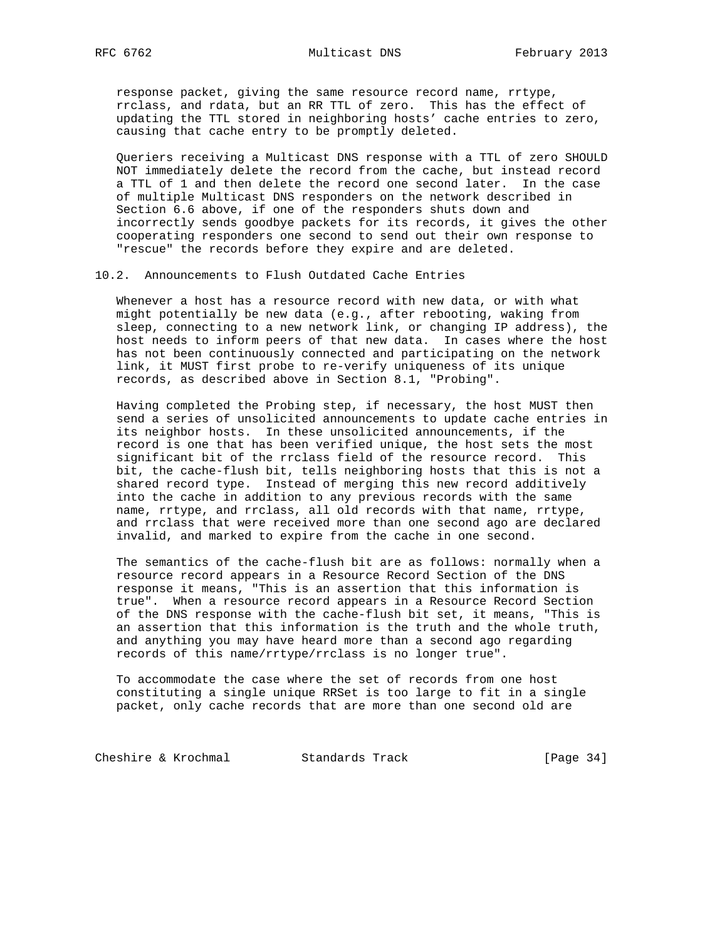response packet, giving the same resource record name, rrtype, rrclass, and rdata, but an RR TTL of zero. This has the effect of updating the TTL stored in neighboring hosts' cache entries to zero, causing that cache entry to be promptly deleted.

 Queriers receiving a Multicast DNS response with a TTL of zero SHOULD NOT immediately delete the record from the cache, but instead record a TTL of 1 and then delete the record one second later. In the case of multiple Multicast DNS responders on the network described in Section 6.6 above, if one of the responders shuts down and incorrectly sends goodbye packets for its records, it gives the other cooperating responders one second to send out their own response to "rescue" the records before they expire and are deleted.

### 10.2. Announcements to Flush Outdated Cache Entries

 Whenever a host has a resource record with new data, or with what might potentially be new data (e.g., after rebooting, waking from sleep, connecting to a new network link, or changing IP address), the host needs to inform peers of that new data. In cases where the host has not been continuously connected and participating on the network link, it MUST first probe to re-verify uniqueness of its unique records, as described above in Section 8.1, "Probing".

 Having completed the Probing step, if necessary, the host MUST then send a series of unsolicited announcements to update cache entries in its neighbor hosts. In these unsolicited announcements, if the record is one that has been verified unique, the host sets the most significant bit of the rrclass field of the resource record. This bit, the cache-flush bit, tells neighboring hosts that this is not a shared record type. Instead of merging this new record additively into the cache in addition to any previous records with the same name, rrtype, and rrclass, all old records with that name, rrtype, and rrclass that were received more than one second ago are declared invalid, and marked to expire from the cache in one second.

 The semantics of the cache-flush bit are as follows: normally when a resource record appears in a Resource Record Section of the DNS response it means, "This is an assertion that this information is true". When a resource record appears in a Resource Record Section of the DNS response with the cache-flush bit set, it means, "This is an assertion that this information is the truth and the whole truth, and anything you may have heard more than a second ago regarding records of this name/rrtype/rrclass is no longer true".

 To accommodate the case where the set of records from one host constituting a single unique RRSet is too large to fit in a single packet, only cache records that are more than one second old are

Cheshire & Krochmal Standards Track [Page 34]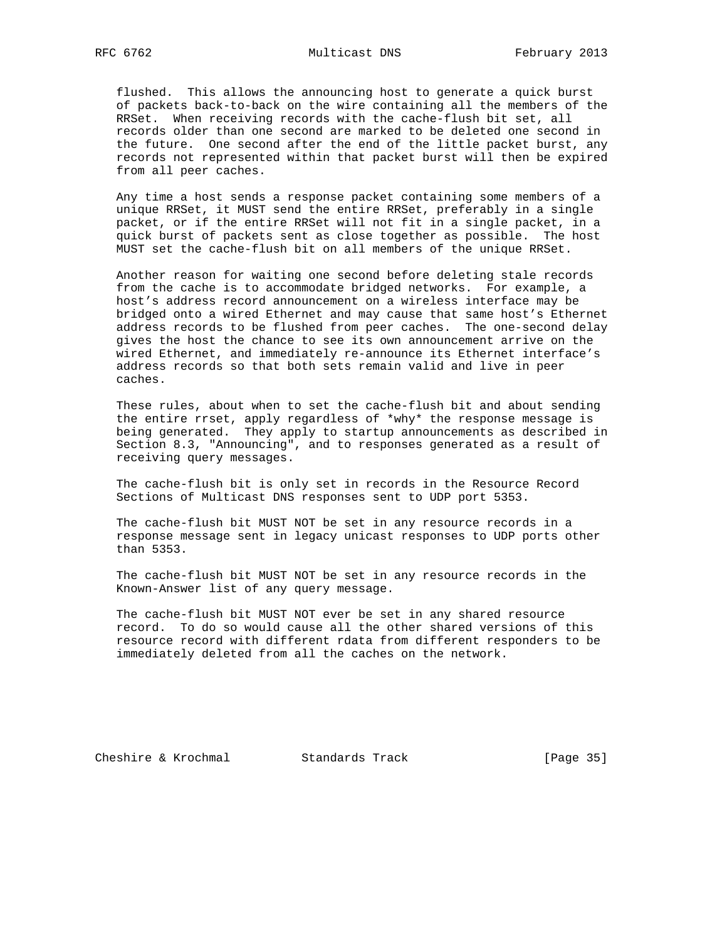flushed. This allows the announcing host to generate a quick burst of packets back-to-back on the wire containing all the members of the RRSet. When receiving records with the cache-flush bit set, all records older than one second are marked to be deleted one second in the future. One second after the end of the little packet burst, any records not represented within that packet burst will then be expired from all peer caches.

 Any time a host sends a response packet containing some members of a unique RRSet, it MUST send the entire RRSet, preferably in a single packet, or if the entire RRSet will not fit in a single packet, in a quick burst of packets sent as close together as possible. The host MUST set the cache-flush bit on all members of the unique RRSet.

 Another reason for waiting one second before deleting stale records from the cache is to accommodate bridged networks. For example, a host's address record announcement on a wireless interface may be bridged onto a wired Ethernet and may cause that same host's Ethernet address records to be flushed from peer caches. The one-second delay gives the host the chance to see its own announcement arrive on the wired Ethernet, and immediately re-announce its Ethernet interface's address records so that both sets remain valid and live in peer caches.

 These rules, about when to set the cache-flush bit and about sending the entire rrset, apply regardless of \*why\* the response message is being generated. They apply to startup announcements as described in Section 8.3, "Announcing", and to responses generated as a result of receiving query messages.

 The cache-flush bit is only set in records in the Resource Record Sections of Multicast DNS responses sent to UDP port 5353.

 The cache-flush bit MUST NOT be set in any resource records in a response message sent in legacy unicast responses to UDP ports other than 5353.

 The cache-flush bit MUST NOT be set in any resource records in the Known-Answer list of any query message.

 The cache-flush bit MUST NOT ever be set in any shared resource record. To do so would cause all the other shared versions of this resource record with different rdata from different responders to be immediately deleted from all the caches on the network.

Cheshire & Krochmal Standards Track [Page 35]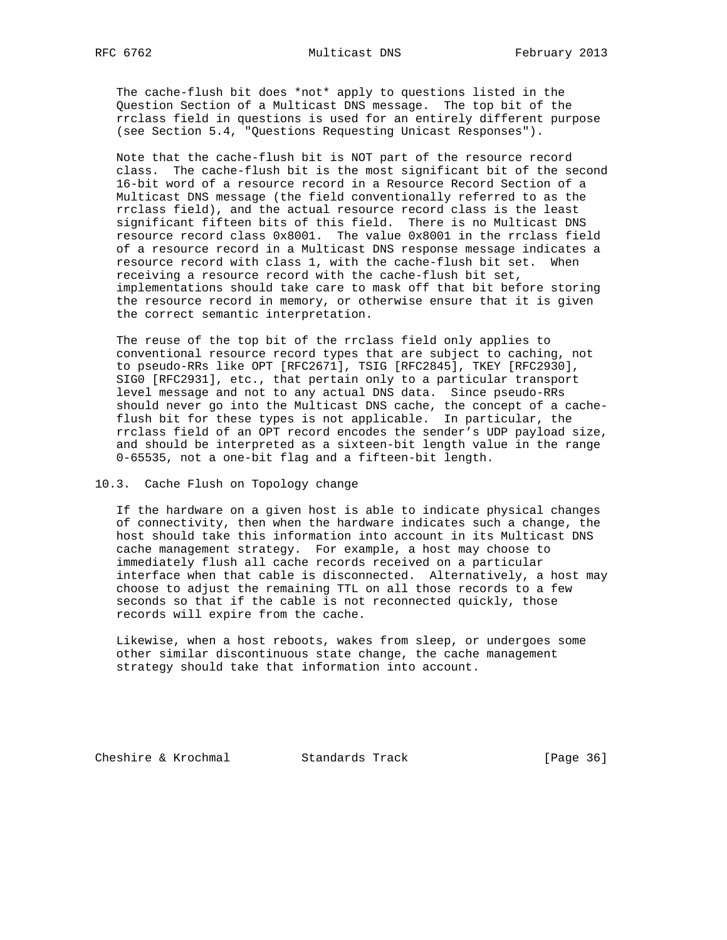The cache-flush bit does \*not\* apply to questions listed in the Question Section of a Multicast DNS message. The top bit of the rrclass field in questions is used for an entirely different purpose (see Section 5.4, "Questions Requesting Unicast Responses").

 Note that the cache-flush bit is NOT part of the resource record class. The cache-flush bit is the most significant bit of the second 16-bit word of a resource record in a Resource Record Section of a Multicast DNS message (the field conventionally referred to as the rrclass field), and the actual resource record class is the least significant fifteen bits of this field. There is no Multicast DNS resource record class 0x8001. The value 0x8001 in the rrclass field of a resource record in a Multicast DNS response message indicates a resource record with class 1, with the cache-flush bit set. When receiving a resource record with the cache-flush bit set, implementations should take care to mask off that bit before storing the resource record in memory, or otherwise ensure that it is given the correct semantic interpretation.

 The reuse of the top bit of the rrclass field only applies to conventional resource record types that are subject to caching, not to pseudo-RRs like OPT [RFC2671], TSIG [RFC2845], TKEY [RFC2930], SIG0 [RFC2931], etc., that pertain only to a particular transport level message and not to any actual DNS data. Since pseudo-RRs should never go into the Multicast DNS cache, the concept of a cache flush bit for these types is not applicable. In particular, the rrclass field of an OPT record encodes the sender's UDP payload size, and should be interpreted as a sixteen-bit length value in the range 0-65535, not a one-bit flag and a fifteen-bit length.

## 10.3. Cache Flush on Topology change

 If the hardware on a given host is able to indicate physical changes of connectivity, then when the hardware indicates such a change, the host should take this information into account in its Multicast DNS cache management strategy. For example, a host may choose to immediately flush all cache records received on a particular interface when that cable is disconnected. Alternatively, a host may choose to adjust the remaining TTL on all those records to a few seconds so that if the cable is not reconnected quickly, those records will expire from the cache.

 Likewise, when a host reboots, wakes from sleep, or undergoes some other similar discontinuous state change, the cache management strategy should take that information into account.

Cheshire & Krochmal Standards Track [Page 36]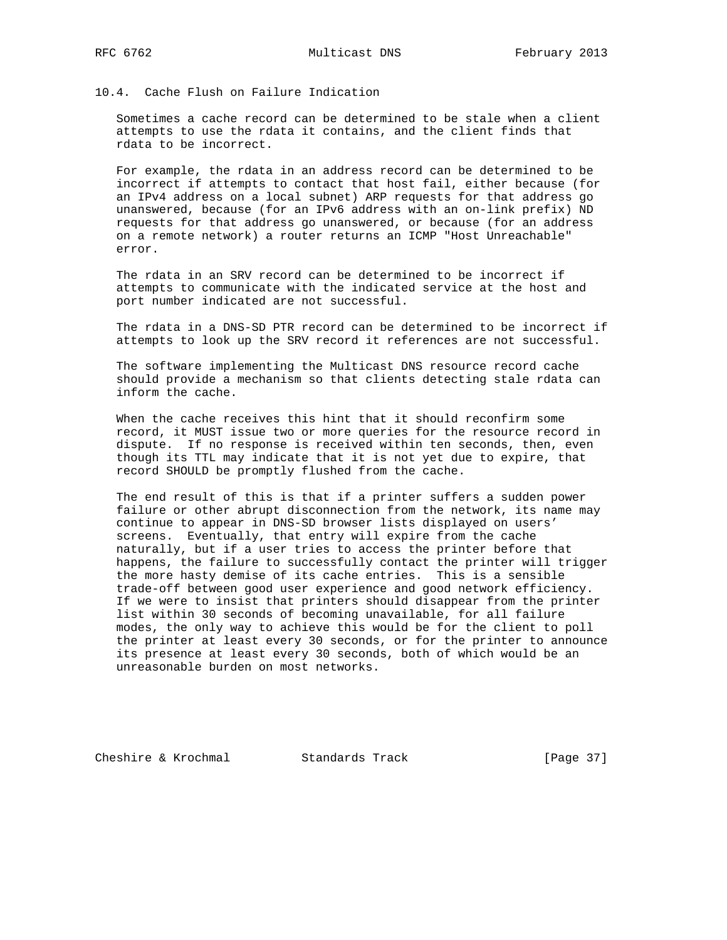# 10.4. Cache Flush on Failure Indication

 Sometimes a cache record can be determined to be stale when a client attempts to use the rdata it contains, and the client finds that rdata to be incorrect.

 For example, the rdata in an address record can be determined to be incorrect if attempts to contact that host fail, either because (for an IPv4 address on a local subnet) ARP requests for that address go unanswered, because (for an IPv6 address with an on-link prefix) ND requests for that address go unanswered, or because (for an address on a remote network) a router returns an ICMP "Host Unreachable" error.

 The rdata in an SRV record can be determined to be incorrect if attempts to communicate with the indicated service at the host and port number indicated are not successful.

 The rdata in a DNS-SD PTR record can be determined to be incorrect if attempts to look up the SRV record it references are not successful.

 The software implementing the Multicast DNS resource record cache should provide a mechanism so that clients detecting stale rdata can inform the cache.

 When the cache receives this hint that it should reconfirm some record, it MUST issue two or more queries for the resource record in dispute. If no response is received within ten seconds, then, even though its TTL may indicate that it is not yet due to expire, that record SHOULD be promptly flushed from the cache.

 The end result of this is that if a printer suffers a sudden power failure or other abrupt disconnection from the network, its name may continue to appear in DNS-SD browser lists displayed on users' screens. Eventually, that entry will expire from the cache naturally, but if a user tries to access the printer before that happens, the failure to successfully contact the printer will trigger the more hasty demise of its cache entries. This is a sensible trade-off between good user experience and good network efficiency. If we were to insist that printers should disappear from the printer list within 30 seconds of becoming unavailable, for all failure modes, the only way to achieve this would be for the client to poll the printer at least every 30 seconds, or for the printer to announce its presence at least every 30 seconds, both of which would be an unreasonable burden on most networks.

Cheshire & Krochmal Standards Track [Page 37]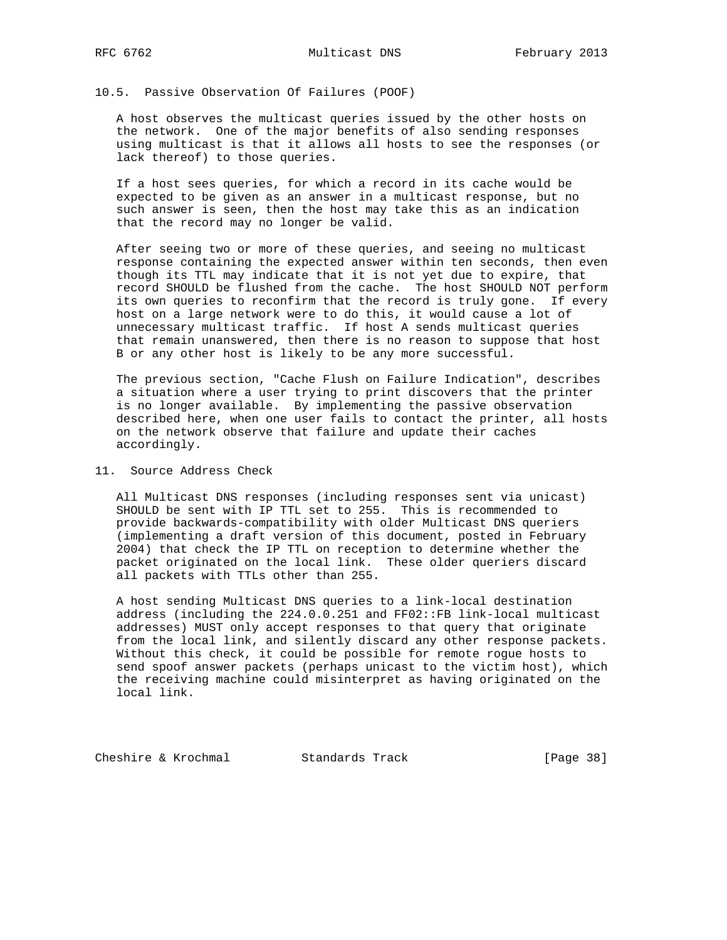# 10.5. Passive Observation Of Failures (POOF)

 A host observes the multicast queries issued by the other hosts on the network. One of the major benefits of also sending responses using multicast is that it allows all hosts to see the responses (or lack thereof) to those queries.

 If a host sees queries, for which a record in its cache would be expected to be given as an answer in a multicast response, but no such answer is seen, then the host may take this as an indication that the record may no longer be valid.

 After seeing two or more of these queries, and seeing no multicast response containing the expected answer within ten seconds, then even though its TTL may indicate that it is not yet due to expire, that record SHOULD be flushed from the cache. The host SHOULD NOT perform its own queries to reconfirm that the record is truly gone. If every host on a large network were to do this, it would cause a lot of unnecessary multicast traffic. If host A sends multicast queries that remain unanswered, then there is no reason to suppose that host B or any other host is likely to be any more successful.

 The previous section, "Cache Flush on Failure Indication", describes a situation where a user trying to print discovers that the printer is no longer available. By implementing the passive observation described here, when one user fails to contact the printer, all hosts on the network observe that failure and update their caches accordingly.

11. Source Address Check

 All Multicast DNS responses (including responses sent via unicast) SHOULD be sent with IP TTL set to 255. This is recommended to provide backwards-compatibility with older Multicast DNS queriers (implementing a draft version of this document, posted in February 2004) that check the IP TTL on reception to determine whether the packet originated on the local link. These older queriers discard all packets with TTLs other than 255.

 A host sending Multicast DNS queries to a link-local destination address (including the 224.0.0.251 and FF02::FB link-local multicast addresses) MUST only accept responses to that query that originate from the local link, and silently discard any other response packets. Without this check, it could be possible for remote rogue hosts to send spoof answer packets (perhaps unicast to the victim host), which the receiving machine could misinterpret as having originated on the local link.

Cheshire & Krochmal Standards Track [Page 38]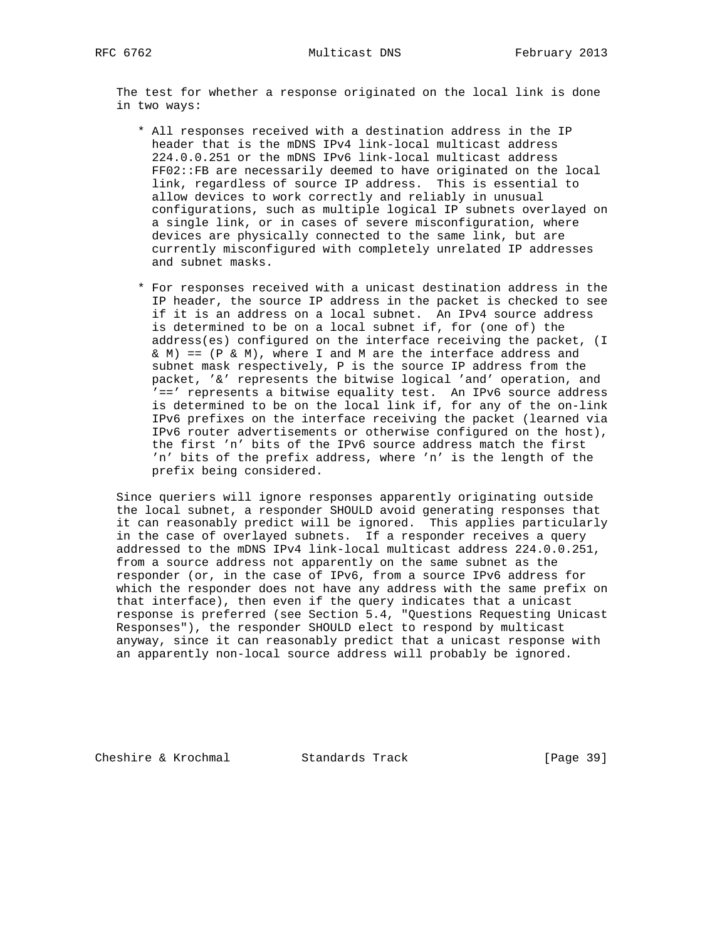The test for whether a response originated on the local link is done in two ways:

- \* All responses received with a destination address in the IP header that is the mDNS IPv4 link-local multicast address 224.0.0.251 or the mDNS IPv6 link-local multicast address FF02::FB are necessarily deemed to have originated on the local link, regardless of source IP address. This is essential to allow devices to work correctly and reliably in unusual configurations, such as multiple logical IP subnets overlayed on a single link, or in cases of severe misconfiguration, where devices are physically connected to the same link, but are currently misconfigured with completely unrelated IP addresses and subnet masks.
- \* For responses received with a unicast destination address in the IP header, the source IP address in the packet is checked to see if it is an address on a local subnet. An IPv4 source address is determined to be on a local subnet if, for (one of) the address(es) configured on the interface receiving the packet, (I & M) ==  $(P \& M)$ , where I and M are the interface address and subnet mask respectively, P is the source IP address from the packet, '&' represents the bitwise logical 'and' operation, and '==' represents a bitwise equality test. An IPv6 source address is determined to be on the local link if, for any of the on-link IPv6 prefixes on the interface receiving the packet (learned via IPv6 router advertisements or otherwise configured on the host), the first 'n' bits of the IPv6 source address match the first 'n' bits of the prefix address, where 'n' is the length of the prefix being considered.

 Since queriers will ignore responses apparently originating outside the local subnet, a responder SHOULD avoid generating responses that it can reasonably predict will be ignored. This applies particularly in the case of overlayed subnets. If a responder receives a query addressed to the mDNS IPv4 link-local multicast address 224.0.0.251, from a source address not apparently on the same subnet as the responder (or, in the case of IPv6, from a source IPv6 address for which the responder does not have any address with the same prefix on that interface), then even if the query indicates that a unicast response is preferred (see Section 5.4, "Questions Requesting Unicast Responses"), the responder SHOULD elect to respond by multicast anyway, since it can reasonably predict that a unicast response with an apparently non-local source address will probably be ignored.

Cheshire & Krochmal Standards Track [Page 39]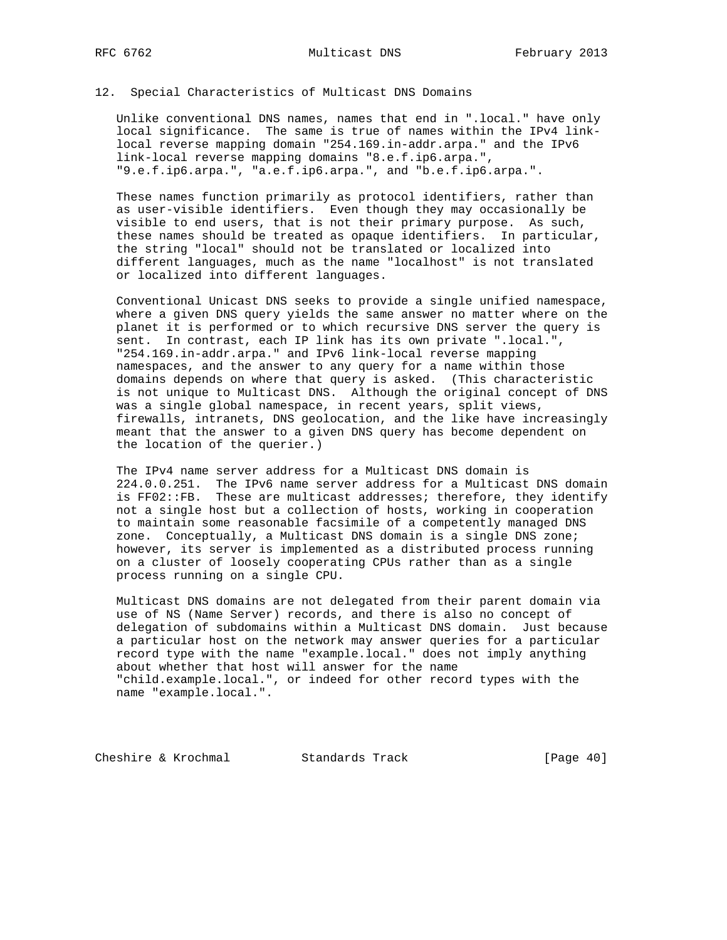## 12. Special Characteristics of Multicast DNS Domains

 Unlike conventional DNS names, names that end in ".local." have only local significance. The same is true of names within the IPv4 link local reverse mapping domain "254.169.in-addr.arpa." and the IPv6 link-local reverse mapping domains "8.e.f.ip6.arpa.", "9.e.f.ip6.arpa.", "a.e.f.ip6.arpa.", and "b.e.f.ip6.arpa.".

 These names function primarily as protocol identifiers, rather than as user-visible identifiers. Even though they may occasionally be visible to end users, that is not their primary purpose. As such, these names should be treated as opaque identifiers. In particular, the string "local" should not be translated or localized into different languages, much as the name "localhost" is not translated or localized into different languages.

 Conventional Unicast DNS seeks to provide a single unified namespace, where a given DNS query yields the same answer no matter where on the planet it is performed or to which recursive DNS server the query is sent. In contrast, each IP link has its own private ".local.", "254.169.in-addr.arpa." and IPv6 link-local reverse mapping namespaces, and the answer to any query for a name within those domains depends on where that query is asked. (This characteristic is not unique to Multicast DNS. Although the original concept of DNS was a single global namespace, in recent years, split views, firewalls, intranets, DNS geolocation, and the like have increasingly meant that the answer to a given DNS query has become dependent on the location of the querier.)

 The IPv4 name server address for a Multicast DNS domain is 224.0.0.251. The IPv6 name server address for a Multicast DNS domain is FF02::FB. These are multicast addresses; therefore, they identify not a single host but a collection of hosts, working in cooperation to maintain some reasonable facsimile of a competently managed DNS zone. Conceptually, a Multicast DNS domain is a single DNS zone; however, its server is implemented as a distributed process running on a cluster of loosely cooperating CPUs rather than as a single process running on a single CPU.

 Multicast DNS domains are not delegated from their parent domain via use of NS (Name Server) records, and there is also no concept of delegation of subdomains within a Multicast DNS domain. Just because a particular host on the network may answer queries for a particular record type with the name "example.local." does not imply anything about whether that host will answer for the name "child.example.local.", or indeed for other record types with the name "example.local.".

Cheshire & Krochmal Standards Track [Page 40]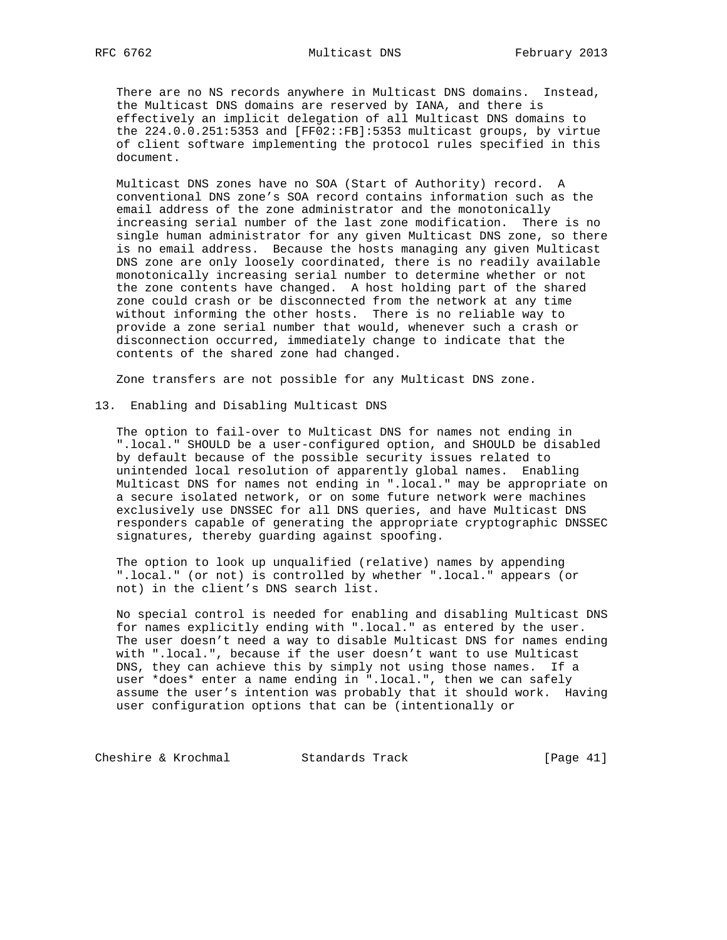There are no NS records anywhere in Multicast DNS domains. Instead, the Multicast DNS domains are reserved by IANA, and there is effectively an implicit delegation of all Multicast DNS domains to the 224.0.0.251:5353 and [FF02::FB]:5353 multicast groups, by virtue of client software implementing the protocol rules specified in this document.

 Multicast DNS zones have no SOA (Start of Authority) record. A conventional DNS zone's SOA record contains information such as the email address of the zone administrator and the monotonically increasing serial number of the last zone modification. There is no single human administrator for any given Multicast DNS zone, so there is no email address. Because the hosts managing any given Multicast DNS zone are only loosely coordinated, there is no readily available monotonically increasing serial number to determine whether or not the zone contents have changed. A host holding part of the shared zone could crash or be disconnected from the network at any time without informing the other hosts. There is no reliable way to provide a zone serial number that would, whenever such a crash or disconnection occurred, immediately change to indicate that the contents of the shared zone had changed.

Zone transfers are not possible for any Multicast DNS zone.

#### 13. Enabling and Disabling Multicast DNS

 The option to fail-over to Multicast DNS for names not ending in ".local." SHOULD be a user-configured option, and SHOULD be disabled by default because of the possible security issues related to unintended local resolution of apparently global names. Enabling Multicast DNS for names not ending in ".local." may be appropriate on a secure isolated network, or on some future network were machines exclusively use DNSSEC for all DNS queries, and have Multicast DNS responders capable of generating the appropriate cryptographic DNSSEC signatures, thereby guarding against spoofing.

 The option to look up unqualified (relative) names by appending ".local." (or not) is controlled by whether ".local." appears (or not) in the client's DNS search list.

 No special control is needed for enabling and disabling Multicast DNS for names explicitly ending with ".local." as entered by the user. The user doesn't need a way to disable Multicast DNS for names ending with ".local.", because if the user doesn't want to use Multicast DNS, they can achieve this by simply not using those names. If a user \*does\* enter a name ending in ".local.", then we can safely assume the user's intention was probably that it should work. Having user configuration options that can be (intentionally or

Cheshire & Krochmal Standards Track [Page 41]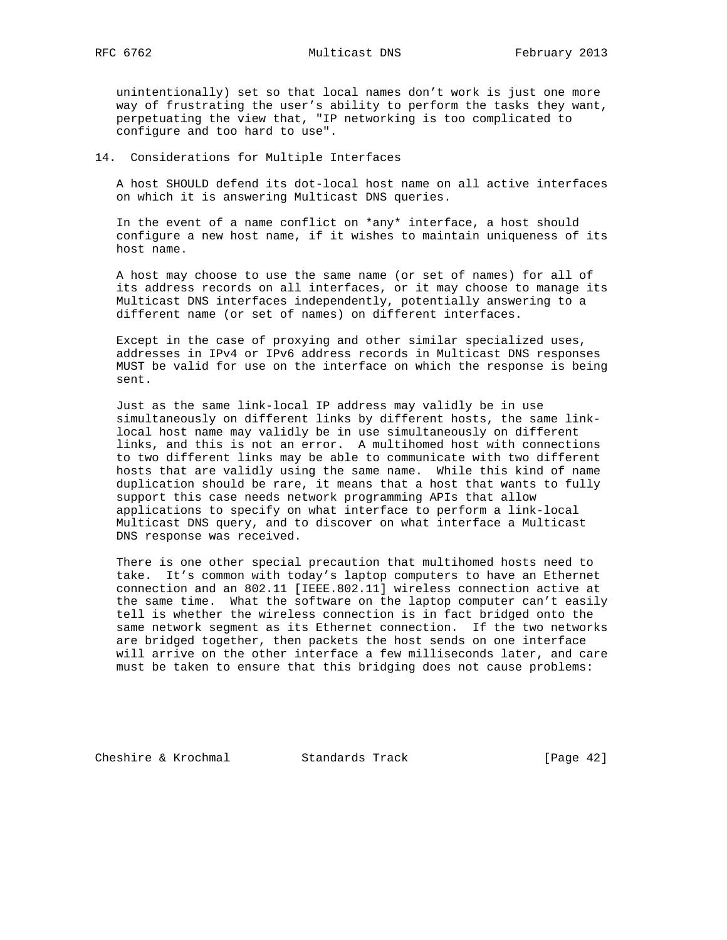unintentionally) set so that local names don't work is just one more way of frustrating the user's ability to perform the tasks they want, perpetuating the view that, "IP networking is too complicated to configure and too hard to use".

### 14. Considerations for Multiple Interfaces

 A host SHOULD defend its dot-local host name on all active interfaces on which it is answering Multicast DNS queries.

 In the event of a name conflict on \*any\* interface, a host should configure a new host name, if it wishes to maintain uniqueness of its host name.

 A host may choose to use the same name (or set of names) for all of its address records on all interfaces, or it may choose to manage its Multicast DNS interfaces independently, potentially answering to a different name (or set of names) on different interfaces.

 Except in the case of proxying and other similar specialized uses, addresses in IPv4 or IPv6 address records in Multicast DNS responses MUST be valid for use on the interface on which the response is being sent.

 Just as the same link-local IP address may validly be in use simultaneously on different links by different hosts, the same link local host name may validly be in use simultaneously on different links, and this is not an error. A multihomed host with connections to two different links may be able to communicate with two different hosts that are validly using the same name. While this kind of name duplication should be rare, it means that a host that wants to fully support this case needs network programming APIs that allow applications to specify on what interface to perform a link-local Multicast DNS query, and to discover on what interface a Multicast DNS response was received.

 There is one other special precaution that multihomed hosts need to take. It's common with today's laptop computers to have an Ethernet connection and an 802.11 [IEEE.802.11] wireless connection active at the same time. What the software on the laptop computer can't easily tell is whether the wireless connection is in fact bridged onto the same network segment as its Ethernet connection. If the two networks are bridged together, then packets the host sends on one interface will arrive on the other interface a few milliseconds later, and care must be taken to ensure that this bridging does not cause problems:

Cheshire & Krochmal Standards Track [Page 42]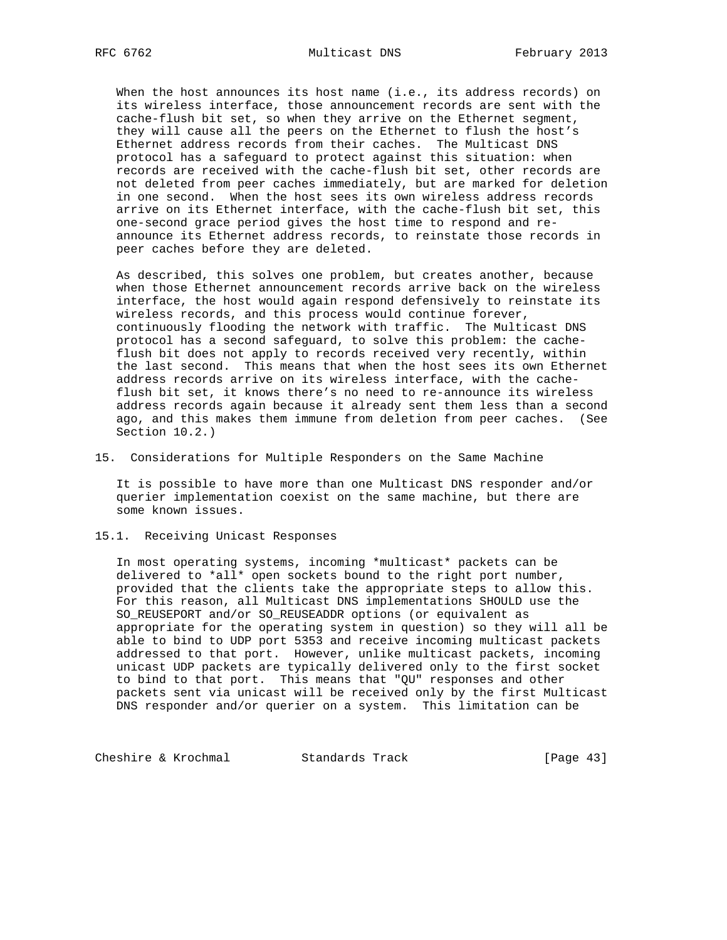When the host announces its host name (i.e., its address records) on its wireless interface, those announcement records are sent with the cache-flush bit set, so when they arrive on the Ethernet segment, they will cause all the peers on the Ethernet to flush the host's Ethernet address records from their caches. The Multicast DNS protocol has a safeguard to protect against this situation: when records are received with the cache-flush bit set, other records are not deleted from peer caches immediately, but are marked for deletion in one second. When the host sees its own wireless address records arrive on its Ethernet interface, with the cache-flush bit set, this one-second grace period gives the host time to respond and re announce its Ethernet address records, to reinstate those records in peer caches before they are deleted.

 As described, this solves one problem, but creates another, because when those Ethernet announcement records arrive back on the wireless interface, the host would again respond defensively to reinstate its wireless records, and this process would continue forever, continuously flooding the network with traffic. The Multicast DNS protocol has a second safeguard, to solve this problem: the cache flush bit does not apply to records received very recently, within the last second. This means that when the host sees its own Ethernet address records arrive on its wireless interface, with the cache flush bit set, it knows there's no need to re-announce its wireless address records again because it already sent them less than a second ago, and this makes them immune from deletion from peer caches. (See Section 10.2.)

15. Considerations for Multiple Responders on the Same Machine

 It is possible to have more than one Multicast DNS responder and/or querier implementation coexist on the same machine, but there are some known issues.

15.1. Receiving Unicast Responses

 In most operating systems, incoming \*multicast\* packets can be delivered to \*all\* open sockets bound to the right port number, provided that the clients take the appropriate steps to allow this. For this reason, all Multicast DNS implementations SHOULD use the SO\_REUSEPORT and/or SO\_REUSEADDR options (or equivalent as appropriate for the operating system in question) so they will all be able to bind to UDP port 5353 and receive incoming multicast packets addressed to that port. However, unlike multicast packets, incoming unicast UDP packets are typically delivered only to the first socket to bind to that port. This means that "QU" responses and other packets sent via unicast will be received only by the first Multicast DNS responder and/or querier on a system. This limitation can be

Cheshire & Krochmal Standards Track [Page 43]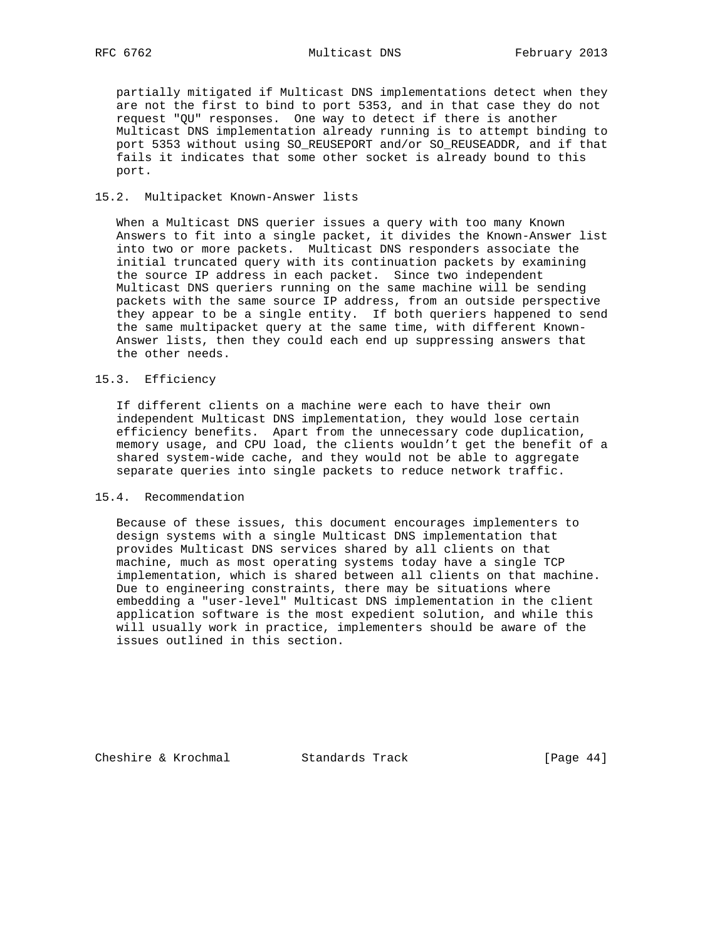partially mitigated if Multicast DNS implementations detect when they are not the first to bind to port 5353, and in that case they do not request "QU" responses. One way to detect if there is another Multicast DNS implementation already running is to attempt binding to port 5353 without using SO\_REUSEPORT and/or SO\_REUSEADDR, and if that fails it indicates that some other socket is already bound to this port.

### 15.2. Multipacket Known-Answer lists

 When a Multicast DNS querier issues a query with too many Known Answers to fit into a single packet, it divides the Known-Answer list into two or more packets. Multicast DNS responders associate the initial truncated query with its continuation packets by examining the source IP address in each packet. Since two independent Multicast DNS queriers running on the same machine will be sending packets with the same source IP address, from an outside perspective they appear to be a single entity. If both queriers happened to send the same multipacket query at the same time, with different Known- Answer lists, then they could each end up suppressing answers that the other needs.

### 15.3. Efficiency

 If different clients on a machine were each to have their own independent Multicast DNS implementation, they would lose certain efficiency benefits. Apart from the unnecessary code duplication, memory usage, and CPU load, the clients wouldn't get the benefit of a shared system-wide cache, and they would not be able to aggregate separate queries into single packets to reduce network traffic.

## 15.4. Recommendation

 Because of these issues, this document encourages implementers to design systems with a single Multicast DNS implementation that provides Multicast DNS services shared by all clients on that machine, much as most operating systems today have a single TCP implementation, which is shared between all clients on that machine. Due to engineering constraints, there may be situations where embedding a "user-level" Multicast DNS implementation in the client application software is the most expedient solution, and while this will usually work in practice, implementers should be aware of the issues outlined in this section.

Cheshire & Krochmal Standards Track [Page 44]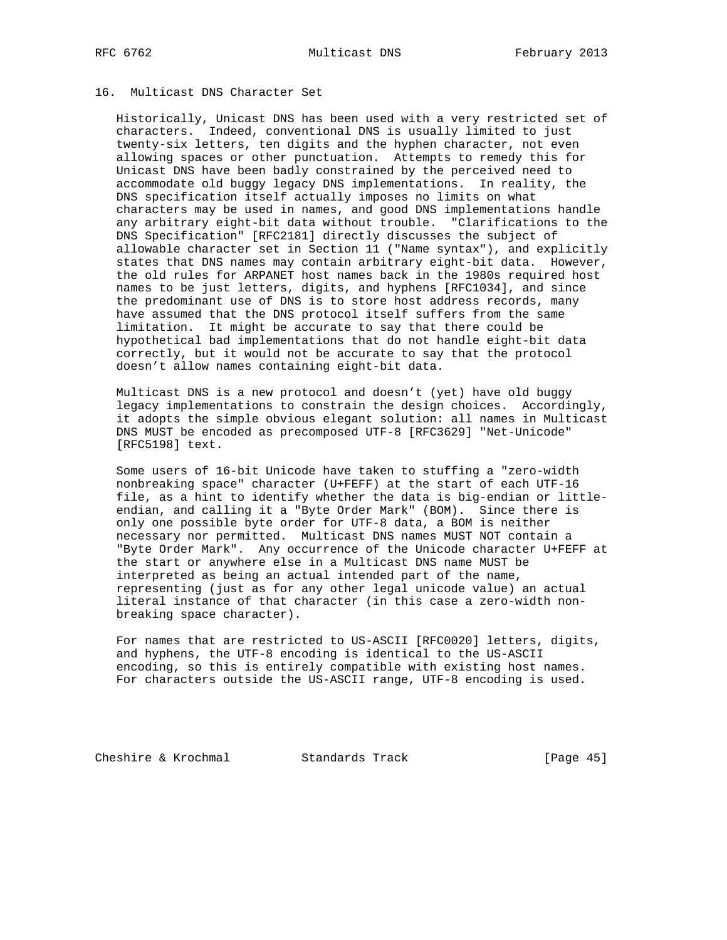# 16. Multicast DNS Character Set

 Historically, Unicast DNS has been used with a very restricted set of characters. Indeed, conventional DNS is usually limited to just twenty-six letters, ten digits and the hyphen character, not even allowing spaces or other punctuation. Attempts to remedy this for Unicast DNS have been badly constrained by the perceived need to accommodate old buggy legacy DNS implementations. In reality, the DNS specification itself actually imposes no limits on what characters may be used in names, and good DNS implementations handle any arbitrary eight-bit data without trouble. "Clarifications to the DNS Specification" [RFC2181] directly discusses the subject of allowable character set in Section 11 ("Name syntax"), and explicitly states that DNS names may contain arbitrary eight-bit data. However, the old rules for ARPANET host names back in the 1980s required host names to be just letters, digits, and hyphens [RFC1034], and since the predominant use of DNS is to store host address records, many have assumed that the DNS protocol itself suffers from the same limitation. It might be accurate to say that there could be hypothetical bad implementations that do not handle eight-bit data correctly, but it would not be accurate to say that the protocol doesn't allow names containing eight-bit data.

 Multicast DNS is a new protocol and doesn't (yet) have old buggy legacy implementations to constrain the design choices. Accordingly, it adopts the simple obvious elegant solution: all names in Multicast DNS MUST be encoded as precomposed UTF-8 [RFC3629] "Net-Unicode" [RFC5198] text.

 Some users of 16-bit Unicode have taken to stuffing a "zero-width nonbreaking space" character (U+FEFF) at the start of each UTF-16 file, as a hint to identify whether the data is big-endian or little endian, and calling it a "Byte Order Mark" (BOM). Since there is only one possible byte order for UTF-8 data, a BOM is neither necessary nor permitted. Multicast DNS names MUST NOT contain a "Byte Order Mark". Any occurrence of the Unicode character U+FEFF at the start or anywhere else in a Multicast DNS name MUST be interpreted as being an actual intended part of the name, representing (just as for any other legal unicode value) an actual literal instance of that character (in this case a zero-width non breaking space character).

 For names that are restricted to US-ASCII [RFC0020] letters, digits, and hyphens, the UTF-8 encoding is identical to the US-ASCII encoding, so this is entirely compatible with existing host names. For characters outside the US-ASCII range, UTF-8 encoding is used.

Cheshire & Krochmal Standards Track [Page 45]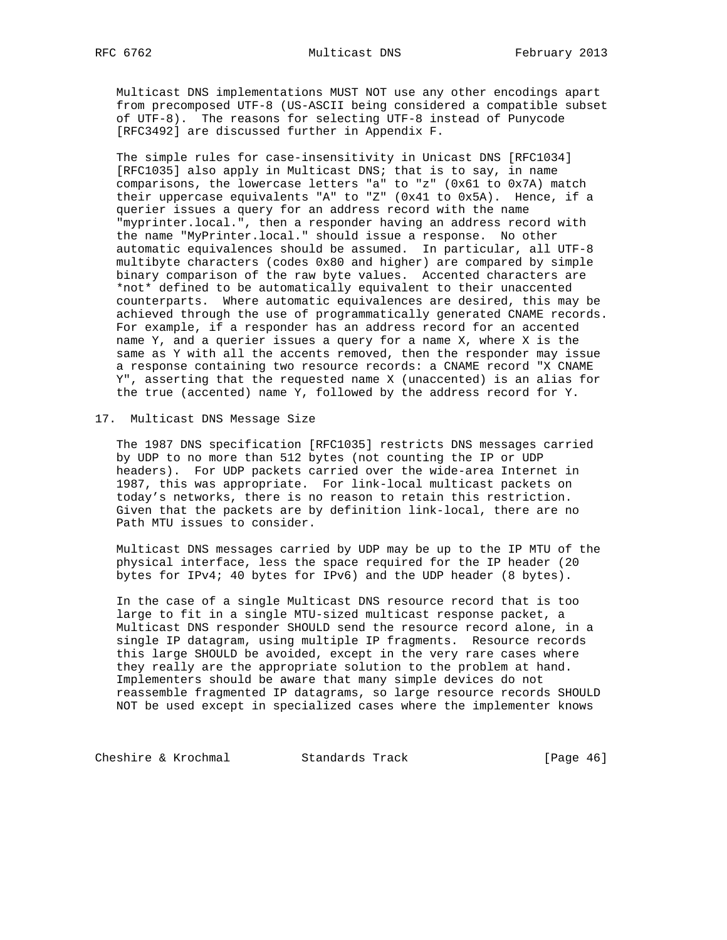Multicast DNS implementations MUST NOT use any other encodings apart from precomposed UTF-8 (US-ASCII being considered a compatible subset of UTF-8). The reasons for selecting UTF-8 instead of Punycode [RFC3492] are discussed further in Appendix F.

 The simple rules for case-insensitivity in Unicast DNS [RFC1034] [RFC1035] also apply in Multicast DNS; that is to say, in name comparisons, the lowercase letters "a" to "z" (0x61 to 0x7A) match their uppercase equivalents "A" to "Z" (0x41 to 0x5A). Hence, if a querier issues a query for an address record with the name "myprinter.local.", then a responder having an address record with the name "MyPrinter.local." should issue a response. No other automatic equivalences should be assumed. In particular, all UTF-8 multibyte characters (codes 0x80 and higher) are compared by simple binary comparison of the raw byte values. Accented characters are \*not\* defined to be automatically equivalent to their unaccented counterparts. Where automatic equivalences are desired, this may be achieved through the use of programmatically generated CNAME records. For example, if a responder has an address record for an accented name Y, and a querier issues a query for a name X, where X is the same as Y with all the accents removed, then the responder may issue a response containing two resource records: a CNAME record "X CNAME Y", asserting that the requested name X (unaccented) is an alias for the true (accented) name Y, followed by the address record for Y.

17. Multicast DNS Message Size

 The 1987 DNS specification [RFC1035] restricts DNS messages carried by UDP to no more than 512 bytes (not counting the IP or UDP headers). For UDP packets carried over the wide-area Internet in 1987, this was appropriate. For link-local multicast packets on today's networks, there is no reason to retain this restriction. Given that the packets are by definition link-local, there are no Path MTU issues to consider.

 Multicast DNS messages carried by UDP may be up to the IP MTU of the physical interface, less the space required for the IP header (20 bytes for IPv4; 40 bytes for IPv6) and the UDP header (8 bytes).

 In the case of a single Multicast DNS resource record that is too large to fit in a single MTU-sized multicast response packet, a Multicast DNS responder SHOULD send the resource record alone, in a single IP datagram, using multiple IP fragments. Resource records this large SHOULD be avoided, except in the very rare cases where they really are the appropriate solution to the problem at hand. Implementers should be aware that many simple devices do not reassemble fragmented IP datagrams, so large resource records SHOULD NOT be used except in specialized cases where the implementer knows

Cheshire & Krochmal Standards Track [Page 46]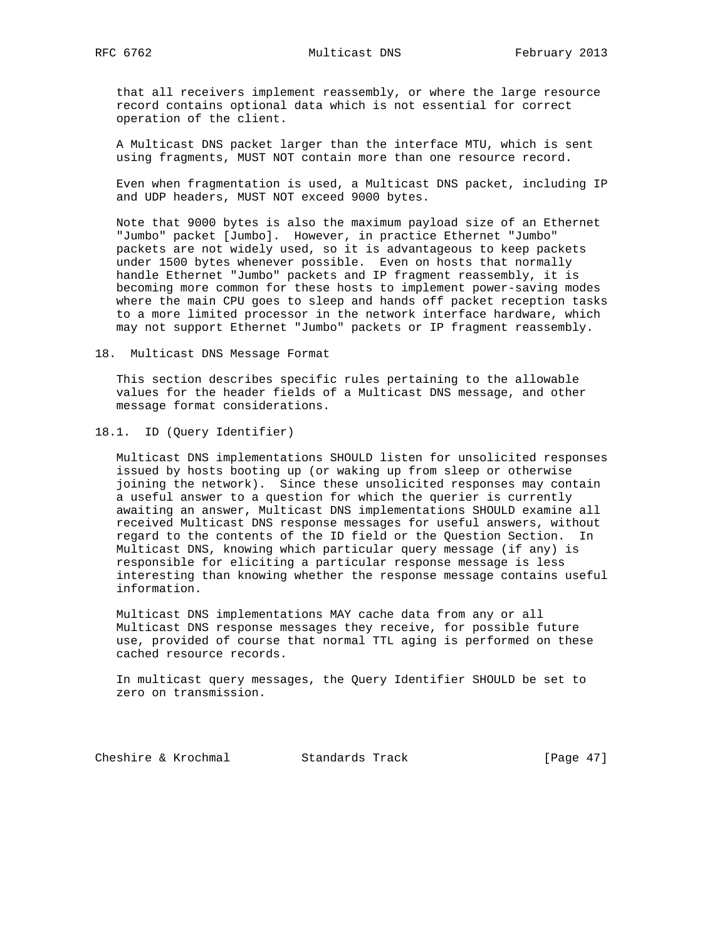that all receivers implement reassembly, or where the large resource record contains optional data which is not essential for correct operation of the client.

 A Multicast DNS packet larger than the interface MTU, which is sent using fragments, MUST NOT contain more than one resource record.

 Even when fragmentation is used, a Multicast DNS packet, including IP and UDP headers, MUST NOT exceed 9000 bytes.

 Note that 9000 bytes is also the maximum payload size of an Ethernet "Jumbo" packet [Jumbo]. However, in practice Ethernet "Jumbo" packets are not widely used, so it is advantageous to keep packets under 1500 bytes whenever possible. Even on hosts that normally handle Ethernet "Jumbo" packets and IP fragment reassembly, it is becoming more common for these hosts to implement power-saving modes where the main CPU goes to sleep and hands off packet reception tasks to a more limited processor in the network interface hardware, which may not support Ethernet "Jumbo" packets or IP fragment reassembly.

18. Multicast DNS Message Format

 This section describes specific rules pertaining to the allowable values for the header fields of a Multicast DNS message, and other message format considerations.

18.1. ID (Query Identifier)

 Multicast DNS implementations SHOULD listen for unsolicited responses issued by hosts booting up (or waking up from sleep or otherwise joining the network). Since these unsolicited responses may contain a useful answer to a question for which the querier is currently awaiting an answer, Multicast DNS implementations SHOULD examine all received Multicast DNS response messages for useful answers, without regard to the contents of the ID field or the Question Section. In Multicast DNS, knowing which particular query message (if any) is responsible for eliciting a particular response message is less interesting than knowing whether the response message contains useful information.

 Multicast DNS implementations MAY cache data from any or all Multicast DNS response messages they receive, for possible future use, provided of course that normal TTL aging is performed on these cached resource records.

 In multicast query messages, the Query Identifier SHOULD be set to zero on transmission.

Cheshire & Krochmal Standards Track [Page 47]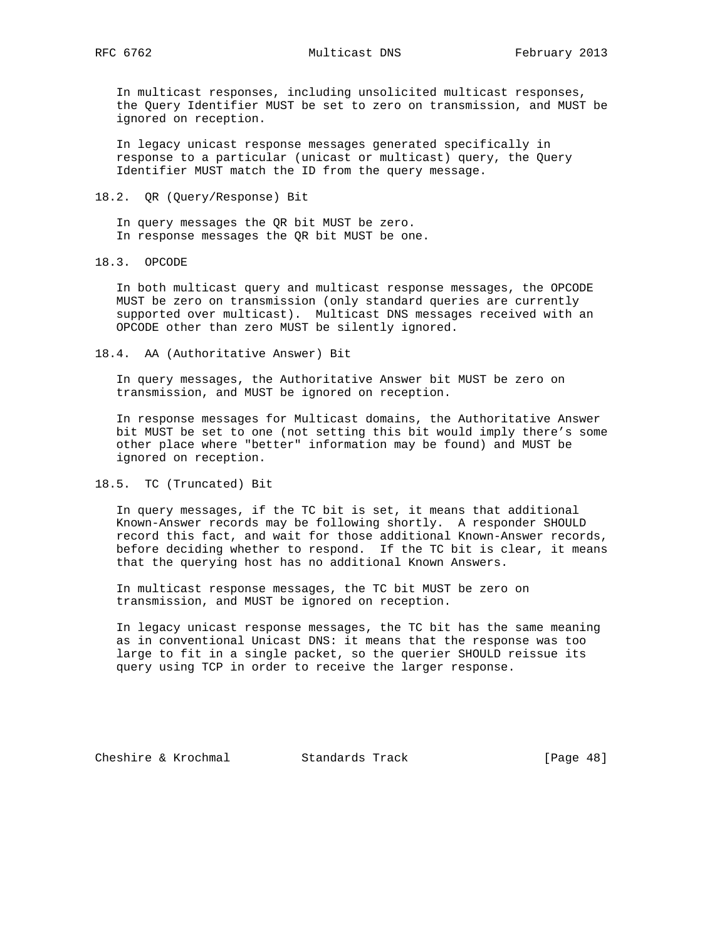In multicast responses, including unsolicited multicast responses, the Query Identifier MUST be set to zero on transmission, and MUST be ignored on reception.

 In legacy unicast response messages generated specifically in response to a particular (unicast or multicast) query, the Query Identifier MUST match the ID from the query message.

18.2. QR (Query/Response) Bit

 In query messages the QR bit MUST be zero. In response messages the QR bit MUST be one.

18.3. OPCODE

 In both multicast query and multicast response messages, the OPCODE MUST be zero on transmission (only standard queries are currently supported over multicast). Multicast DNS messages received with an OPCODE other than zero MUST be silently ignored.

18.4. AA (Authoritative Answer) Bit

 In query messages, the Authoritative Answer bit MUST be zero on transmission, and MUST be ignored on reception.

 In response messages for Multicast domains, the Authoritative Answer bit MUST be set to one (not setting this bit would imply there's some other place where "better" information may be found) and MUST be ignored on reception.

#### 18.5. TC (Truncated) Bit

 In query messages, if the TC bit is set, it means that additional Known-Answer records may be following shortly. A responder SHOULD record this fact, and wait for those additional Known-Answer records, before deciding whether to respond. If the TC bit is clear, it means that the querying host has no additional Known Answers.

 In multicast response messages, the TC bit MUST be zero on transmission, and MUST be ignored on reception.

 In legacy unicast response messages, the TC bit has the same meaning as in conventional Unicast DNS: it means that the response was too large to fit in a single packet, so the querier SHOULD reissue its query using TCP in order to receive the larger response.

Cheshire & Krochmal Standards Track [Page 48]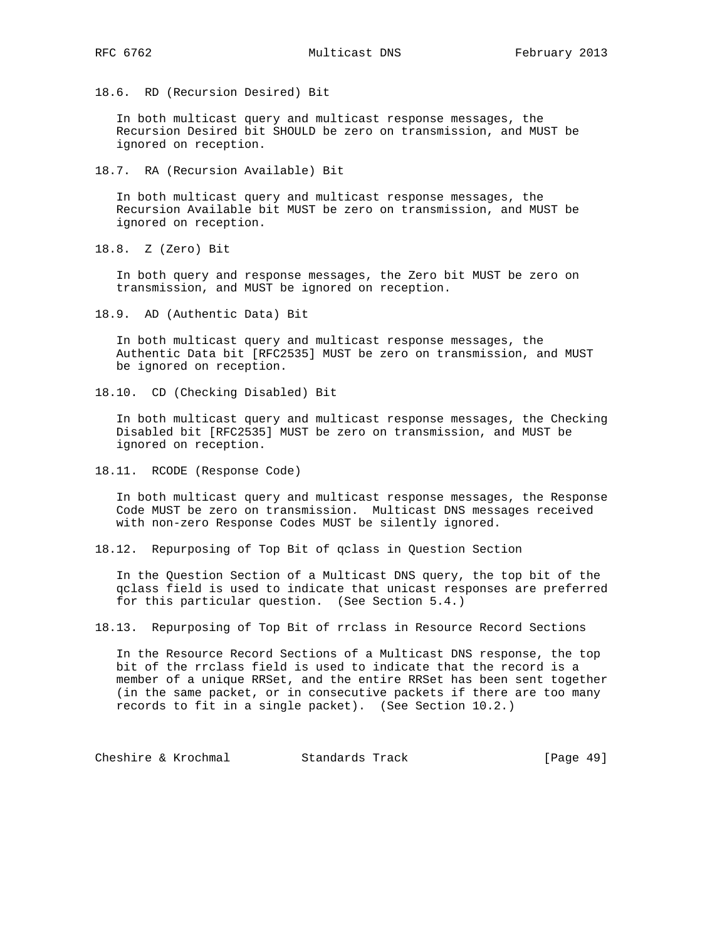18.6. RD (Recursion Desired) Bit

 In both multicast query and multicast response messages, the Recursion Desired bit SHOULD be zero on transmission, and MUST be ignored on reception.

18.7. RA (Recursion Available) Bit

 In both multicast query and multicast response messages, the Recursion Available bit MUST be zero on transmission, and MUST be ignored on reception.

18.8. Z (Zero) Bit

 In both query and response messages, the Zero bit MUST be zero on transmission, and MUST be ignored on reception.

18.9. AD (Authentic Data) Bit

 In both multicast query and multicast response messages, the Authentic Data bit [RFC2535] MUST be zero on transmission, and MUST be ignored on reception.

18.10. CD (Checking Disabled) Bit

 In both multicast query and multicast response messages, the Checking Disabled bit [RFC2535] MUST be zero on transmission, and MUST be ignored on reception.

18.11. RCODE (Response Code)

 In both multicast query and multicast response messages, the Response Code MUST be zero on transmission. Multicast DNS messages received with non-zero Response Codes MUST be silently ignored.

18.12. Repurposing of Top Bit of qclass in Question Section

 In the Question Section of a Multicast DNS query, the top bit of the qclass field is used to indicate that unicast responses are preferred for this particular question. (See Section 5.4.)

18.13. Repurposing of Top Bit of rrclass in Resource Record Sections

 In the Resource Record Sections of a Multicast DNS response, the top bit of the rrclass field is used to indicate that the record is a member of a unique RRSet, and the entire RRSet has been sent together (in the same packet, or in consecutive packets if there are too many records to fit in a single packet). (See Section 10.2.)

Cheshire & Krochmal Standards Track [Page 49]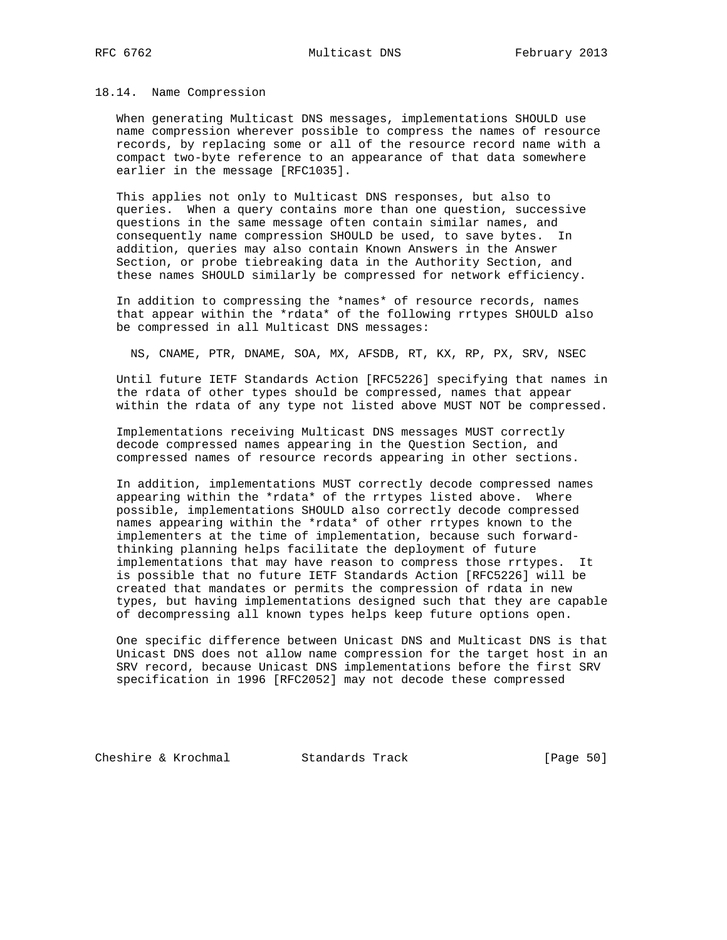#### 18.14. Name Compression

 When generating Multicast DNS messages, implementations SHOULD use name compression wherever possible to compress the names of resource records, by replacing some or all of the resource record name with a compact two-byte reference to an appearance of that data somewhere earlier in the message [RFC1035].

 This applies not only to Multicast DNS responses, but also to queries. When a query contains more than one question, successive questions in the same message often contain similar names, and consequently name compression SHOULD be used, to save bytes. In addition, queries may also contain Known Answers in the Answer Section, or probe tiebreaking data in the Authority Section, and these names SHOULD similarly be compressed for network efficiency.

 In addition to compressing the \*names\* of resource records, names that appear within the \*rdata\* of the following rrtypes SHOULD also be compressed in all Multicast DNS messages:

NS, CNAME, PTR, DNAME, SOA, MX, AFSDB, RT, KX, RP, PX, SRV, NSEC

 Until future IETF Standards Action [RFC5226] specifying that names in the rdata of other types should be compressed, names that appear within the rdata of any type not listed above MUST NOT be compressed.

 Implementations receiving Multicast DNS messages MUST correctly decode compressed names appearing in the Question Section, and compressed names of resource records appearing in other sections.

 In addition, implementations MUST correctly decode compressed names appearing within the \*rdata\* of the rrtypes listed above. Where possible, implementations SHOULD also correctly decode compressed names appearing within the \*rdata\* of other rrtypes known to the implementers at the time of implementation, because such forward thinking planning helps facilitate the deployment of future implementations that may have reason to compress those rrtypes. It is possible that no future IETF Standards Action [RFC5226] will be created that mandates or permits the compression of rdata in new types, but having implementations designed such that they are capable of decompressing all known types helps keep future options open.

 One specific difference between Unicast DNS and Multicast DNS is that Unicast DNS does not allow name compression for the target host in an SRV record, because Unicast DNS implementations before the first SRV specification in 1996 [RFC2052] may not decode these compressed

Cheshire & Krochmal Standards Track [Page 50]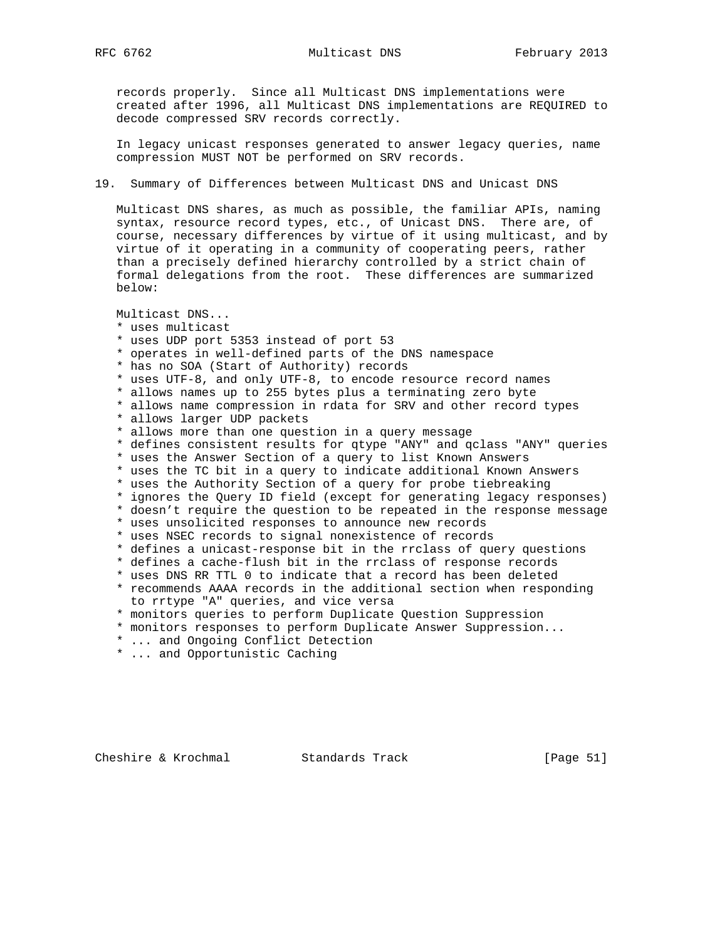records properly. Since all Multicast DNS implementations were created after 1996, all Multicast DNS implementations are REQUIRED to decode compressed SRV records correctly.

 In legacy unicast responses generated to answer legacy queries, name compression MUST NOT be performed on SRV records.

19. Summary of Differences between Multicast DNS and Unicast DNS

 Multicast DNS shares, as much as possible, the familiar APIs, naming syntax, resource record types, etc., of Unicast DNS. There are, of course, necessary differences by virtue of it using multicast, and by virtue of it operating in a community of cooperating peers, rather than a precisely defined hierarchy controlled by a strict chain of formal delegations from the root. These differences are summarized below:

Multicast DNS...

 \* uses multicast \* uses UDP port 5353 instead of port 53 \* operates in well-defined parts of the DNS namespace \* has no SOA (Start of Authority) records \* uses UTF-8, and only UTF-8, to encode resource record names \* allows names up to 255 bytes plus a terminating zero byte \* allows name compression in rdata for SRV and other record types \* allows larger UDP packets \* allows more than one question in a query message \* defines consistent results for qtype "ANY" and qclass "ANY" queries \* uses the Answer Section of a query to list Known Answers \* uses the TC bit in a query to indicate additional Known Answers \* uses the Authority Section of a query for probe tiebreaking \* ignores the Query ID field (except for generating legacy responses) \* doesn't require the question to be repeated in the response message \* uses unsolicited responses to announce new records \* uses NSEC records to signal nonexistence of records \* defines a unicast-response bit in the rrclass of query questions \* defines a cache-flush bit in the rrclass of response records \* uses DNS RR TTL 0 to indicate that a record has been deleted \* recommends AAAA records in the additional section when responding to rrtype "A" queries, and vice versa \* monitors queries to perform Duplicate Question Suppression \* monitors responses to perform Duplicate Answer Suppression... \* ... and Ongoing Conflict Detection

\* ... and Opportunistic Caching

Cheshire & Krochmal Standards Track [Page 51]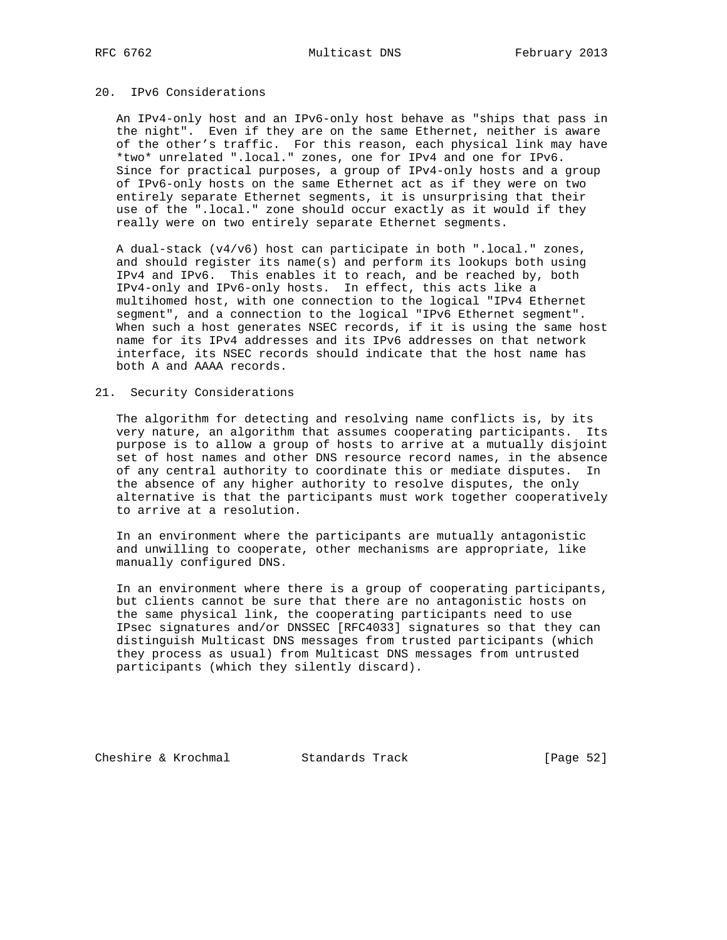# 20. IPv6 Considerations

 An IPv4-only host and an IPv6-only host behave as "ships that pass in the night". Even if they are on the same Ethernet, neither is aware of the other's traffic. For this reason, each physical link may have \*two\* unrelated ".local." zones, one for IPv4 and one for IPv6. Since for practical purposes, a group of IPv4-only hosts and a group of IPv6-only hosts on the same Ethernet act as if they were on two entirely separate Ethernet segments, it is unsurprising that their use of the ".local." zone should occur exactly as it would if they really were on two entirely separate Ethernet segments.

 A dual-stack (v4/v6) host can participate in both ".local." zones, and should register its name(s) and perform its lookups both using IPv4 and IPv6. This enables it to reach, and be reached by, both IPv4-only and IPv6-only hosts. In effect, this acts like a multihomed host, with one connection to the logical "IPv4 Ethernet segment", and a connection to the logical "IPv6 Ethernet segment". When such a host generates NSEC records, if it is using the same host name for its IPv4 addresses and its IPv6 addresses on that network interface, its NSEC records should indicate that the host name has both A and AAAA records.

## 21. Security Considerations

 The algorithm for detecting and resolving name conflicts is, by its very nature, an algorithm that assumes cooperating participants. Its purpose is to allow a group of hosts to arrive at a mutually disjoint set of host names and other DNS resource record names, in the absence of any central authority to coordinate this or mediate disputes. In the absence of any higher authority to resolve disputes, the only alternative is that the participants must work together cooperatively to arrive at a resolution.

 In an environment where the participants are mutually antagonistic and unwilling to cooperate, other mechanisms are appropriate, like manually configured DNS.

 In an environment where there is a group of cooperating participants, but clients cannot be sure that there are no antagonistic hosts on the same physical link, the cooperating participants need to use IPsec signatures and/or DNSSEC [RFC4033] signatures so that they can distinguish Multicast DNS messages from trusted participants (which they process as usual) from Multicast DNS messages from untrusted participants (which they silently discard).

Cheshire & Krochmal Standards Track [Page 52]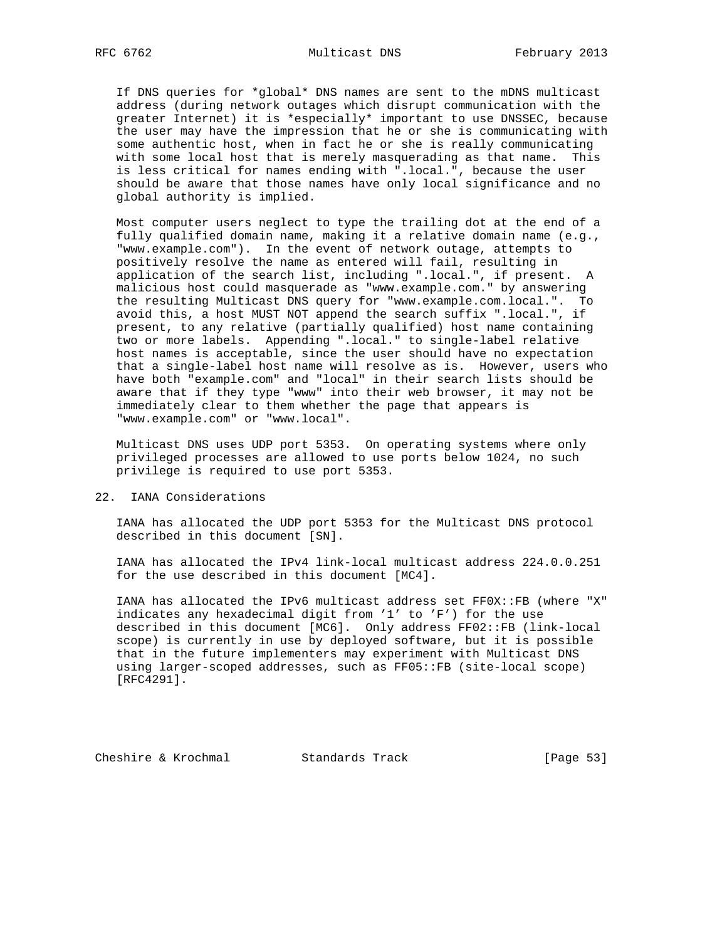If DNS queries for \*global\* DNS names are sent to the mDNS multicast address (during network outages which disrupt communication with the greater Internet) it is \*especially\* important to use DNSSEC, because the user may have the impression that he or she is communicating with some authentic host, when in fact he or she is really communicating with some local host that is merely masquerading as that name. This is less critical for names ending with ".local.", because the user should be aware that those names have only local significance and no global authority is implied.

 Most computer users neglect to type the trailing dot at the end of a fully qualified domain name, making it a relative domain name (e.g., "www.example.com"). In the event of network outage, attempts to positively resolve the name as entered will fail, resulting in application of the search list, including ".local.", if present. A malicious host could masquerade as "www.example.com." by answering the resulting Multicast DNS query for "www.example.com.local.". To avoid this, a host MUST NOT append the search suffix ".local.", if present, to any relative (partially qualified) host name containing two or more labels. Appending ".local." to single-label relative host names is acceptable, since the user should have no expectation that a single-label host name will resolve as is. However, users who have both "example.com" and "local" in their search lists should be aware that if they type "www" into their web browser, it may not be immediately clear to them whether the page that appears is "www.example.com" or "www.local".

 Multicast DNS uses UDP port 5353. On operating systems where only privileged processes are allowed to use ports below 1024, no such privilege is required to use port 5353.

## 22. IANA Considerations

 IANA has allocated the UDP port 5353 for the Multicast DNS protocol described in this document [SN].

 IANA has allocated the IPv4 link-local multicast address 224.0.0.251 for the use described in this document [MC4].

 IANA has allocated the IPv6 multicast address set FF0X::FB (where "X" indicates any hexadecimal digit from '1' to 'F') for the use described in this document [MC6]. Only address FF02::FB (link-local scope) is currently in use by deployed software, but it is possible that in the future implementers may experiment with Multicast DNS using larger-scoped addresses, such as FF05::FB (site-local scope) [RFC4291].

Cheshire & Krochmal Standards Track [Page 53]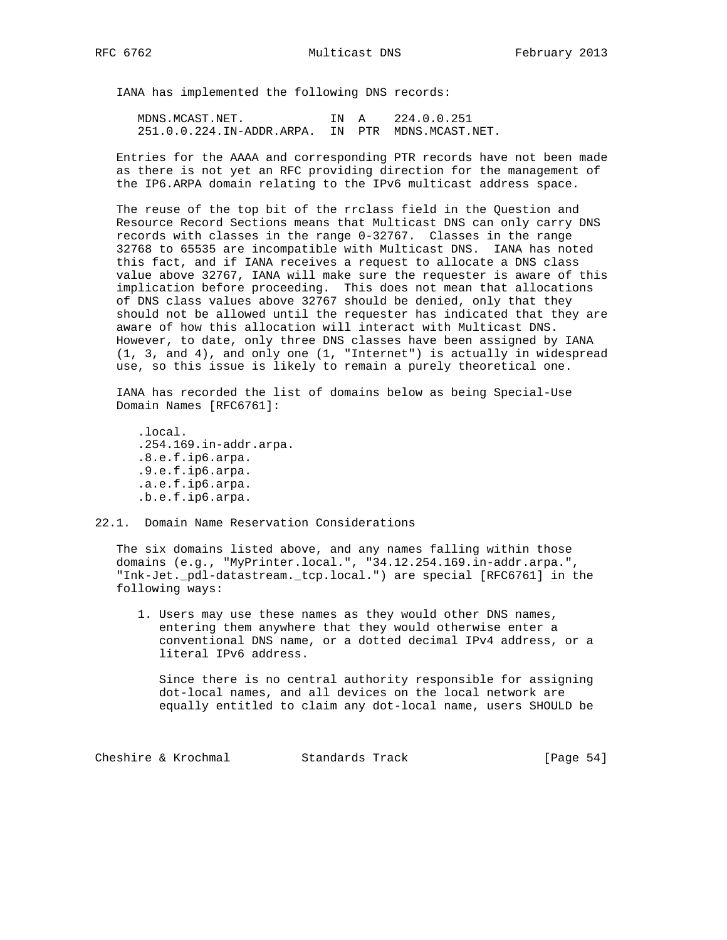IANA has implemented the following DNS records:

MDNS. MCAST. NET. IN A 224.0.0.251 251.0.0.224.IN-ADDR.ARPA. IN PTR MDNS.MCAST.NET.

 Entries for the AAAA and corresponding PTR records have not been made as there is not yet an RFC providing direction for the management of the IP6.ARPA domain relating to the IPv6 multicast address space.

 The reuse of the top bit of the rrclass field in the Question and Resource Record Sections means that Multicast DNS can only carry DNS records with classes in the range 0-32767. Classes in the range 32768 to 65535 are incompatible with Multicast DNS. IANA has noted this fact, and if IANA receives a request to allocate a DNS class value above 32767, IANA will make sure the requester is aware of this implication before proceeding. This does not mean that allocations of DNS class values above 32767 should be denied, only that they should not be allowed until the requester has indicated that they are aware of how this allocation will interact with Multicast DNS. However, to date, only three DNS classes have been assigned by IANA (1, 3, and 4), and only one (1, "Internet") is actually in widespread use, so this issue is likely to remain a purely theoretical one.

 IANA has recorded the list of domains below as being Special-Use Domain Names [RFC6761]:

 .local. .254.169.in-addr.arpa. .8.e.f.ip6.arpa. .9.e.f.ip6.arpa. .a.e.f.ip6.arpa. .b.e.f.ip6.arpa.

## 22.1. Domain Name Reservation Considerations

 The six domains listed above, and any names falling within those domains (e.g., "MyPrinter.local.", "34.12.254.169.in-addr.arpa.", "Ink-Jet.\_pdl-datastream.\_tcp.local.") are special [RFC6761] in the following ways:

 1. Users may use these names as they would other DNS names, entering them anywhere that they would otherwise enter a conventional DNS name, or a dotted decimal IPv4 address, or a literal IPv6 address.

 Since there is no central authority responsible for assigning dot-local names, and all devices on the local network are equally entitled to claim any dot-local name, users SHOULD be

Cheshire & Krochmal Standards Track [Page 54]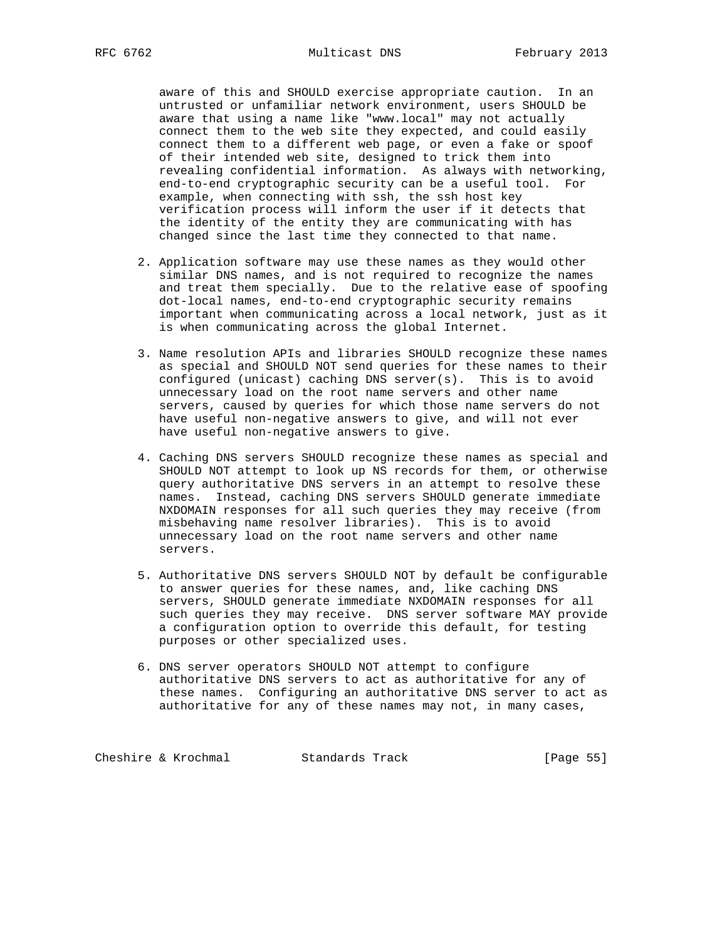aware of this and SHOULD exercise appropriate caution. In an untrusted or unfamiliar network environment, users SHOULD be aware that using a name like "www.local" may not actually connect them to the web site they expected, and could easily connect them to a different web page, or even a fake or spoof of their intended web site, designed to trick them into revealing confidential information. As always with networking, end-to-end cryptographic security can be a useful tool. For example, when connecting with ssh, the ssh host key verification process will inform the user if it detects that the identity of the entity they are communicating with has changed since the last time they connected to that name.

- 2. Application software may use these names as they would other similar DNS names, and is not required to recognize the names and treat them specially. Due to the relative ease of spoofing dot-local names, end-to-end cryptographic security remains important when communicating across a local network, just as it is when communicating across the global Internet.
- 3. Name resolution APIs and libraries SHOULD recognize these names as special and SHOULD NOT send queries for these names to their configured (unicast) caching DNS server(s). This is to avoid unnecessary load on the root name servers and other name servers, caused by queries for which those name servers do not have useful non-negative answers to give, and will not ever have useful non-negative answers to give.
- 4. Caching DNS servers SHOULD recognize these names as special and SHOULD NOT attempt to look up NS records for them, or otherwise query authoritative DNS servers in an attempt to resolve these names. Instead, caching DNS servers SHOULD generate immediate NXDOMAIN responses for all such queries they may receive (from misbehaving name resolver libraries). This is to avoid unnecessary load on the root name servers and other name servers.
- 5. Authoritative DNS servers SHOULD NOT by default be configurable to answer queries for these names, and, like caching DNS servers, SHOULD generate immediate NXDOMAIN responses for all such queries they may receive. DNS server software MAY provide a configuration option to override this default, for testing purposes or other specialized uses.
- 6. DNS server operators SHOULD NOT attempt to configure authoritative DNS servers to act as authoritative for any of these names. Configuring an authoritative DNS server to act as authoritative for any of these names may not, in many cases,

Cheshire & Krochmal Standards Track [Page 55]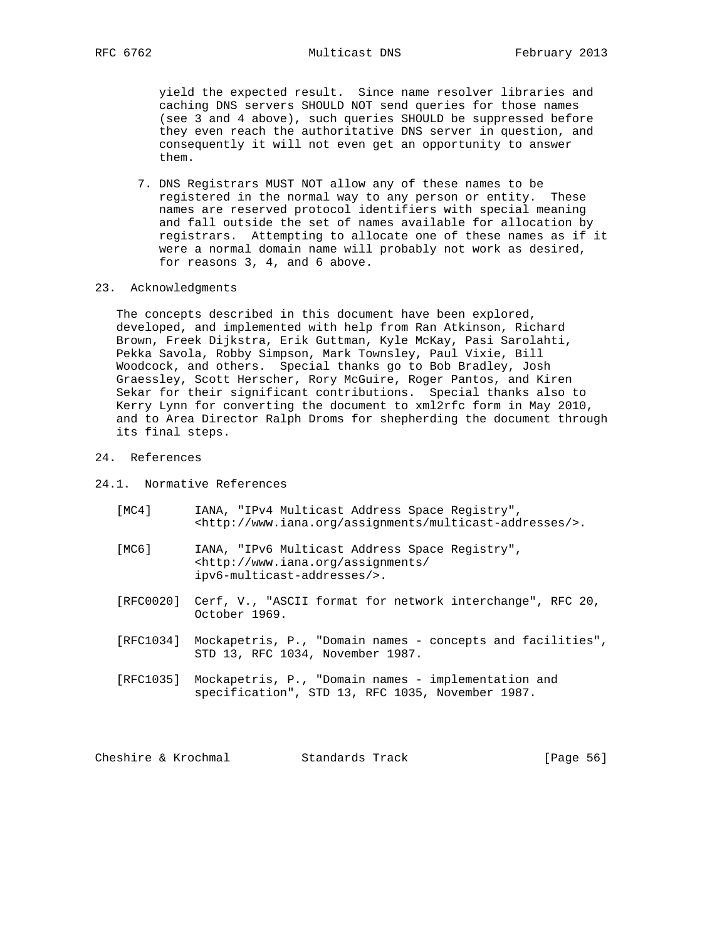yield the expected result. Since name resolver libraries and caching DNS servers SHOULD NOT send queries for those names (see 3 and 4 above), such queries SHOULD be suppressed before they even reach the authoritative DNS server in question, and consequently it will not even get an opportunity to answer them.

- 7. DNS Registrars MUST NOT allow any of these names to be registered in the normal way to any person or entity. These names are reserved protocol identifiers with special meaning and fall outside the set of names available for allocation by registrars. Attempting to allocate one of these names as if it were a normal domain name will probably not work as desired, for reasons 3, 4, and 6 above.
- 23. Acknowledgments

 The concepts described in this document have been explored, developed, and implemented with help from Ran Atkinson, Richard Brown, Freek Dijkstra, Erik Guttman, Kyle McKay, Pasi Sarolahti, Pekka Savola, Robby Simpson, Mark Townsley, Paul Vixie, Bill Woodcock, and others. Special thanks go to Bob Bradley, Josh Graessley, Scott Herscher, Rory McGuire, Roger Pantos, and Kiren Sekar for their significant contributions. Special thanks also to Kerry Lynn for converting the document to xml2rfc form in May 2010, and to Area Director Ralph Droms for shepherding the document through its final steps.

# 24. References

24.1. Normative References

- [MC4] IANA, "IPv4 Multicast Address Space Registry", <http://www.iana.org/assignments/multicast-addresses/>.
- [MC6] IANA, "IPv6 Multicast Address Space Registry", <http://www.iana.org/assignments/ ipv6-multicast-addresses/>.
- [RFC0020] Cerf, V., "ASCII format for network interchange", RFC 20, October 1969.
- [RFC1034] Mockapetris, P., "Domain names concepts and facilities", STD 13, RFC 1034, November 1987.
- [RFC1035] Mockapetris, P., "Domain names implementation and specification", STD 13, RFC 1035, November 1987.

Cheshire & Krochmal Standards Track [Page 56]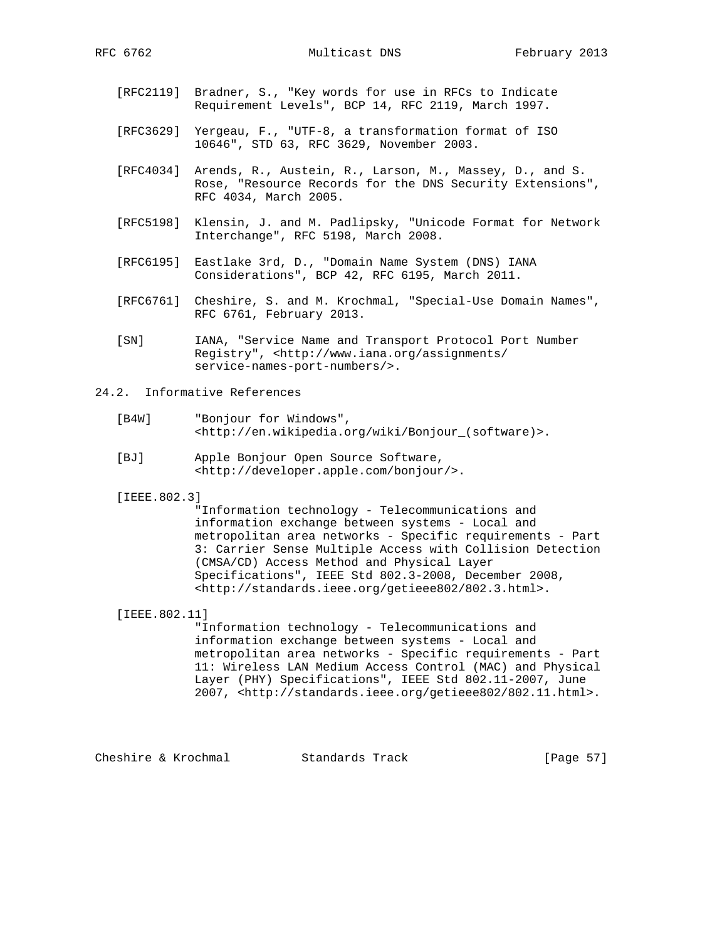- [RFC2119] Bradner, S., "Key words for use in RFCs to Indicate Requirement Levels", BCP 14, RFC 2119, March 1997.
- [RFC3629] Yergeau, F., "UTF-8, a transformation format of ISO 10646", STD 63, RFC 3629, November 2003.
- [RFC4034] Arends, R., Austein, R., Larson, M., Massey, D., and S. Rose, "Resource Records for the DNS Security Extensions", RFC 4034, March 2005.
- [RFC5198] Klensin, J. and M. Padlipsky, "Unicode Format for Network Interchange", RFC 5198, March 2008.
- [RFC6195] Eastlake 3rd, D., "Domain Name System (DNS) IANA Considerations", BCP 42, RFC 6195, March 2011.
- [RFC6761] Cheshire, S. and M. Krochmal, "Special-Use Domain Names", RFC 6761, February 2013.
- [SN] IANA, "Service Name and Transport Protocol Port Number Registry", <http://www.iana.org/assignments/ service-names-port-numbers/>.

# 24.2. Informative References

- [B4W] "Bonjour for Windows", <http://en.wikipedia.org/wiki/Bonjour\_(software)>.
- [BJ] Apple Bonjour Open Source Software, <http://developer.apple.com/bonjour/>.

[IEEE.802.3]

 "Information technology - Telecommunications and information exchange between systems - Local and metropolitan area networks - Specific requirements - Part 3: Carrier Sense Multiple Access with Collision Detection (CMSA/CD) Access Method and Physical Layer Specifications", IEEE Std 802.3-2008, December 2008, <http://standards.ieee.org/getieee802/802.3.html>.

 [IEEE.802.11] "Information technology - Telecommunications and information exchange between systems - Local and metropolitan area networks - Specific requirements - Part 11: Wireless LAN Medium Access Control (MAC) and Physical Layer (PHY) Specifications", IEEE Std 802.11-2007, June 2007, <http://standards.ieee.org/getieee802/802.11.html>.

Cheshire & Krochmal Standards Track [Page 57]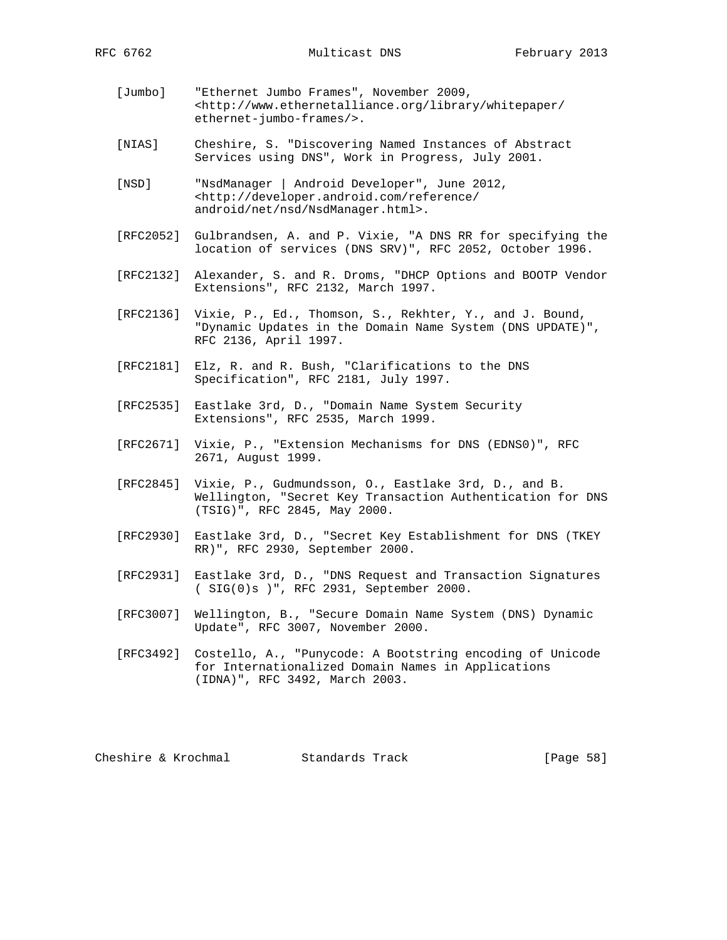- [Jumbo] "Ethernet Jumbo Frames", November 2009, <http://www.ethernetalliance.org/library/whitepaper/ ethernet-jumbo-frames/>.
- [NIAS] Cheshire, S. "Discovering Named Instances of Abstract Services using DNS", Work in Progress, July 2001.
- [NSD] "NsdManager | Android Developer", June 2012, <http://developer.android.com/reference/ android/net/nsd/NsdManager.html>.
- [RFC2052] Gulbrandsen, A. and P. Vixie, "A DNS RR for specifying the location of services (DNS SRV)", RFC 2052, October 1996.
- [RFC2132] Alexander, S. and R. Droms, "DHCP Options and BOOTP Vendor Extensions", RFC 2132, March 1997.
- [RFC2136] Vixie, P., Ed., Thomson, S., Rekhter, Y., and J. Bound, "Dynamic Updates in the Domain Name System (DNS UPDATE)", RFC 2136, April 1997.
- [RFC2181] Elz, R. and R. Bush, "Clarifications to the DNS Specification", RFC 2181, July 1997.
- [RFC2535] Eastlake 3rd, D., "Domain Name System Security Extensions", RFC 2535, March 1999.
- [RFC2671] Vixie, P., "Extension Mechanisms for DNS (EDNS0)", RFC 2671, August 1999.
- [RFC2845] Vixie, P., Gudmundsson, O., Eastlake 3rd, D., and B. Wellington, "Secret Key Transaction Authentication for DNS (TSIG)", RFC 2845, May 2000.
- [RFC2930] Eastlake 3rd, D., "Secret Key Establishment for DNS (TKEY RR)", RFC 2930, September 2000.
- [RFC2931] Eastlake 3rd, D., "DNS Request and Transaction Signatures ( SIG(0)s )", RFC 2931, September 2000.
- [RFC3007] Wellington, B., "Secure Domain Name System (DNS) Dynamic Update", RFC 3007, November 2000.
- [RFC3492] Costello, A., "Punycode: A Bootstring encoding of Unicode for Internationalized Domain Names in Applications (IDNA)", RFC 3492, March 2003.

Cheshire & Krochmal Standards Track [Page 58]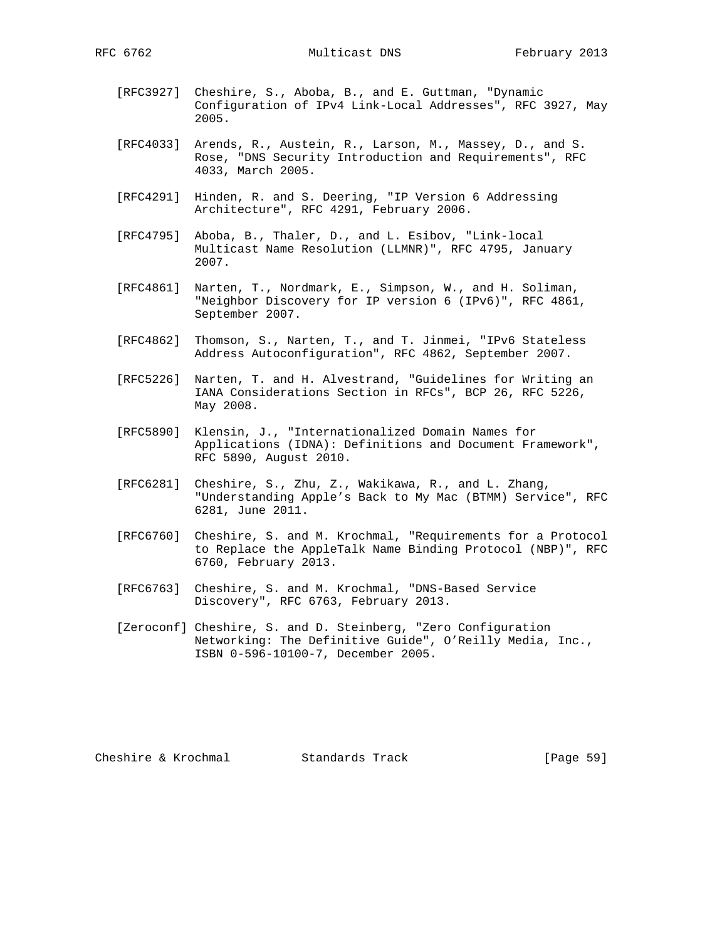- [RFC3927] Cheshire, S., Aboba, B., and E. Guttman, "Dynamic Configuration of IPv4 Link-Local Addresses", RFC 3927, May 2005.
- [RFC4033] Arends, R., Austein, R., Larson, M., Massey, D., and S. Rose, "DNS Security Introduction and Requirements", RFC 4033, March 2005.
- [RFC4291] Hinden, R. and S. Deering, "IP Version 6 Addressing Architecture", RFC 4291, February 2006.
- [RFC4795] Aboba, B., Thaler, D., and L. Esibov, "Link-local Multicast Name Resolution (LLMNR)", RFC 4795, January 2007.
- [RFC4861] Narten, T., Nordmark, E., Simpson, W., and H. Soliman, "Neighbor Discovery for IP version 6 (IPv6)", RFC 4861, September 2007.
- [RFC4862] Thomson, S., Narten, T., and T. Jinmei, "IPv6 Stateless Address Autoconfiguration", RFC 4862, September 2007.
- [RFC5226] Narten, T. and H. Alvestrand, "Guidelines for Writing an IANA Considerations Section in RFCs", BCP 26, RFC 5226, May 2008.
- [RFC5890] Klensin, J., "Internationalized Domain Names for Applications (IDNA): Definitions and Document Framework", RFC 5890, August 2010.
- [RFC6281] Cheshire, S., Zhu, Z., Wakikawa, R., and L. Zhang, "Understanding Apple's Back to My Mac (BTMM) Service", RFC 6281, June 2011.
- [RFC6760] Cheshire, S. and M. Krochmal, "Requirements for a Protocol to Replace the AppleTalk Name Binding Protocol (NBP)", RFC 6760, February 2013.
- [RFC6763] Cheshire, S. and M. Krochmal, "DNS-Based Service Discovery", RFC 6763, February 2013.
- [Zeroconf] Cheshire, S. and D. Steinberg, "Zero Configuration Networking: The Definitive Guide", O'Reilly Media, Inc., ISBN 0-596-10100-7, December 2005.

Cheshire & Krochmal Standards Track [Page 59]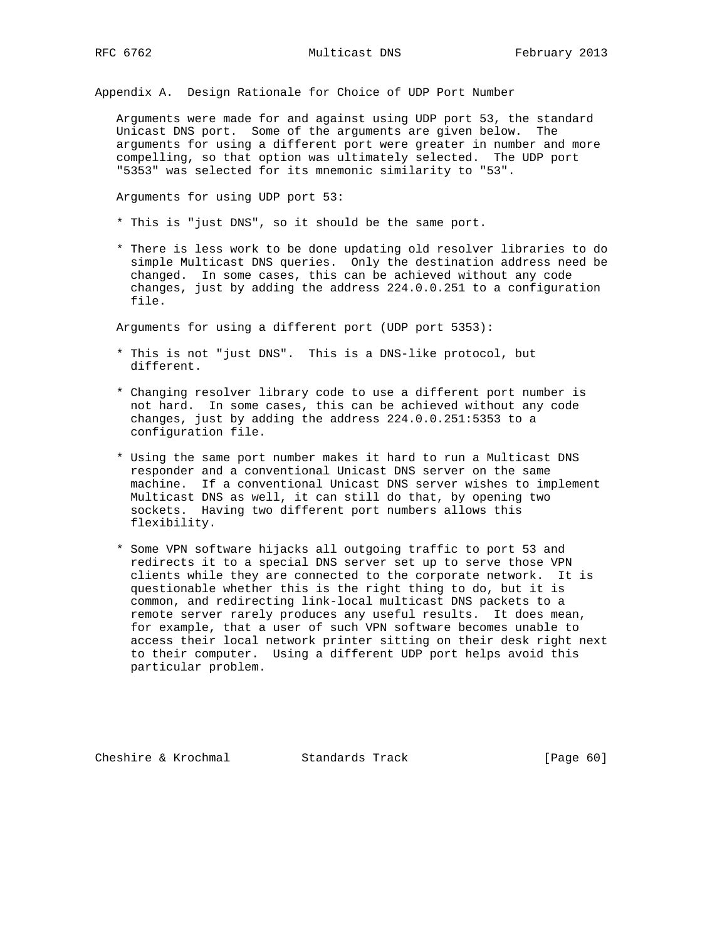Appendix A. Design Rationale for Choice of UDP Port Number

 Arguments were made for and against using UDP port 53, the standard Unicast DNS port. Some of the arguments are given below. The arguments for using a different port were greater in number and more compelling, so that option was ultimately selected. The UDP port "5353" was selected for its mnemonic similarity to "53".

Arguments for using UDP port 53:

- \* This is "just DNS", so it should be the same port.
- \* There is less work to be done updating old resolver libraries to do simple Multicast DNS queries. Only the destination address need be changed. In some cases, this can be achieved without any code changes, just by adding the address 224.0.0.251 to a configuration file.

Arguments for using a different port (UDP port 5353):

- \* This is not "just DNS". This is a DNS-like protocol, but different.
- \* Changing resolver library code to use a different port number is not hard. In some cases, this can be achieved without any code changes, just by adding the address 224.0.0.251:5353 to a configuration file.
- \* Using the same port number makes it hard to run a Multicast DNS responder and a conventional Unicast DNS server on the same machine. If a conventional Unicast DNS server wishes to implement Multicast DNS as well, it can still do that, by opening two sockets. Having two different port numbers allows this flexibility.
- \* Some VPN software hijacks all outgoing traffic to port 53 and redirects it to a special DNS server set up to serve those VPN clients while they are connected to the corporate network. It is questionable whether this is the right thing to do, but it is common, and redirecting link-local multicast DNS packets to a remote server rarely produces any useful results. It does mean, for example, that a user of such VPN software becomes unable to access their local network printer sitting on their desk right next to their computer. Using a different UDP port helps avoid this particular problem.

Cheshire & Krochmal Standards Track [Page 60]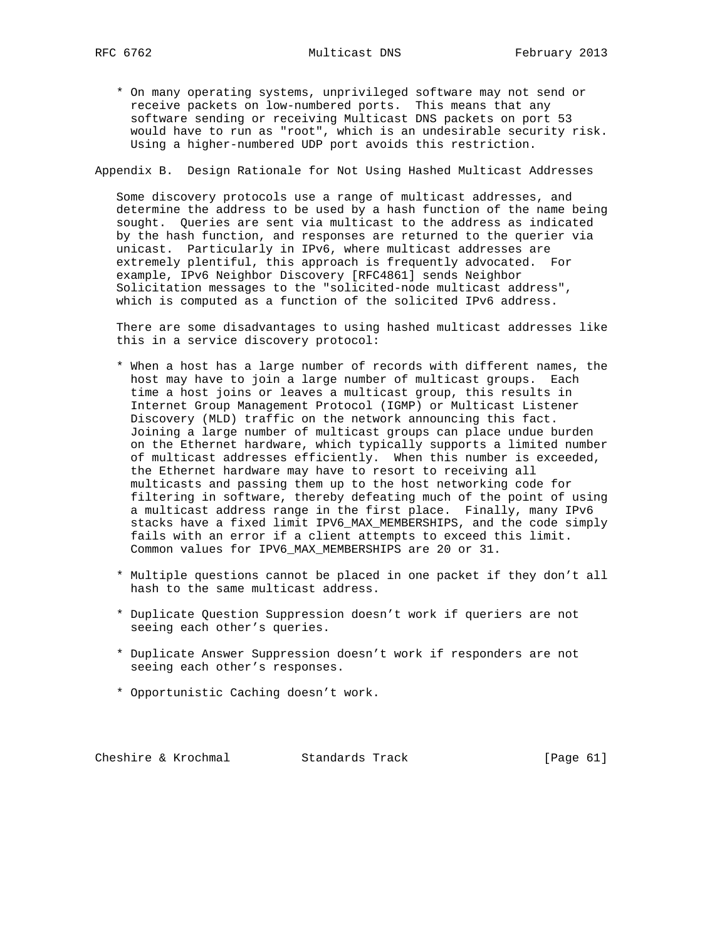\* On many operating systems, unprivileged software may not send or receive packets on low-numbered ports. This means that any software sending or receiving Multicast DNS packets on port 53 would have to run as "root", which is an undesirable security risk. Using a higher-numbered UDP port avoids this restriction.

Appendix B. Design Rationale for Not Using Hashed Multicast Addresses

 Some discovery protocols use a range of multicast addresses, and determine the address to be used by a hash function of the name being sought. Queries are sent via multicast to the address as indicated by the hash function, and responses are returned to the querier via unicast. Particularly in IPv6, where multicast addresses are extremely plentiful, this approach is frequently advocated. For example, IPv6 Neighbor Discovery [RFC4861] sends Neighbor Solicitation messages to the "solicited-node multicast address", which is computed as a function of the solicited IPv6 address.

 There are some disadvantages to using hashed multicast addresses like this in a service discovery protocol:

- \* When a host has a large number of records with different names, the host may have to join a large number of multicast groups. Each time a host joins or leaves a multicast group, this results in Internet Group Management Protocol (IGMP) or Multicast Listener Discovery (MLD) traffic on the network announcing this fact. Joining a large number of multicast groups can place undue burden on the Ethernet hardware, which typically supports a limited number of multicast addresses efficiently. When this number is exceeded, the Ethernet hardware may have to resort to receiving all multicasts and passing them up to the host networking code for filtering in software, thereby defeating much of the point of using a multicast address range in the first place. Finally, many IPv6 stacks have a fixed limit IPV6\_MAX\_MEMBERSHIPS, and the code simply fails with an error if a client attempts to exceed this limit. Common values for IPV6\_MAX\_MEMBERSHIPS are 20 or 31.
- \* Multiple questions cannot be placed in one packet if they don't all hash to the same multicast address.
- \* Duplicate Question Suppression doesn't work if queriers are not seeing each other's queries.
- \* Duplicate Answer Suppression doesn't work if responders are not seeing each other's responses.
- \* Opportunistic Caching doesn't work.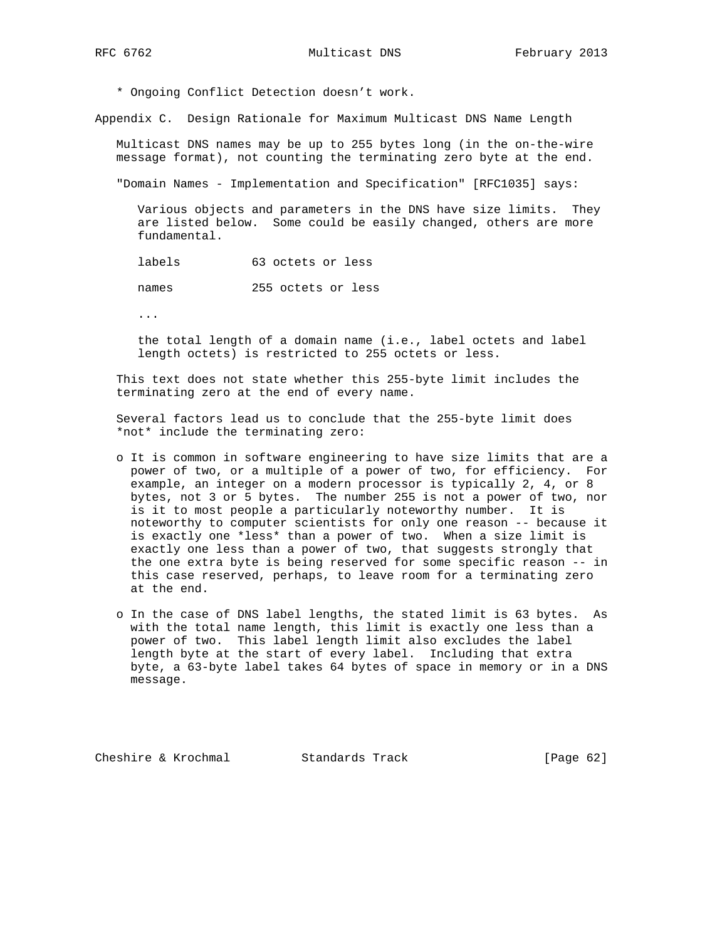\* Ongoing Conflict Detection doesn't work.

Appendix C. Design Rationale for Maximum Multicast DNS Name Length

 Multicast DNS names may be up to 255 bytes long (in the on-the-wire message format), not counting the terminating zero byte at the end.

"Domain Names - Implementation and Specification" [RFC1035] says:

 Various objects and parameters in the DNS have size limits. They are listed below. Some could be easily changed, others are more fundamental.

labels 63 octets or less

names 255 octets or less

...

 the total length of a domain name (i.e., label octets and label length octets) is restricted to 255 octets or less.

 This text does not state whether this 255-byte limit includes the terminating zero at the end of every name.

 Several factors lead us to conclude that the 255-byte limit does \*not\* include the terminating zero:

- o It is common in software engineering to have size limits that are a power of two, or a multiple of a power of two, for efficiency. For example, an integer on a modern processor is typically 2, 4, or 8 bytes, not 3 or 5 bytes. The number 255 is not a power of two, nor is it to most people a particularly noteworthy number. It is noteworthy to computer scientists for only one reason -- because it is exactly one \*less\* than a power of two. When a size limit is exactly one less than a power of two, that suggests strongly that the one extra byte is being reserved for some specific reason -- in this case reserved, perhaps, to leave room for a terminating zero at the end.
- o In the case of DNS label lengths, the stated limit is 63 bytes. As with the total name length, this limit is exactly one less than a power of two. This label length limit also excludes the label length byte at the start of every label. Including that extra byte, a 63-byte label takes 64 bytes of space in memory or in a DNS message.

Cheshire & Krochmal Standards Track [Page 62]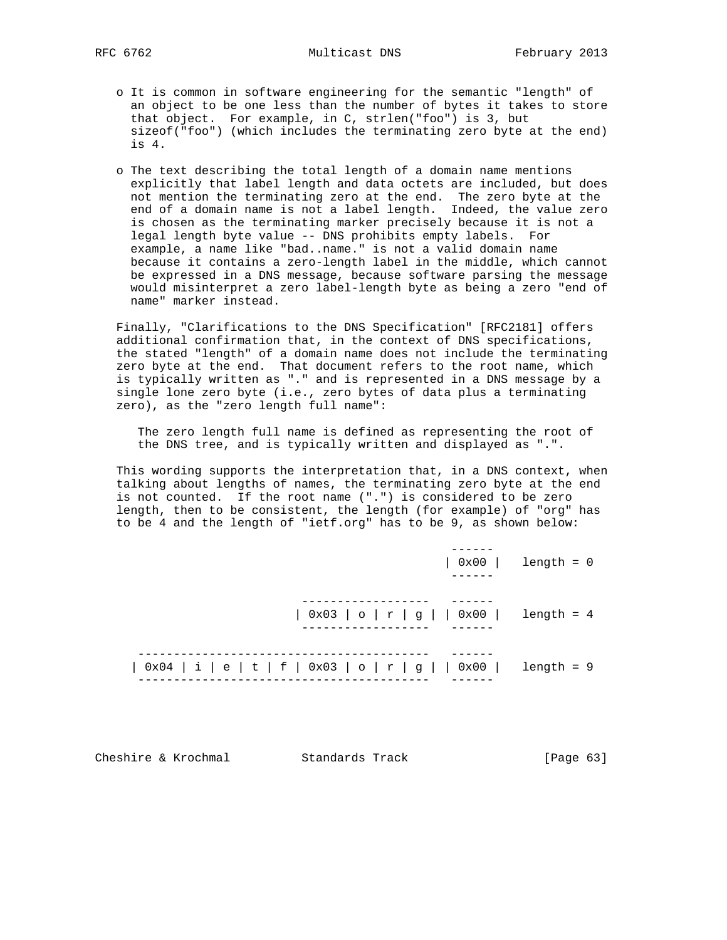- o It is common in software engineering for the semantic "length" of an object to be one less than the number of bytes it takes to store that object. For example, in C, strlen("foo") is 3, but sizeof("foo") (which includes the terminating zero byte at the end) is 4.
- o The text describing the total length of a domain name mentions explicitly that label length and data octets are included, but does not mention the terminating zero at the end. The zero byte at the end of a domain name is not a label length. Indeed, the value zero is chosen as the terminating marker precisely because it is not a legal length byte value -- DNS prohibits empty labels. For example, a name like "bad..name." is not a valid domain name because it contains a zero-length label in the middle, which cannot be expressed in a DNS message, because software parsing the message would misinterpret a zero label-length byte as being a zero "end of name" marker instead.

 Finally, "Clarifications to the DNS Specification" [RFC2181] offers additional confirmation that, in the context of DNS specifications, the stated "length" of a domain name does not include the terminating zero byte at the end. That document refers to the root name, which is typically written as "." and is represented in a DNS message by a single lone zero byte (i.e., zero bytes of data plus a terminating zero), as the "zero length full name":

 The zero length full name is defined as representing the root of the DNS tree, and is typically written and displayed as ".".

 This wording supports the interpretation that, in a DNS context, when talking about lengths of names, the terminating zero byte at the end is not counted. If the root name (".") is considered to be zero length, then to be consistent, the length (for example) of "org" has to be 4 and the length of "ietf.org" has to be 9, as shown below:

|                                                                                                              | $\vert$ 0x00 $\vert$ length = 0 |
|--------------------------------------------------------------------------------------------------------------|---------------------------------|
| $  0x03   0   r   g   0x00  $ length = 4                                                                     |                                 |
| $\vert 0x04 \vert i \vert e \vert t \vert f \vert 0x03 \vert o \vert r \vert g \vert 0x00 \vert 1$ ength = 9 |                                 |

Cheshire & Krochmal Standards Track [Page 63]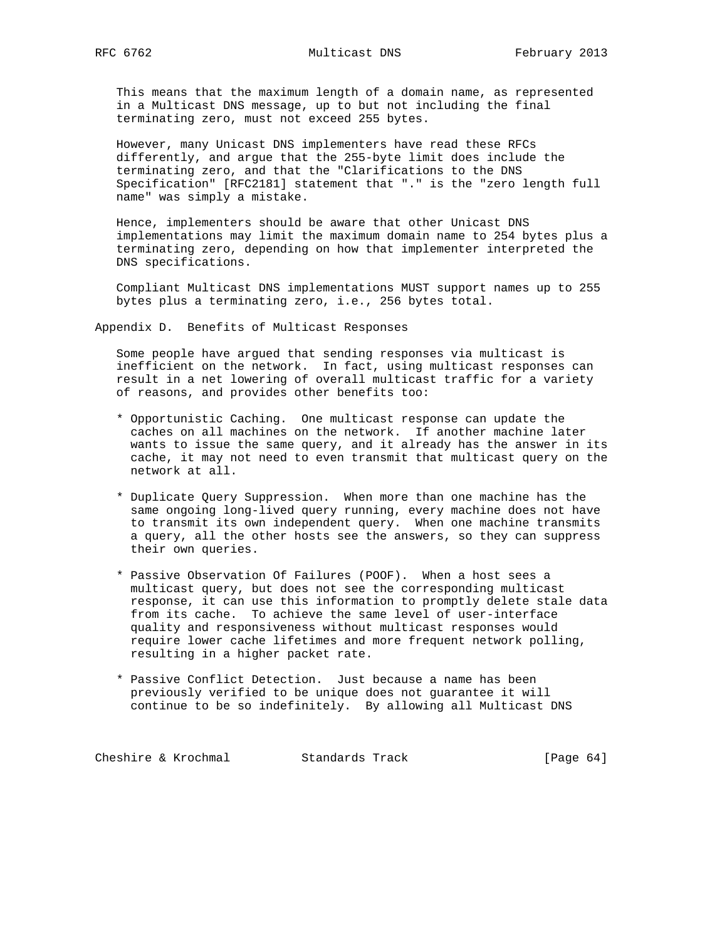This means that the maximum length of a domain name, as represented in a Multicast DNS message, up to but not including the final terminating zero, must not exceed 255 bytes.

 However, many Unicast DNS implementers have read these RFCs differently, and argue that the 255-byte limit does include the terminating zero, and that the "Clarifications to the DNS Specification" [RFC2181] statement that "." is the "zero length full name" was simply a mistake.

 Hence, implementers should be aware that other Unicast DNS implementations may limit the maximum domain name to 254 bytes plus a terminating zero, depending on how that implementer interpreted the DNS specifications.

 Compliant Multicast DNS implementations MUST support names up to 255 bytes plus a terminating zero, i.e., 256 bytes total.

Appendix D. Benefits of Multicast Responses

 Some people have argued that sending responses via multicast is inefficient on the network. In fact, using multicast responses can result in a net lowering of overall multicast traffic for a variety of reasons, and provides other benefits too:

- \* Opportunistic Caching. One multicast response can update the caches on all machines on the network. If another machine later wants to issue the same query, and it already has the answer in its cache, it may not need to even transmit that multicast query on the network at all.
- \* Duplicate Query Suppression. When more than one machine has the same ongoing long-lived query running, every machine does not have to transmit its own independent query. When one machine transmits a query, all the other hosts see the answers, so they can suppress their own queries.
- \* Passive Observation Of Failures (POOF). When a host sees a multicast query, but does not see the corresponding multicast response, it can use this information to promptly delete stale data from its cache. To achieve the same level of user-interface quality and responsiveness without multicast responses would require lower cache lifetimes and more frequent network polling, resulting in a higher packet rate.
- \* Passive Conflict Detection. Just because a name has been previously verified to be unique does not guarantee it will continue to be so indefinitely. By allowing all Multicast DNS

Cheshire & Krochmal Standards Track [Page 64]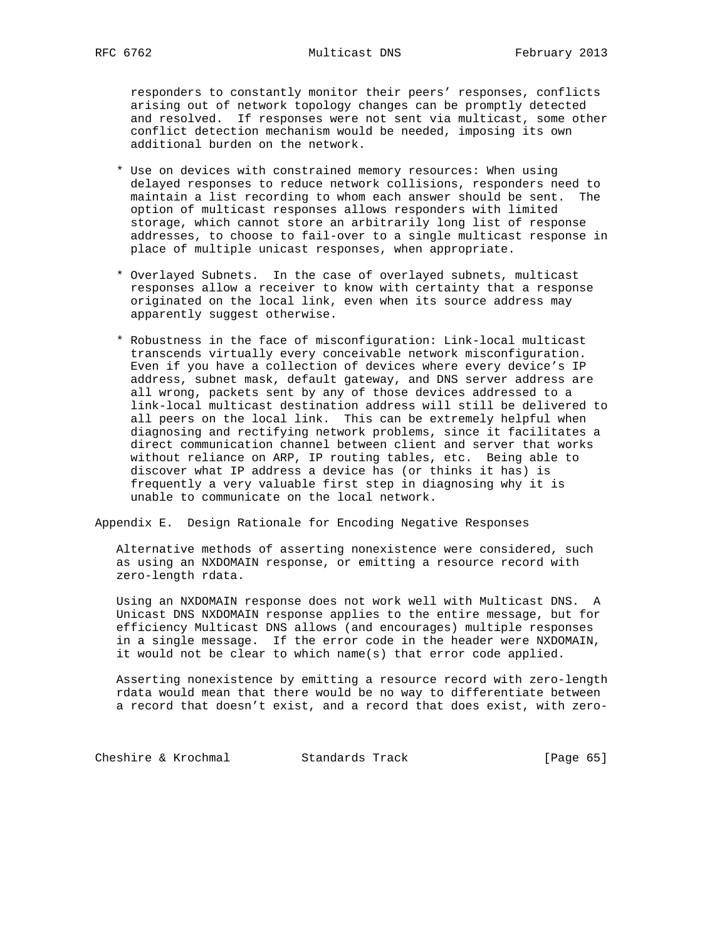responders to constantly monitor their peers' responses, conflicts arising out of network topology changes can be promptly detected and resolved. If responses were not sent via multicast, some other conflict detection mechanism would be needed, imposing its own additional burden on the network.

- \* Use on devices with constrained memory resources: When using delayed responses to reduce network collisions, responders need to maintain a list recording to whom each answer should be sent. The option of multicast responses allows responders with limited storage, which cannot store an arbitrarily long list of response addresses, to choose to fail-over to a single multicast response in place of multiple unicast responses, when appropriate.
- \* Overlayed Subnets. In the case of overlayed subnets, multicast responses allow a receiver to know with certainty that a response originated on the local link, even when its source address may apparently suggest otherwise.
- \* Robustness in the face of misconfiguration: Link-local multicast transcends virtually every conceivable network misconfiguration. Even if you have a collection of devices where every device's IP address, subnet mask, default gateway, and DNS server address are all wrong, packets sent by any of those devices addressed to a link-local multicast destination address will still be delivered to all peers on the local link. This can be extremely helpful when diagnosing and rectifying network problems, since it facilitates a direct communication channel between client and server that works without reliance on ARP, IP routing tables, etc. Being able to discover what IP address a device has (or thinks it has) is frequently a very valuable first step in diagnosing why it is unable to communicate on the local network.

Appendix E. Design Rationale for Encoding Negative Responses

 Alternative methods of asserting nonexistence were considered, such as using an NXDOMAIN response, or emitting a resource record with zero-length rdata.

 Using an NXDOMAIN response does not work well with Multicast DNS. A Unicast DNS NXDOMAIN response applies to the entire message, but for efficiency Multicast DNS allows (and encourages) multiple responses in a single message. If the error code in the header were NXDOMAIN, it would not be clear to which name(s) that error code applied.

 Asserting nonexistence by emitting a resource record with zero-length rdata would mean that there would be no way to differentiate between a record that doesn't exist, and a record that does exist, with zero-

Cheshire & Krochmal Standards Track [Page 65]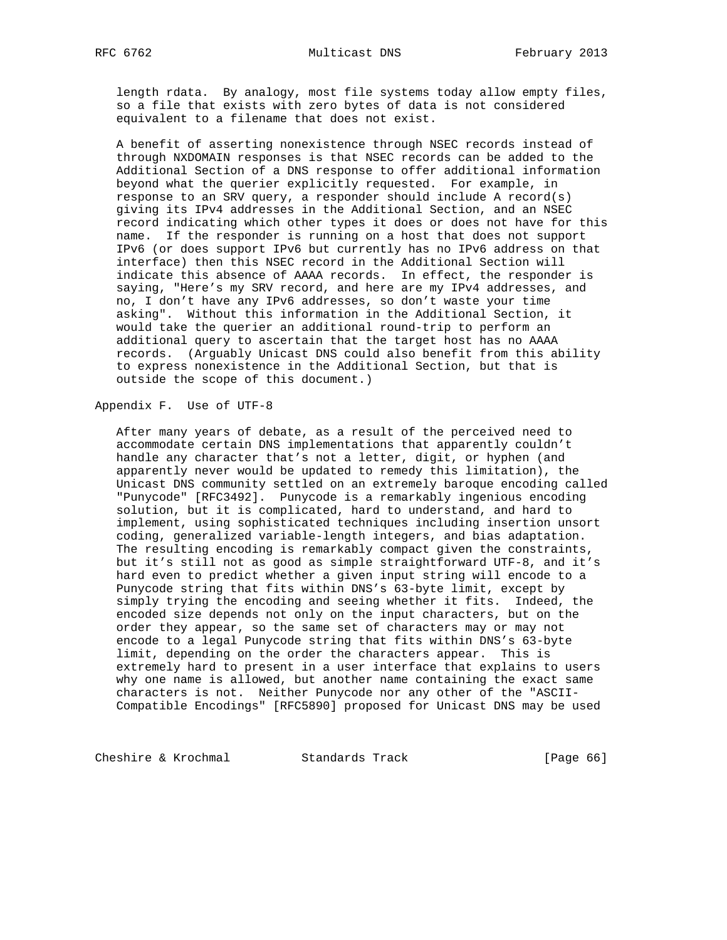length rdata. By analogy, most file systems today allow empty files, so a file that exists with zero bytes of data is not considered equivalent to a filename that does not exist.

 A benefit of asserting nonexistence through NSEC records instead of through NXDOMAIN responses is that NSEC records can be added to the Additional Section of a DNS response to offer additional information beyond what the querier explicitly requested. For example, in response to an SRV query, a responder should include A record(s) giving its IPv4 addresses in the Additional Section, and an NSEC record indicating which other types it does or does not have for this name. If the responder is running on a host that does not support IPv6 (or does support IPv6 but currently has no IPv6 address on that interface) then this NSEC record in the Additional Section will indicate this absence of AAAA records. In effect, the responder is saying, "Here's my SRV record, and here are my IPv4 addresses, and no, I don't have any IPv6 addresses, so don't waste your time asking". Without this information in the Additional Section, it would take the querier an additional round-trip to perform an additional query to ascertain that the target host has no AAAA records. (Arguably Unicast DNS could also benefit from this ability to express nonexistence in the Additional Section, but that is outside the scope of this document.)

Appendix F. Use of UTF-8

 After many years of debate, as a result of the perceived need to accommodate certain DNS implementations that apparently couldn't handle any character that's not a letter, digit, or hyphen (and apparently never would be updated to remedy this limitation), the Unicast DNS community settled on an extremely baroque encoding called "Punycode" [RFC3492]. Punycode is a remarkably ingenious encoding solution, but it is complicated, hard to understand, and hard to implement, using sophisticated techniques including insertion unsort coding, generalized variable-length integers, and bias adaptation. The resulting encoding is remarkably compact given the constraints, but it's still not as good as simple straightforward UTF-8, and it's hard even to predict whether a given input string will encode to a Punycode string that fits within DNS's 63-byte limit, except by simply trying the encoding and seeing whether it fits. Indeed, the encoded size depends not only on the input characters, but on the order they appear, so the same set of characters may or may not encode to a legal Punycode string that fits within DNS's 63-byte limit, depending on the order the characters appear. This is extremely hard to present in a user interface that explains to users why one name is allowed, but another name containing the exact same characters is not. Neither Punycode nor any other of the "ASCII- Compatible Encodings" [RFC5890] proposed for Unicast DNS may be used

Cheshire & Krochmal Standards Track [Page 66]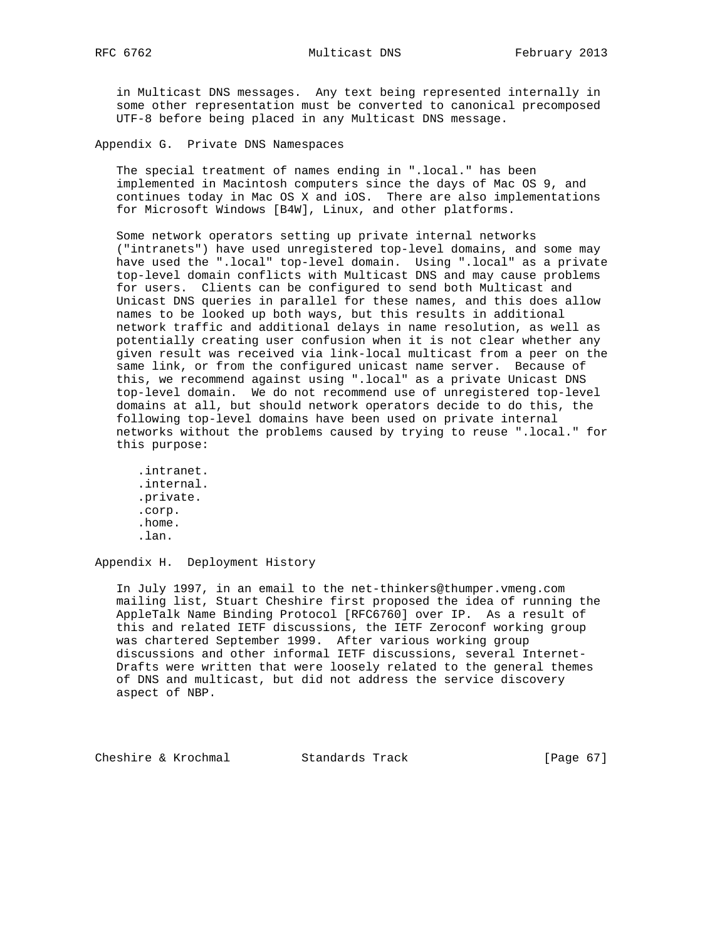in Multicast DNS messages. Any text being represented internally in some other representation must be converted to canonical precomposed UTF-8 before being placed in any Multicast DNS message.

Appendix G. Private DNS Namespaces

 The special treatment of names ending in ".local." has been implemented in Macintosh computers since the days of Mac OS 9, and continues today in Mac OS X and iOS. There are also implementations for Microsoft Windows [B4W], Linux, and other platforms.

 Some network operators setting up private internal networks ("intranets") have used unregistered top-level domains, and some may have used the ".local" top-level domain. Using ".local" as a private top-level domain conflicts with Multicast DNS and may cause problems for users. Clients can be configured to send both Multicast and Unicast DNS queries in parallel for these names, and this does allow names to be looked up both ways, but this results in additional network traffic and additional delays in name resolution, as well as potentially creating user confusion when it is not clear whether any given result was received via link-local multicast from a peer on the same link, or from the configured unicast name server. Because of this, we recommend against using ".local" as a private Unicast DNS top-level domain. We do not recommend use of unregistered top-level domains at all, but should network operators decide to do this, the following top-level domains have been used on private internal networks without the problems caused by trying to reuse ".local." for this purpose:

 .intranet. .internal. .private. .corp. .home. .lan.

Appendix H. Deployment History

 In July 1997, in an email to the net-thinkers@thumper.vmeng.com mailing list, Stuart Cheshire first proposed the idea of running the AppleTalk Name Binding Protocol [RFC6760] over IP. As a result of this and related IETF discussions, the IETF Zeroconf working group was chartered September 1999. After various working group discussions and other informal IETF discussions, several Internet- Drafts were written that were loosely related to the general themes of DNS and multicast, but did not address the service discovery aspect of NBP.

Cheshire & Krochmal Standards Track [Page 67]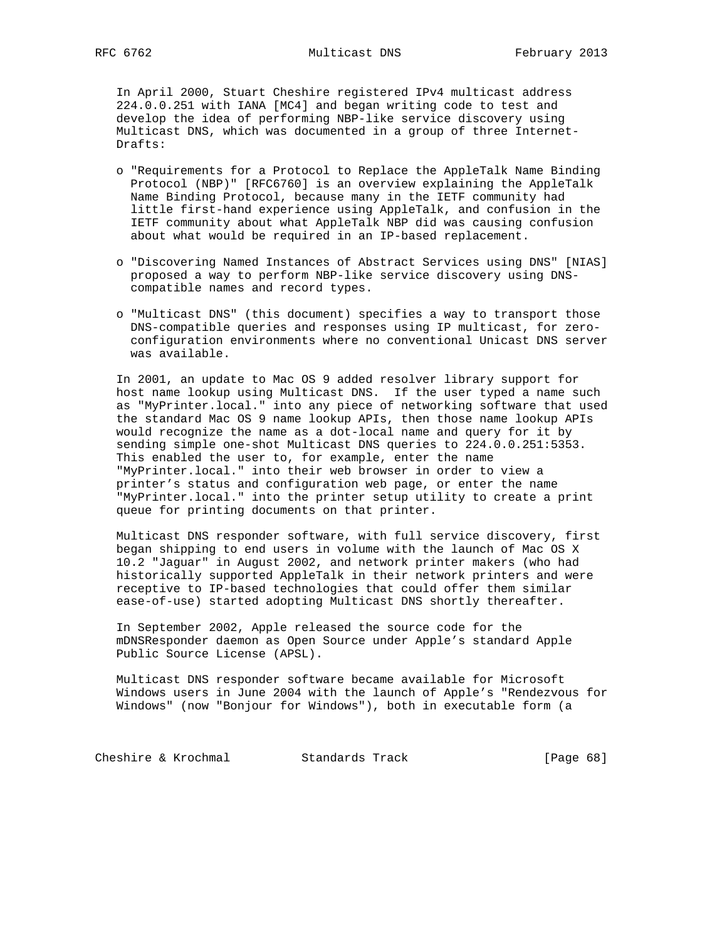In April 2000, Stuart Cheshire registered IPv4 multicast address 224.0.0.251 with IANA [MC4] and began writing code to test and develop the idea of performing NBP-like service discovery using Multicast DNS, which was documented in a group of three Internet- Drafts:

- o "Requirements for a Protocol to Replace the AppleTalk Name Binding Protocol (NBP)" [RFC6760] is an overview explaining the AppleTalk Name Binding Protocol, because many in the IETF community had little first-hand experience using AppleTalk, and confusion in the IETF community about what AppleTalk NBP did was causing confusion about what would be required in an IP-based replacement.
- o "Discovering Named Instances of Abstract Services using DNS" [NIAS] proposed a way to perform NBP-like service discovery using DNS compatible names and record types.
- o "Multicast DNS" (this document) specifies a way to transport those DNS-compatible queries and responses using IP multicast, for zero configuration environments where no conventional Unicast DNS server was available.

 In 2001, an update to Mac OS 9 added resolver library support for host name lookup using Multicast DNS. If the user typed a name such as "MyPrinter.local." into any piece of networking software that used the standard Mac OS 9 name lookup APIs, then those name lookup APIs would recognize the name as a dot-local name and query for it by sending simple one-shot Multicast DNS queries to 224.0.0.251:5353. This enabled the user to, for example, enter the name "MyPrinter.local." into their web browser in order to view a printer's status and configuration web page, or enter the name "MyPrinter.local." into the printer setup utility to create a print queue for printing documents on that printer.

 Multicast DNS responder software, with full service discovery, first began shipping to end users in volume with the launch of Mac OS X 10.2 "Jaguar" in August 2002, and network printer makers (who had historically supported AppleTalk in their network printers and were receptive to IP-based technologies that could offer them similar ease-of-use) started adopting Multicast DNS shortly thereafter.

 In September 2002, Apple released the source code for the mDNSResponder daemon as Open Source under Apple's standard Apple Public Source License (APSL).

 Multicast DNS responder software became available for Microsoft Windows users in June 2004 with the launch of Apple's "Rendezvous for Windows" (now "Bonjour for Windows"), both in executable form (a

Cheshire & Krochmal Standards Track [Page 68]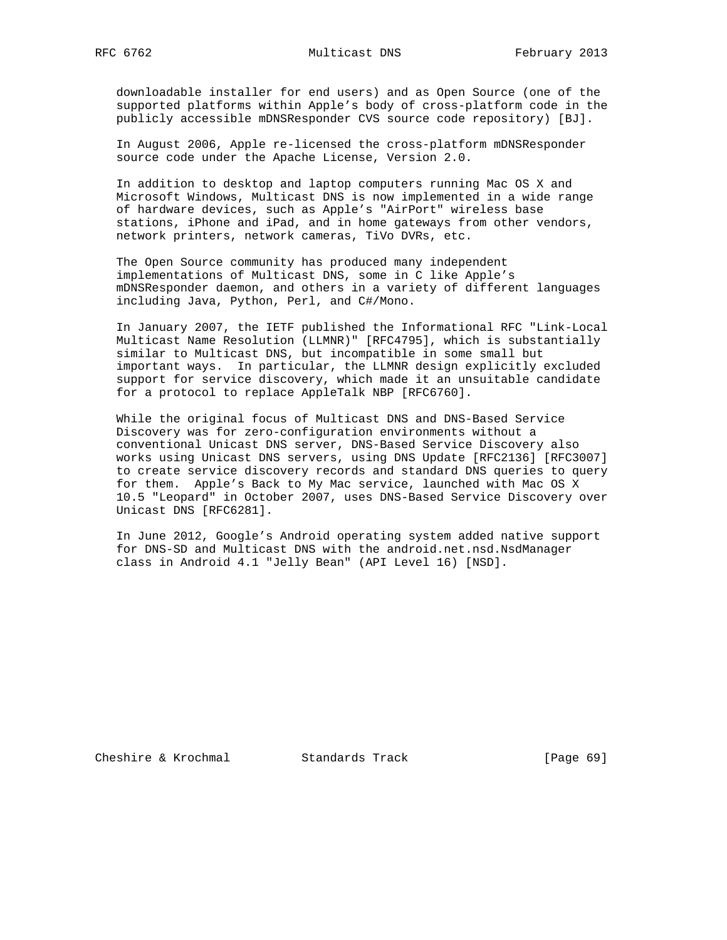downloadable installer for end users) and as Open Source (one of the supported platforms within Apple's body of cross-platform code in the publicly accessible mDNSResponder CVS source code repository) [BJ].

 In August 2006, Apple re-licensed the cross-platform mDNSResponder source code under the Apache License, Version 2.0.

 In addition to desktop and laptop computers running Mac OS X and Microsoft Windows, Multicast DNS is now implemented in a wide range of hardware devices, such as Apple's "AirPort" wireless base stations, iPhone and iPad, and in home gateways from other vendors, network printers, network cameras, TiVo DVRs, etc.

 The Open Source community has produced many independent implementations of Multicast DNS, some in C like Apple's mDNSResponder daemon, and others in a variety of different languages including Java, Python, Perl, and C#/Mono.

 In January 2007, the IETF published the Informational RFC "Link-Local Multicast Name Resolution (LLMNR)" [RFC4795], which is substantially similar to Multicast DNS, but incompatible in some small but important ways. In particular, the LLMNR design explicitly excluded support for service discovery, which made it an unsuitable candidate for a protocol to replace AppleTalk NBP [RFC6760].

 While the original focus of Multicast DNS and DNS-Based Service Discovery was for zero-configuration environments without a conventional Unicast DNS server, DNS-Based Service Discovery also works using Unicast DNS servers, using DNS Update [RFC2136] [RFC3007] to create service discovery records and standard DNS queries to query for them. Apple's Back to My Mac service, launched with Mac OS X 10.5 "Leopard" in October 2007, uses DNS-Based Service Discovery over Unicast DNS [RFC6281].

 In June 2012, Google's Android operating system added native support for DNS-SD and Multicast DNS with the android.net.nsd.NsdManager class in Android 4.1 "Jelly Bean" (API Level 16) [NSD].

Cheshire & Krochmal Standards Track [Page 69]